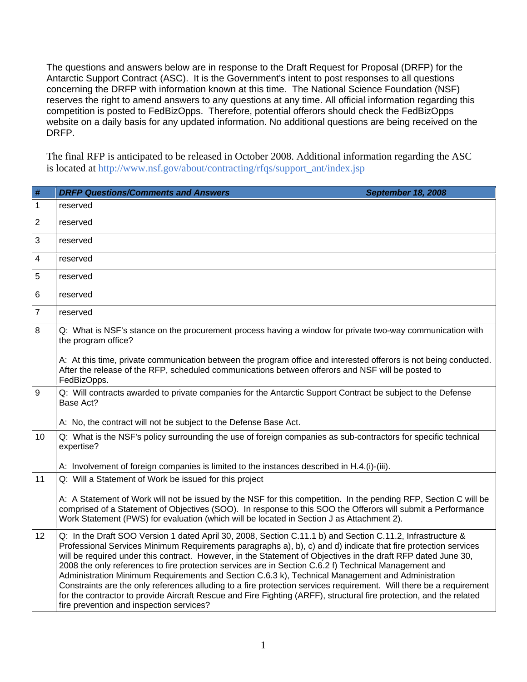The questions and answers below are in response to the Draft Request for Proposal (DRFP) for the Antarctic Support Contract (ASC). It is the Government's intent to post responses to all questions concerning the DRFP with information known at this time. The National Science Foundation (NSF) reserves the right to amend answers to any questions at any time. All official information regarding this competition is posted to FedBizOpps. Therefore, potential offerors should check the FedBizOpps website on a daily basis for any updated information. No additional questions are being received on the DRFP.

The final RFP is anticipated to be released in October 2008. Additional information regarding the ASC is located at [http://www.nsf.gov/about/contracting/rfqs/support\\_ant/index.jsp](http://www.nsf.gov/about/contracting/rfqs/support_ant/index.jsp)

| #              | <b>DRFP Questions/Comments and Answers</b><br><b>September 18, 2008</b>                                                                                                                                                                                                                                                                                                                                                                                                                                                                                                                                                                                                                                                                                                                                                                               |
|----------------|-------------------------------------------------------------------------------------------------------------------------------------------------------------------------------------------------------------------------------------------------------------------------------------------------------------------------------------------------------------------------------------------------------------------------------------------------------------------------------------------------------------------------------------------------------------------------------------------------------------------------------------------------------------------------------------------------------------------------------------------------------------------------------------------------------------------------------------------------------|
| $\mathbf{1}$   | reserved                                                                                                                                                                                                                                                                                                                                                                                                                                                                                                                                                                                                                                                                                                                                                                                                                                              |
| $\overline{c}$ | reserved                                                                                                                                                                                                                                                                                                                                                                                                                                                                                                                                                                                                                                                                                                                                                                                                                                              |
| 3              | reserved                                                                                                                                                                                                                                                                                                                                                                                                                                                                                                                                                                                                                                                                                                                                                                                                                                              |
| 4              | reserved                                                                                                                                                                                                                                                                                                                                                                                                                                                                                                                                                                                                                                                                                                                                                                                                                                              |
| 5              | reserved                                                                                                                                                                                                                                                                                                                                                                                                                                                                                                                                                                                                                                                                                                                                                                                                                                              |
| 6              | reserved                                                                                                                                                                                                                                                                                                                                                                                                                                                                                                                                                                                                                                                                                                                                                                                                                                              |
| 7              | reserved                                                                                                                                                                                                                                                                                                                                                                                                                                                                                                                                                                                                                                                                                                                                                                                                                                              |
| 8              | Q: What is NSF's stance on the procurement process having a window for private two-way communication with<br>the program office?                                                                                                                                                                                                                                                                                                                                                                                                                                                                                                                                                                                                                                                                                                                      |
|                | A: At this time, private communication between the program office and interested offerors is not being conducted.<br>After the release of the RFP, scheduled communications between offerors and NSF will be posted to<br>FedBizOpps.                                                                                                                                                                                                                                                                                                                                                                                                                                                                                                                                                                                                                 |
| $9\,$          | Q: Will contracts awarded to private companies for the Antarctic Support Contract be subject to the Defense<br>Base Act?                                                                                                                                                                                                                                                                                                                                                                                                                                                                                                                                                                                                                                                                                                                              |
|                | A: No, the contract will not be subject to the Defense Base Act.                                                                                                                                                                                                                                                                                                                                                                                                                                                                                                                                                                                                                                                                                                                                                                                      |
| 10             | Q: What is the NSF's policy surrounding the use of foreign companies as sub-contractors for specific technical<br>expertise?                                                                                                                                                                                                                                                                                                                                                                                                                                                                                                                                                                                                                                                                                                                          |
|                | A: Involvement of foreign companies is limited to the instances described in H.4.(i)-(iii).                                                                                                                                                                                                                                                                                                                                                                                                                                                                                                                                                                                                                                                                                                                                                           |
| 11             | Q: Will a Statement of Work be issued for this project                                                                                                                                                                                                                                                                                                                                                                                                                                                                                                                                                                                                                                                                                                                                                                                                |
|                | A: A Statement of Work will not be issued by the NSF for this competition. In the pending RFP, Section C will be<br>comprised of a Statement of Objectives (SOO). In response to this SOO the Offerors will submit a Performance<br>Work Statement (PWS) for evaluation (which will be located in Section J as Attachment 2).                                                                                                                                                                                                                                                                                                                                                                                                                                                                                                                         |
| 12             | Q: In the Draft SOO Version 1 dated April 30, 2008, Section C.11.1 b) and Section C.11.2, Infrastructure &<br>Professional Services Minimum Requirements paragraphs a), b), c) and d) indicate that fire protection services<br>will be required under this contract. However, in the Statement of Objectives in the draft RFP dated June 30,<br>2008 the only references to fire protection services are in Section C.6.2 f) Technical Management and<br>Administration Minimum Requirements and Section C.6.3 k), Technical Management and Administration<br>Constraints are the only references alluding to a fire protection services requirement. Will there be a requirement<br>for the contractor to provide Aircraft Rescue and Fire Fighting (ARFF), structural fire protection, and the related<br>fire prevention and inspection services? |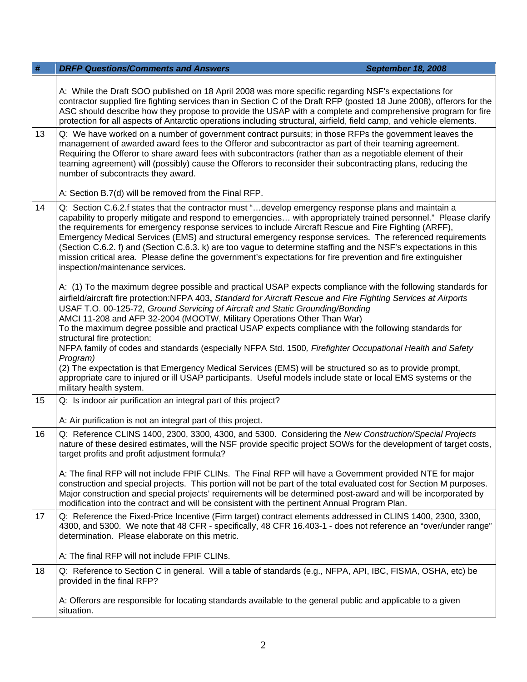| #  | <b>DRFP Questions/Comments and Answers</b><br><b>September 18, 2008</b>                                                                                                                                                                                                                                                                                                                                                                                                                                                                                                                                                                                                                                                                                                                                                                                                                                               |  |
|----|-----------------------------------------------------------------------------------------------------------------------------------------------------------------------------------------------------------------------------------------------------------------------------------------------------------------------------------------------------------------------------------------------------------------------------------------------------------------------------------------------------------------------------------------------------------------------------------------------------------------------------------------------------------------------------------------------------------------------------------------------------------------------------------------------------------------------------------------------------------------------------------------------------------------------|--|
|    | A: While the Draft SOO published on 18 April 2008 was more specific regarding NSF's expectations for<br>contractor supplied fire fighting services than in Section C of the Draft RFP (posted 18 June 2008), offerors for the<br>ASC should describe how they propose to provide the USAP with a complete and comprehensive program for fire<br>protection for all aspects of Antarctic operations including structural, airfield, field camp, and vehicle elements.                                                                                                                                                                                                                                                                                                                                                                                                                                                  |  |
| 13 | Q: We have worked on a number of government contract pursuits; in those RFPs the government leaves the<br>management of awarded award fees to the Offeror and subcontractor as part of their teaming agreement.<br>Requiring the Offeror to share award fees with subcontractors (rather than as a negotiable element of their<br>teaming agreement) will (possibly) cause the Offerors to reconsider their subcontracting plans, reducing the<br>number of subcontracts they award.                                                                                                                                                                                                                                                                                                                                                                                                                                  |  |
|    | A: Section B.7(d) will be removed from the Final RFP.                                                                                                                                                                                                                                                                                                                                                                                                                                                                                                                                                                                                                                                                                                                                                                                                                                                                 |  |
| 14 | Q: Section C.6.2.f states that the contractor must "develop emergency response plans and maintain a<br>capability to properly mitigate and respond to emergencies with appropriately trained personnel." Please clarify<br>the requirements for emergency response services to include Aircraft Rescue and Fire Fighting (ARFF),<br>Emergency Medical Services (EMS) and structural emergency response services. The referenced requirements<br>(Section C.6.2. f) and (Section C.6.3. k) are too vague to determine staffing and the NSF's expectations in this<br>mission critical area. Please define the government's expectations for fire prevention and fire extinguisher<br>inspection/maintenance services.                                                                                                                                                                                                  |  |
|    | A: (1) To the maximum degree possible and practical USAP expects compliance with the following standards for<br>airfield/aircraft fire protection:NFPA 403, Standard for Aircraft Rescue and Fire Fighting Services at Airports<br>USAF T.O. 00-125-72, Ground Servicing of Aircraft and Static Grounding/Bonding<br>AMCI 11-208 and AFP 32-2004 (MOOTW, Military Operations Other Than War)<br>To the maximum degree possible and practical USAP expects compliance with the following standards for<br>structural fire protection:<br>NFPA family of codes and standards (especially NFPA Std. 1500, Firefighter Occupational Health and Safety<br>Program)<br>(2) The expectation is that Emergency Medical Services (EMS) will be structured so as to provide prompt,<br>appropriate care to injured or ill USAP participants. Useful models include state or local EMS systems or the<br>military health system. |  |
| 15 | Q: Is indoor air purification an integral part of this project?                                                                                                                                                                                                                                                                                                                                                                                                                                                                                                                                                                                                                                                                                                                                                                                                                                                       |  |
|    | A: Air purification is not an integral part of this project.                                                                                                                                                                                                                                                                                                                                                                                                                                                                                                                                                                                                                                                                                                                                                                                                                                                          |  |
| 16 | Q: Reference CLINS 1400, 2300, 3300, 4300, and 5300. Considering the New Construction/Special Projects<br>nature of these desired estimates, will the NSF provide specific project SOWs for the development of target costs,<br>target profits and profit adjustment formula?                                                                                                                                                                                                                                                                                                                                                                                                                                                                                                                                                                                                                                         |  |
|    | A: The final RFP will not include FPIF CLINs. The Final RFP will have a Government provided NTE for major<br>construction and special projects. This portion will not be part of the total evaluated cost for Section M purposes.<br>Major construction and special projects' requirements will be determined post-award and will be incorporated by<br>modification into the contract and will be consistent with the pertinent Annual Program Plan.                                                                                                                                                                                                                                                                                                                                                                                                                                                                 |  |
| 17 | Q: Reference the Fixed-Price Incentive (Firm target) contract elements addressed in CLINS 1400, 2300, 3300,<br>4300, and 5300. We note that 48 CFR - specifically, 48 CFR 16.403-1 - does not reference an "over/under range"<br>determination. Please elaborate on this metric.                                                                                                                                                                                                                                                                                                                                                                                                                                                                                                                                                                                                                                      |  |
|    | A: The final RFP will not include FPIF CLINs.                                                                                                                                                                                                                                                                                                                                                                                                                                                                                                                                                                                                                                                                                                                                                                                                                                                                         |  |
| 18 | Q: Reference to Section C in general. Will a table of standards (e.g., NFPA, API, IBC, FISMA, OSHA, etc) be<br>provided in the final RFP?                                                                                                                                                                                                                                                                                                                                                                                                                                                                                                                                                                                                                                                                                                                                                                             |  |
|    | A: Offerors are responsible for locating standards available to the general public and applicable to a given<br>situation.                                                                                                                                                                                                                                                                                                                                                                                                                                                                                                                                                                                                                                                                                                                                                                                            |  |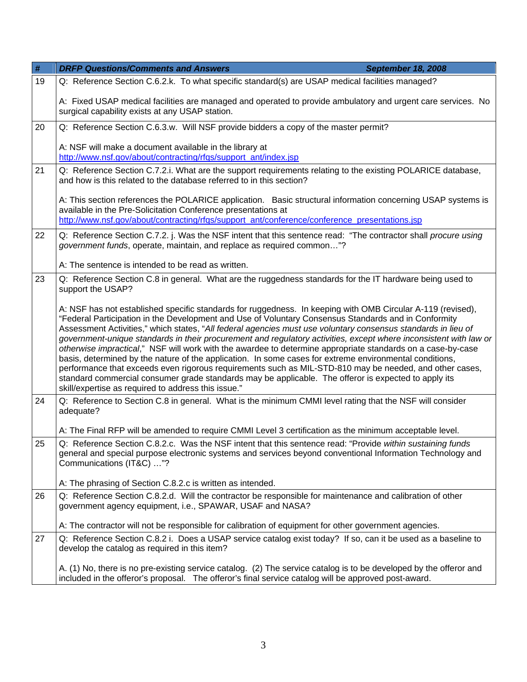| $\#$ | <b>DRFP Questions/Comments and Answers</b><br><b>September 18, 2008</b>                                                                                                                                                                                                                                                                                                                                                                                                                                                                                                                                                                                                                                                                                                                                                                                                                                                                                       |  |
|------|---------------------------------------------------------------------------------------------------------------------------------------------------------------------------------------------------------------------------------------------------------------------------------------------------------------------------------------------------------------------------------------------------------------------------------------------------------------------------------------------------------------------------------------------------------------------------------------------------------------------------------------------------------------------------------------------------------------------------------------------------------------------------------------------------------------------------------------------------------------------------------------------------------------------------------------------------------------|--|
| 19   | Q: Reference Section C.6.2.k. To what specific standard(s) are USAP medical facilities managed?                                                                                                                                                                                                                                                                                                                                                                                                                                                                                                                                                                                                                                                                                                                                                                                                                                                               |  |
|      | A: Fixed USAP medical facilities are managed and operated to provide ambulatory and urgent care services. No<br>surgical capability exists at any USAP station.                                                                                                                                                                                                                                                                                                                                                                                                                                                                                                                                                                                                                                                                                                                                                                                               |  |
| 20   | Q: Reference Section C.6.3.w. Will NSF provide bidders a copy of the master permit?                                                                                                                                                                                                                                                                                                                                                                                                                                                                                                                                                                                                                                                                                                                                                                                                                                                                           |  |
|      | A: NSF will make a document available in the library at<br>http://www.nsf.gov/about/contracting/rfqs/support_ant/index.jsp                                                                                                                                                                                                                                                                                                                                                                                                                                                                                                                                                                                                                                                                                                                                                                                                                                    |  |
| 21   | Q: Reference Section C.7.2.i. What are the support requirements relating to the existing POLARICE database,<br>and how is this related to the database referred to in this section?                                                                                                                                                                                                                                                                                                                                                                                                                                                                                                                                                                                                                                                                                                                                                                           |  |
|      | A: This section references the POLARICE application. Basic structural information concerning USAP systems is<br>available in the Pre-Solicitation Conference presentations at<br>http://www.nsf.gov/about/contracting/rfgs/support_ant/conference/conference_presentations.jsp                                                                                                                                                                                                                                                                                                                                                                                                                                                                                                                                                                                                                                                                                |  |
| 22   | Q: Reference Section C.7.2. j. Was the NSF intent that this sentence read: "The contractor shall procure using<br>government funds, operate, maintain, and replace as required common"?                                                                                                                                                                                                                                                                                                                                                                                                                                                                                                                                                                                                                                                                                                                                                                       |  |
|      | A: The sentence is intended to be read as written.                                                                                                                                                                                                                                                                                                                                                                                                                                                                                                                                                                                                                                                                                                                                                                                                                                                                                                            |  |
| 23   | Q: Reference Section C.8 in general. What are the ruggedness standards for the IT hardware being used to<br>support the USAP?                                                                                                                                                                                                                                                                                                                                                                                                                                                                                                                                                                                                                                                                                                                                                                                                                                 |  |
|      | A: NSF has not established specific standards for ruggedness. In keeping with OMB Circular A-119 (revised),<br>"Federal Participation in the Development and Use of Voluntary Consensus Standards and in Conformity<br>Assessment Activities," which states, "All federal agencies must use voluntary consensus standards in lieu of<br>government-unique standards in their procurement and regulatory activities, except where inconsistent with law or<br>otherwise impractical," NSF will work with the awardee to determine appropriate standards on a case-by-case<br>basis, determined by the nature of the application. In some cases for extreme environmental conditions,<br>performance that exceeds even rigorous requirements such as MIL-STD-810 may be needed, and other cases,<br>standard commercial consumer grade standards may be applicable. The offeror is expected to apply its<br>skill/expertise as required to address this issue." |  |
| 24   | Q: Reference to Section C.8 in general. What is the minimum CMMI level rating that the NSF will consider<br>adequate?                                                                                                                                                                                                                                                                                                                                                                                                                                                                                                                                                                                                                                                                                                                                                                                                                                         |  |
|      | A: The Final RFP will be amended to require CMMI Level 3 certification as the minimum acceptable level.                                                                                                                                                                                                                                                                                                                                                                                                                                                                                                                                                                                                                                                                                                                                                                                                                                                       |  |
| 25   | Q: Reference Section C.8.2.c. Was the NSF intent that this sentence read: "Provide within sustaining funds<br>general and special purpose electronic systems and services beyond conventional Information Technology and<br>Communications (IT&C) "?                                                                                                                                                                                                                                                                                                                                                                                                                                                                                                                                                                                                                                                                                                          |  |
|      | A: The phrasing of Section C.8.2.c is written as intended.                                                                                                                                                                                                                                                                                                                                                                                                                                                                                                                                                                                                                                                                                                                                                                                                                                                                                                    |  |
| 26   | Q: Reference Section C.8.2.d. Will the contractor be responsible for maintenance and calibration of other<br>government agency equipment, i.e., SPAWAR, USAF and NASA?                                                                                                                                                                                                                                                                                                                                                                                                                                                                                                                                                                                                                                                                                                                                                                                        |  |
|      | A: The contractor will not be responsible for calibration of equipment for other government agencies.                                                                                                                                                                                                                                                                                                                                                                                                                                                                                                                                                                                                                                                                                                                                                                                                                                                         |  |
| 27   | Q: Reference Section C.8.2 i. Does a USAP service catalog exist today? If so, can it be used as a baseline to<br>develop the catalog as required in this item?                                                                                                                                                                                                                                                                                                                                                                                                                                                                                                                                                                                                                                                                                                                                                                                                |  |
|      | A. (1) No, there is no pre-existing service catalog. (2) The service catalog is to be developed by the offeror and<br>included in the offeror's proposal. The offeror's final service catalog will be approved post-award.                                                                                                                                                                                                                                                                                                                                                                                                                                                                                                                                                                                                                                                                                                                                    |  |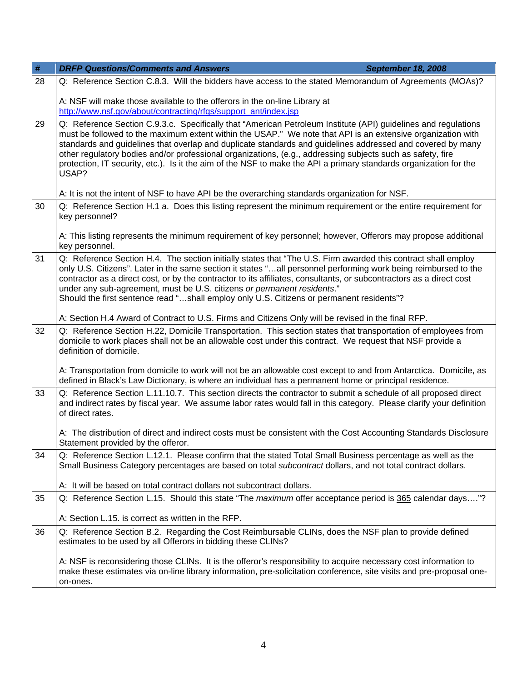| $\#$ | <b>DRFP Questions/Comments and Answers</b><br><b>September 18, 2008</b>                                                                                                                                                                                                                                                                                                                                                                                                                                                                                                                 |  |  |
|------|-----------------------------------------------------------------------------------------------------------------------------------------------------------------------------------------------------------------------------------------------------------------------------------------------------------------------------------------------------------------------------------------------------------------------------------------------------------------------------------------------------------------------------------------------------------------------------------------|--|--|
| 28   | Q: Reference Section C.8.3. Will the bidders have access to the stated Memorandum of Agreements (MOAs)?                                                                                                                                                                                                                                                                                                                                                                                                                                                                                 |  |  |
|      | A: NSF will make those available to the offerors in the on-line Library at<br>http://www.nsf.gov/about/contracting/rfgs/support_ant/index.jsp                                                                                                                                                                                                                                                                                                                                                                                                                                           |  |  |
| 29   | Q: Reference Section C.9.3.c. Specifically that "American Petroleum Institute (API) guidelines and regulations<br>must be followed to the maximum extent within the USAP." We note that API is an extensive organization with<br>standards and guidelines that overlap and duplicate standards and guidelines addressed and covered by many<br>other regulatory bodies and/or professional organizations, (e.g., addressing subjects such as safety, fire<br>protection, IT security, etc.). Is it the aim of the NSF to make the API a primary standards organization for the<br>USAP? |  |  |
|      | A: It is not the intent of NSF to have API be the overarching standards organization for NSF.                                                                                                                                                                                                                                                                                                                                                                                                                                                                                           |  |  |
| 30   | Q: Reference Section H.1 a. Does this listing represent the minimum requirement or the entire requirement for<br>key personnel?                                                                                                                                                                                                                                                                                                                                                                                                                                                         |  |  |
|      | A: This listing represents the minimum requirement of key personnel; however, Offerors may propose additional<br>key personnel.                                                                                                                                                                                                                                                                                                                                                                                                                                                         |  |  |
| 31   | Q: Reference Section H.4. The section initially states that "The U.S. Firm awarded this contract shall employ<br>only U.S. Citizens". Later in the same section it states "all personnel performing work being reimbursed to the<br>contractor as a direct cost, or by the contractor to its affiliates, consultants, or subcontractors as a direct cost<br>under any sub-agreement, must be U.S. citizens or permanent residents."<br>Should the first sentence read "shall employ only U.S. Citizens or permanent residents"?                                                         |  |  |
|      | A: Section H.4 Award of Contract to U.S. Firms and Citizens Only will be revised in the final RFP.                                                                                                                                                                                                                                                                                                                                                                                                                                                                                      |  |  |
| 32   | Q: Reference Section H.22, Domicile Transportation. This section states that transportation of employees from<br>domicile to work places shall not be an allowable cost under this contract. We request that NSF provide a<br>definition of domicile.                                                                                                                                                                                                                                                                                                                                   |  |  |
|      | A: Transportation from domicile to work will not be an allowable cost except to and from Antarctica. Domicile, as<br>defined in Black's Law Dictionary, is where an individual has a permanent home or principal residence.                                                                                                                                                                                                                                                                                                                                                             |  |  |
| 33   | Q: Reference Section L.11.10.7. This section directs the contractor to submit a schedule of all proposed direct<br>and indirect rates by fiscal year. We assume labor rates would fall in this category. Please clarify your definition<br>of direct rates.                                                                                                                                                                                                                                                                                                                             |  |  |
|      | A: The distribution of direct and indirect costs must be consistent with the Cost Accounting Standards Disclosure<br>Statement provided by the offeror.                                                                                                                                                                                                                                                                                                                                                                                                                                 |  |  |
| 34   | Q: Reference Section L.12.1. Please confirm that the stated Total Small Business percentage as well as the<br>Small Business Category percentages are based on total subcontract dollars, and not total contract dollars.                                                                                                                                                                                                                                                                                                                                                               |  |  |
| 35   | A: It will be based on total contract dollars not subcontract dollars.<br>Q: Reference Section L.15. Should this state "The <i>maximum</i> offer acceptance period is 365 calendar days"?                                                                                                                                                                                                                                                                                                                                                                                               |  |  |
|      |                                                                                                                                                                                                                                                                                                                                                                                                                                                                                                                                                                                         |  |  |
|      | A: Section L.15. is correct as written in the RFP.                                                                                                                                                                                                                                                                                                                                                                                                                                                                                                                                      |  |  |
| 36   | Q: Reference Section B.2. Regarding the Cost Reimbursable CLINs, does the NSF plan to provide defined<br>estimates to be used by all Offerors in bidding these CLINs?                                                                                                                                                                                                                                                                                                                                                                                                                   |  |  |
|      | A: NSF is reconsidering those CLINs. It is the offeror's responsibility to acquire necessary cost information to<br>make these estimates via on-line library information, pre-solicitation conference, site visits and pre-proposal one-<br>on-ones.                                                                                                                                                                                                                                                                                                                                    |  |  |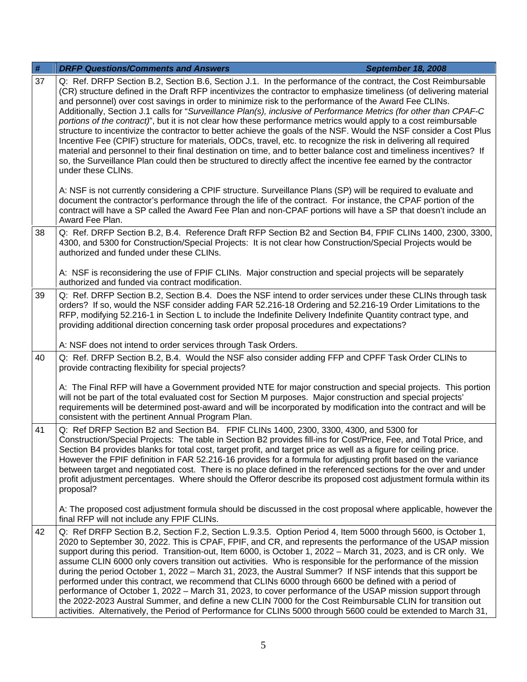| $\#$ | <b>DRFP Questions/Comments and Answers</b><br><b>September 18, 2008</b>                                                                                                                                                                                                                                                                                                                                                                                                                                                                                                                                                                                                                                                                                                                                                                                                                                                                                                                                                                                                                             |
|------|-----------------------------------------------------------------------------------------------------------------------------------------------------------------------------------------------------------------------------------------------------------------------------------------------------------------------------------------------------------------------------------------------------------------------------------------------------------------------------------------------------------------------------------------------------------------------------------------------------------------------------------------------------------------------------------------------------------------------------------------------------------------------------------------------------------------------------------------------------------------------------------------------------------------------------------------------------------------------------------------------------------------------------------------------------------------------------------------------------|
| 37   | Q: Ref. DRFP Section B.2, Section B.6, Section J.1. In the performance of the contract, the Cost Reimbursable<br>(CR) structure defined in the Draft RFP incentivizes the contractor to emphasize timeliness (of delivering material<br>and personnel) over cost savings in order to minimize risk to the performance of the Award Fee CLINs.<br>Additionally, Section J.1 calls for "Surveillance Plan(s), inclusive of Performance Metrics (for other than CPAF-C<br>portions of the contract)", but it is not clear how these performance metrics would apply to a cost reimbursable<br>structure to incentivize the contractor to better achieve the goals of the NSF. Would the NSF consider a Cost Plus<br>Incentive Fee (CPIF) structure for materials, ODCs, travel, etc. to recognize the risk in delivering all required<br>material and personnel to their final destination on time, and to better balance cost and timeliness incentives? If<br>so, the Surveillance Plan could then be structured to directly affect the incentive fee earned by the contractor<br>under these CLINs. |
|      | A: NSF is not currently considering a CPIF structure. Surveillance Plans (SP) will be required to evaluate and<br>document the contractor's performance through the life of the contract. For instance, the CPAF portion of the<br>contract will have a SP called the Award Fee Plan and non-CPAF portions will have a SP that doesn't include an<br>Award Fee Plan.                                                                                                                                                                                                                                                                                                                                                                                                                                                                                                                                                                                                                                                                                                                                |
| 38   | Q: Ref. DRFP Section B.2, B.4. Reference Draft RFP Section B2 and Section B4, FPIF CLINs 1400, 2300, 3300,<br>4300, and 5300 for Construction/Special Projects: It is not clear how Construction/Special Projects would be<br>authorized and funded under these CLINs.                                                                                                                                                                                                                                                                                                                                                                                                                                                                                                                                                                                                                                                                                                                                                                                                                              |
|      | A: NSF is reconsidering the use of FPIF CLINs. Major construction and special projects will be separately<br>authorized and funded via contract modification.                                                                                                                                                                                                                                                                                                                                                                                                                                                                                                                                                                                                                                                                                                                                                                                                                                                                                                                                       |
| 39   | Q: Ref. DRFP Section B.2, Section B.4. Does the NSF intend to order services under these CLINs through task<br>orders? If so, would the NSF consider adding FAR 52.216-18 Ordering and 52.216-19 Order Limitations to the<br>RFP, modifying 52.216-1 in Section L to include the Indefinite Delivery Indefinite Quantity contract type, and<br>providing additional direction concerning task order proposal procedures and expectations?                                                                                                                                                                                                                                                                                                                                                                                                                                                                                                                                                                                                                                                           |
|      | A: NSF does not intend to order services through Task Orders.                                                                                                                                                                                                                                                                                                                                                                                                                                                                                                                                                                                                                                                                                                                                                                                                                                                                                                                                                                                                                                       |
| 40   | Q: Ref. DRFP Section B.2, B.4. Would the NSF also consider adding FFP and CPFF Task Order CLINs to<br>provide contracting flexibility for special projects?                                                                                                                                                                                                                                                                                                                                                                                                                                                                                                                                                                                                                                                                                                                                                                                                                                                                                                                                         |
|      | A: The Final RFP will have a Government provided NTE for major construction and special projects. This portion<br>will not be part of the total evaluated cost for Section M purposes. Major construction and special projects'<br>requirements will be determined post-award and will be incorporated by modification into the contract and will be<br>consistent with the pertinent Annual Program Plan.                                                                                                                                                                                                                                                                                                                                                                                                                                                                                                                                                                                                                                                                                          |
| 41   | Q: Ref DRFP Section B2 and Section B4. FPIF CLINs 1400, 2300, 3300, 4300, and 5300 for<br>Construction/Special Projects: The table in Section B2 provides fill-ins for Cost/Price, Fee, and Total Price, and<br>Section B4 provides blanks for total cost, target profit, and target price as well as a figure for ceiling price.<br>However the FPIF definition in FAR 52.216-16 provides for a formula for adjusting profit based on the variance<br>between target and negotiated cost. There is no place defined in the referenced sections for the over and under<br>profit adjustment percentages. Where should the Offeror describe its proposed cost adjustment formula within its<br>proposal?                                                                                                                                                                                                                                                                                                                                                                                             |
|      | A: The proposed cost adjustment formula should be discussed in the cost proposal where applicable, however the<br>final RFP will not include any FPIF CLINs.                                                                                                                                                                                                                                                                                                                                                                                                                                                                                                                                                                                                                                                                                                                                                                                                                                                                                                                                        |
| 42   | Q: Ref DRFP Section B.2, Section F.2, Section L.9.3.5. Option Period 4, Item 5000 through 5600, is October 1,<br>2020 to September 30, 2022. This is CPAF, FPIF, and CR, and represents the performance of the USAP mission<br>support during this period. Transition-out, Item 6000, is October 1, 2022 – March 31, 2023, and is CR only. We<br>assume CLIN 6000 only covers transition out activities. Who is responsible for the performance of the mission<br>during the period October 1, 2022 – March 31, 2023, the Austral Summer? If NSF intends that this support be<br>performed under this contract, we recommend that CLINs 6000 through 6600 be defined with a period of<br>performance of October 1, 2022 – March 31, 2023, to cover performance of the USAP mission support through<br>the 2022-2023 Austral Summer, and define a new CLIN 7000 for the Cost Reimbursable CLIN for transition out<br>activities. Alternatively, the Period of Performance for CLINs 5000 through 5600 could be extended to March 31,                                                                 |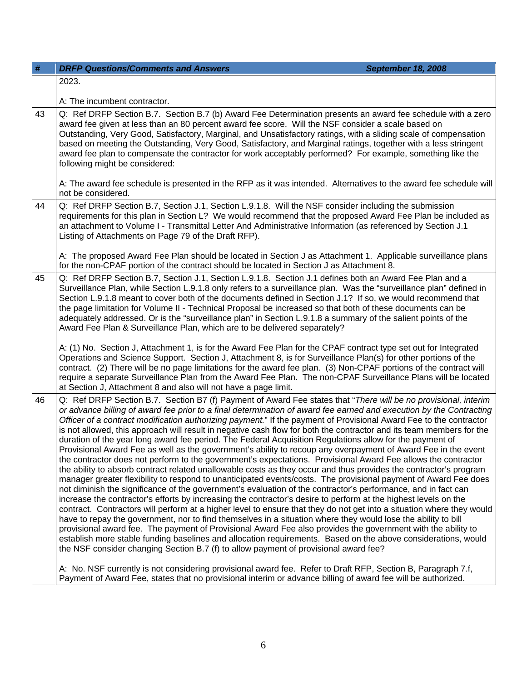| #                                                                                                                                                                                                                                                                                                                                                                                                                                                                                                                                                                                                                                                               | <b>DRFP Questions/Comments and Answers</b><br><b>September 18, 2008</b>                                                                                                                                                                                                                                                                                                                                                                                                                                                                                                                                                                                                                                                                                                                                                                                                                                                                                                                                                                                                                                                                                                                                                                                                                                                                                                                                                                                                                                                                                                                                                                                                                                                                                                                                                                                                                                                                                                                           |  |
|-----------------------------------------------------------------------------------------------------------------------------------------------------------------------------------------------------------------------------------------------------------------------------------------------------------------------------------------------------------------------------------------------------------------------------------------------------------------------------------------------------------------------------------------------------------------------------------------------------------------------------------------------------------------|---------------------------------------------------------------------------------------------------------------------------------------------------------------------------------------------------------------------------------------------------------------------------------------------------------------------------------------------------------------------------------------------------------------------------------------------------------------------------------------------------------------------------------------------------------------------------------------------------------------------------------------------------------------------------------------------------------------------------------------------------------------------------------------------------------------------------------------------------------------------------------------------------------------------------------------------------------------------------------------------------------------------------------------------------------------------------------------------------------------------------------------------------------------------------------------------------------------------------------------------------------------------------------------------------------------------------------------------------------------------------------------------------------------------------------------------------------------------------------------------------------------------------------------------------------------------------------------------------------------------------------------------------------------------------------------------------------------------------------------------------------------------------------------------------------------------------------------------------------------------------------------------------------------------------------------------------------------------------------------------------|--|
|                                                                                                                                                                                                                                                                                                                                                                                                                                                                                                                                                                                                                                                                 | 2023.                                                                                                                                                                                                                                                                                                                                                                                                                                                                                                                                                                                                                                                                                                                                                                                                                                                                                                                                                                                                                                                                                                                                                                                                                                                                                                                                                                                                                                                                                                                                                                                                                                                                                                                                                                                                                                                                                                                                                                                             |  |
|                                                                                                                                                                                                                                                                                                                                                                                                                                                                                                                                                                                                                                                                 | A: The incumbent contractor.                                                                                                                                                                                                                                                                                                                                                                                                                                                                                                                                                                                                                                                                                                                                                                                                                                                                                                                                                                                                                                                                                                                                                                                                                                                                                                                                                                                                                                                                                                                                                                                                                                                                                                                                                                                                                                                                                                                                                                      |  |
| 43                                                                                                                                                                                                                                                                                                                                                                                                                                                                                                                                                                                                                                                              | Q: Ref DRFP Section B.7. Section B.7 (b) Award Fee Determination presents an award fee schedule with a zero<br>award fee given at less than an 80 percent award fee score. Will the NSF consider a scale based on<br>Outstanding, Very Good, Satisfactory, Marginal, and Unsatisfactory ratings, with a sliding scale of compensation<br>based on meeting the Outstanding, Very Good, Satisfactory, and Marginal ratings, together with a less stringent<br>award fee plan to compensate the contractor for work acceptably performed? For example, something like the<br>following might be considered:<br>A: The award fee schedule is presented in the RFP as it was intended. Alternatives to the award fee schedule will                                                                                                                                                                                                                                                                                                                                                                                                                                                                                                                                                                                                                                                                                                                                                                                                                                                                                                                                                                                                                                                                                                                                                                                                                                                                     |  |
|                                                                                                                                                                                                                                                                                                                                                                                                                                                                                                                                                                                                                                                                 | not be considered.                                                                                                                                                                                                                                                                                                                                                                                                                                                                                                                                                                                                                                                                                                                                                                                                                                                                                                                                                                                                                                                                                                                                                                                                                                                                                                                                                                                                                                                                                                                                                                                                                                                                                                                                                                                                                                                                                                                                                                                |  |
| 44                                                                                                                                                                                                                                                                                                                                                                                                                                                                                                                                                                                                                                                              | Q: Ref DRFP Section B.7, Section J.1, Section L.9.1.8. Will the NSF consider including the submission<br>requirements for this plan in Section L? We would recommend that the proposed Award Fee Plan be included as<br>an attachment to Volume I - Transmittal Letter And Administrative Information (as referenced by Section J.1<br>Listing of Attachments on Page 79 of the Draft RFP).                                                                                                                                                                                                                                                                                                                                                                                                                                                                                                                                                                                                                                                                                                                                                                                                                                                                                                                                                                                                                                                                                                                                                                                                                                                                                                                                                                                                                                                                                                                                                                                                       |  |
|                                                                                                                                                                                                                                                                                                                                                                                                                                                                                                                                                                                                                                                                 | A: The proposed Award Fee Plan should be located in Section J as Attachment 1. Applicable surveillance plans<br>for the non-CPAF portion of the contract should be located in Section J as Attachment 8.                                                                                                                                                                                                                                                                                                                                                                                                                                                                                                                                                                                                                                                                                                                                                                                                                                                                                                                                                                                                                                                                                                                                                                                                                                                                                                                                                                                                                                                                                                                                                                                                                                                                                                                                                                                          |  |
| Q: Ref DRFP Section B.7, Section J.1, Section L.9.1.8. Section J.1 defines both an Award Fee Plan and a<br>45<br>Surveillance Plan, while Section L.9.1.8 only refers to a surveillance plan. Was the "surveillance plan" defined in<br>Section L.9.1.8 meant to cover both of the documents defined in Section J.1? If so, we would recommend that<br>the page limitation for Volume II - Technical Proposal be increased so that both of these documents can be<br>adequately addressed. Or is the "surveillance plan" in Section L.9.1.8 a summary of the salient points of the<br>Award Fee Plan & Surveillance Plan, which are to be delivered separately? |                                                                                                                                                                                                                                                                                                                                                                                                                                                                                                                                                                                                                                                                                                                                                                                                                                                                                                                                                                                                                                                                                                                                                                                                                                                                                                                                                                                                                                                                                                                                                                                                                                                                                                                                                                                                                                                                                                                                                                                                   |  |
|                                                                                                                                                                                                                                                                                                                                                                                                                                                                                                                                                                                                                                                                 | A: (1) No. Section J, Attachment 1, is for the Award Fee Plan for the CPAF contract type set out for Integrated<br>Operations and Science Support. Section J, Attachment 8, is for Surveillance Plan(s) for other portions of the<br>contract. (2) There will be no page limitations for the award fee plan. (3) Non-CPAF portions of the contract will<br>require a separate Surveillance Plan from the Award Fee Plan. The non-CPAF Surveillance Plans will be located<br>at Section J, Attachment 8 and also will not have a page limit.                                                                                                                                                                                                                                                                                                                                                                                                                                                                                                                                                                                                                                                                                                                                                                                                                                                                                                                                                                                                                                                                                                                                                                                                                                                                                                                                                                                                                                                       |  |
| 46                                                                                                                                                                                                                                                                                                                                                                                                                                                                                                                                                                                                                                                              | Q: Ref DRFP Section B.7. Section B7 (f) Payment of Award Fee states that "There will be no provisional, interim<br>or advance billing of award fee prior to a final determination of award fee earned and execution by the Contracting<br>Officer of a contract modification authorizing payment." If the payment of Provisional Award Fee to the contractor<br>is not allowed, this approach will result in negative cash flow for both the contractor and its team members for the<br>duration of the year long award fee period. The Federal Acquisition Regulations allow for the payment of<br>Provisional Award Fee as well as the government's ability to recoup any overpayment of Award Fee in the event<br>the contractor does not perform to the government's expectations. Provisional Award Fee allows the contractor<br>the ability to absorb contract related unallowable costs as they occur and thus provides the contractor's program<br>manager greater flexibility to respond to unanticipated events/costs. The provisional payment of Award Fee does<br>not diminish the significance of the government's evaluation of the contractor's performance, and in fact can<br>increase the contractor's efforts by increasing the contractor's desire to perform at the highest levels on the<br>contract. Contractors will perform at a higher level to ensure that they do not get into a situation where they would<br>have to repay the government, nor to find themselves in a situation where they would lose the ability to bill<br>provisional award fee. The payment of Provisional Award Fee also provides the government with the ability to<br>establish more stable funding baselines and allocation requirements. Based on the above considerations, would<br>the NSF consider changing Section B.7 (f) to allow payment of provisional award fee?<br>A: No. NSF currently is not considering provisional award fee. Refer to Draft RFP, Section B, Paragraph 7.f, |  |
|                                                                                                                                                                                                                                                                                                                                                                                                                                                                                                                                                                                                                                                                 | Payment of Award Fee, states that no provisional interim or advance billing of award fee will be authorized.                                                                                                                                                                                                                                                                                                                                                                                                                                                                                                                                                                                                                                                                                                                                                                                                                                                                                                                                                                                                                                                                                                                                                                                                                                                                                                                                                                                                                                                                                                                                                                                                                                                                                                                                                                                                                                                                                      |  |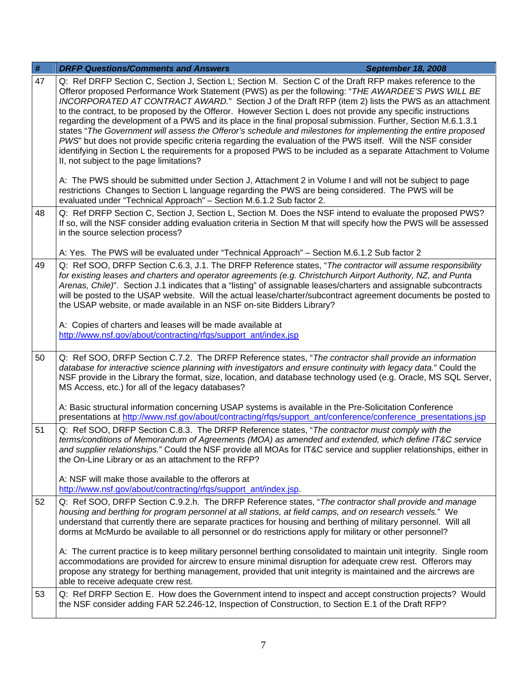| $\#$ | <b>DRFP Questions/Comments and Answers</b>                                                                                                                                                                                                                                                                                                                                                                                                                                                                                                                                                                                                                                                                                                                                                                                                                                                                                                                                                                                                                          | <b>September 18, 2008</b> |
|------|---------------------------------------------------------------------------------------------------------------------------------------------------------------------------------------------------------------------------------------------------------------------------------------------------------------------------------------------------------------------------------------------------------------------------------------------------------------------------------------------------------------------------------------------------------------------------------------------------------------------------------------------------------------------------------------------------------------------------------------------------------------------------------------------------------------------------------------------------------------------------------------------------------------------------------------------------------------------------------------------------------------------------------------------------------------------|---------------------------|
| 47   | Q: Ref DRFP Section C, Section J, Section L; Section M. Section C of the Draft RFP makes reference to the<br>Offeror proposed Performance Work Statement (PWS) as per the following: "THE AWARDEE'S PWS WILL BE<br>INCORPORATED AT CONTRACT AWARD." Section J of the Draft RFP (item 2) lists the PWS as an attachment<br>to the contract, to be proposed by the Offeror. However Section L does not provide any specific instructions<br>regarding the development of a PWS and its place in the final proposal submission. Further, Section M.6.1.3.1<br>states "The Government will assess the Offeror's schedule and milestones for implementing the entire proposed<br>PWS" but does not provide specific criteria regarding the evaluation of the PWS itself. Will the NSF consider<br>identifying in Section L the requirements for a proposed PWS to be included as a separate Attachment to Volume<br>II, not subject to the page limitations?<br>A: The PWS should be submitted under Section J, Attachment 2 in Volume I and will not be subject to page |                           |
|      | restrictions Changes to Section L language regarding the PWS are being considered. The PWS will be<br>evaluated under "Technical Approach" - Section M.6.1.2 Sub factor 2.                                                                                                                                                                                                                                                                                                                                                                                                                                                                                                                                                                                                                                                                                                                                                                                                                                                                                          |                           |
| 48   | Q: Ref DRFP Section C, Section J, Section L, Section M. Does the NSF intend to evaluate the proposed PWS?<br>If so, will the NSF consider adding evaluation criteria in Section M that will specify how the PWS will be assessed<br>in the source selection process?                                                                                                                                                                                                                                                                                                                                                                                                                                                                                                                                                                                                                                                                                                                                                                                                |                           |
|      | A: Yes. The PWS will be evaluated under "Technical Approach" - Section M.6.1.2 Sub factor 2                                                                                                                                                                                                                                                                                                                                                                                                                                                                                                                                                                                                                                                                                                                                                                                                                                                                                                                                                                         |                           |
| 49   | Q: Ref SOO, DRFP Section C.6.3, J.1. The DRFP Reference states, "The contractor will assume responsibility<br>for existing leases and charters and operator agreements (e.g. Christchurch Airport Authority, NZ, and Punta<br>Arenas, Chile)". Section J.1 indicates that a "listing" of assignable leases/charters and assignable subcontracts<br>will be posted to the USAP website. Will the actual lease/charter/subcontract agreement documents be posted to<br>the USAP website, or made available in an NSF on-site Bidders Library?                                                                                                                                                                                                                                                                                                                                                                                                                                                                                                                         |                           |
|      | A: Copies of charters and leases will be made available at<br>http://www.nsf.gov/about/contracting/rfqs/support_ant/index.jsp                                                                                                                                                                                                                                                                                                                                                                                                                                                                                                                                                                                                                                                                                                                                                                                                                                                                                                                                       |                           |
| 50   | Q: Ref SOO, DRFP Section C.7.2. The DRFP Reference states, "The contractor shall provide an information<br>database for interactive science planning with investigators and ensure continuity with legacy data." Could the<br>NSF provide in the Library the format, size, location, and database technology used (e.g. Oracle, MS SQL Server,<br>MS Access, etc.) for all of the legacy databases?                                                                                                                                                                                                                                                                                                                                                                                                                                                                                                                                                                                                                                                                 |                           |
|      | A: Basic structural information concerning USAP systems is available in the Pre-Solicitation Conference<br>presentations at http://www.nsf.gov/about/contracting/rfqs/support_ant/conference/conference_presentations.jsp                                                                                                                                                                                                                                                                                                                                                                                                                                                                                                                                                                                                                                                                                                                                                                                                                                           |                           |
| 51   | Q: Ref SOO, DRFP Section C.8.3. The DRFP Reference states, "The contractor must comply with the<br>terms/conditions of Memorandum of Agreements (MOA) as amended and extended, which define IT&C service<br>and supplier relationships." Could the NSF provide all MOAs for IT&C service and supplier relationships, either in<br>the On-Line Library or as an attachment to the RFP?                                                                                                                                                                                                                                                                                                                                                                                                                                                                                                                                                                                                                                                                               |                           |
|      | A: NSF will make those available to the offerors at<br>http://www.nsf.gov/about/contracting/rfqs/support_ant/index.jsp.                                                                                                                                                                                                                                                                                                                                                                                                                                                                                                                                                                                                                                                                                                                                                                                                                                                                                                                                             |                           |
| 52   | Q: Ref SOO, DRFP Section C.9.2.h. The DRFP Reference states, "The contractor shall provide and manage<br>housing and berthing for program personnel at all stations, at field camps, and on research vessels." We<br>understand that currently there are separate practices for housing and berthing of military personnel. Will all<br>dorms at McMurdo be available to all personnel or do restrictions apply for military or other personnel?                                                                                                                                                                                                                                                                                                                                                                                                                                                                                                                                                                                                                    |                           |
|      | A: The current practice is to keep military personnel berthing consolidated to maintain unit integrity. Single room<br>accommodations are provided for aircrew to ensure minimal disruption for adequate crew rest. Offerors may<br>propose any strategy for berthing management, provided that unit integrity is maintained and the aircrews are<br>able to receive adequate crew rest.                                                                                                                                                                                                                                                                                                                                                                                                                                                                                                                                                                                                                                                                            |                           |
| 53   | Q: Ref DRFP Section E. How does the Government intend to inspect and accept construction projects? Would<br>the NSF consider adding FAR 52.246-12, Inspection of Construction, to Section E.1 of the Draft RFP?                                                                                                                                                                                                                                                                                                                                                                                                                                                                                                                                                                                                                                                                                                                                                                                                                                                     |                           |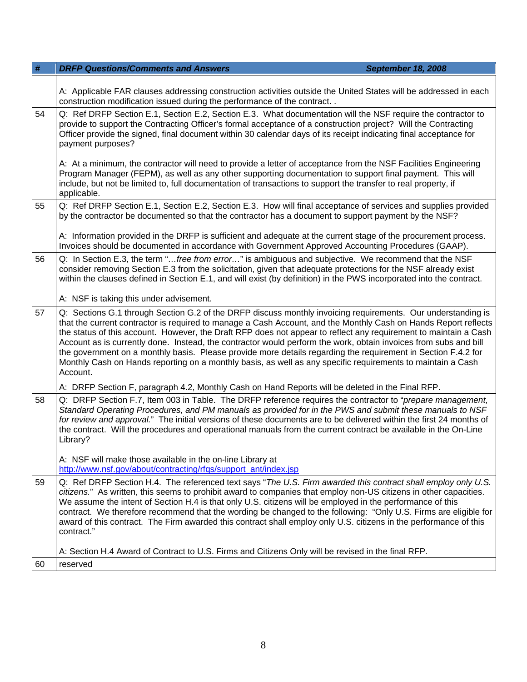| #  | <b>DRFP Questions/Comments and Answers</b><br><b>September 18, 2008</b>                                                                                                                                                                                                                                                                                                                                                                                                                                                                                                                                                                                                                                             |  |  |
|----|---------------------------------------------------------------------------------------------------------------------------------------------------------------------------------------------------------------------------------------------------------------------------------------------------------------------------------------------------------------------------------------------------------------------------------------------------------------------------------------------------------------------------------------------------------------------------------------------------------------------------------------------------------------------------------------------------------------------|--|--|
|    | A: Applicable FAR clauses addressing construction activities outside the United States will be addressed in each<br>construction modification issued during the performance of the contract. .                                                                                                                                                                                                                                                                                                                                                                                                                                                                                                                      |  |  |
| 54 | Q: Ref DRFP Section E.1, Section E.2, Section E.3. What documentation will the NSF require the contractor to<br>provide to support the Contracting Officer's formal acceptance of a construction project? Will the Contracting<br>Officer provide the signed, final document within 30 calendar days of its receipt indicating final acceptance for<br>payment purposes?                                                                                                                                                                                                                                                                                                                                            |  |  |
|    | A: At a minimum, the contractor will need to provide a letter of acceptance from the NSF Facilities Engineering<br>Program Manager (FEPM), as well as any other supporting documentation to support final payment. This will<br>include, but not be limited to, full documentation of transactions to support the transfer to real property, if<br>applicable.                                                                                                                                                                                                                                                                                                                                                      |  |  |
| 55 | Q: Ref DRFP Section E.1, Section E.2, Section E.3. How will final acceptance of services and supplies provided<br>by the contractor be documented so that the contractor has a document to support payment by the NSF?                                                                                                                                                                                                                                                                                                                                                                                                                                                                                              |  |  |
|    | A: Information provided in the DRFP is sufficient and adequate at the current stage of the procurement process.<br>Invoices should be documented in accordance with Government Approved Accounting Procedures (GAAP).                                                                                                                                                                                                                                                                                                                                                                                                                                                                                               |  |  |
| 56 | Q: In Section E.3, the term "free from error" is ambiguous and subjective. We recommend that the NSF<br>consider removing Section E.3 from the solicitation, given that adequate protections for the NSF already exist<br>within the clauses defined in Section E.1, and will exist (by definition) in the PWS incorporated into the contract.                                                                                                                                                                                                                                                                                                                                                                      |  |  |
|    | A: NSF is taking this under advisement.                                                                                                                                                                                                                                                                                                                                                                                                                                                                                                                                                                                                                                                                             |  |  |
| 57 | Q: Sections G.1 through Section G.2 of the DRFP discuss monthly invoicing requirements. Our understanding is<br>that the current contractor is required to manage a Cash Account, and the Monthly Cash on Hands Report reflects<br>the status of this account. However, the Draft RFP does not appear to reflect any requirement to maintain a Cash<br>Account as is currently done. Instead, the contractor would perform the work, obtain invoices from subs and bill<br>the government on a monthly basis. Please provide more details regarding the requirement in Section F.4.2 for<br>Monthly Cash on Hands reporting on a monthly basis, as well as any specific requirements to maintain a Cash<br>Account. |  |  |
|    | A: DRFP Section F, paragraph 4.2, Monthly Cash on Hand Reports will be deleted in the Final RFP.                                                                                                                                                                                                                                                                                                                                                                                                                                                                                                                                                                                                                    |  |  |
| 58 | Q: DRFP Section F.7, Item 003 in Table. The DRFP reference requires the contractor to "prepare management,<br>Standard Operating Procedures, and PM manuals as provided for in the PWS and submit these manuals to NSF<br>for review and approval." The initial versions of these documents are to be delivered within the first 24 months of<br>the contract. Will the procedures and operational manuals from the current contract be available in the On-Line<br>Library?                                                                                                                                                                                                                                        |  |  |
|    | A: NSF will make those available in the on-line Library at<br>http://www.nsf.gov/about/contracting/rfqs/support_ant/index.jsp                                                                                                                                                                                                                                                                                                                                                                                                                                                                                                                                                                                       |  |  |
| 59 | Q: Ref DRFP Section H.4. The referenced text says "The U.S. Firm awarded this contract shall employ only U.S.<br>citizens." As written, this seems to prohibit award to companies that employ non-US citizens in other capacities.<br>We assume the intent of Section H.4 is that only U.S. citizens will be employed in the performance of this<br>contract. We therefore recommend that the wording be changed to the following: "Only U.S. Firms are eligible for<br>award of this contract. The Firm awarded this contract shall employ only U.S. citizens in the performance of this<br>contract."                                                                                                             |  |  |
|    | A: Section H.4 Award of Contract to U.S. Firms and Citizens Only will be revised in the final RFP.                                                                                                                                                                                                                                                                                                                                                                                                                                                                                                                                                                                                                  |  |  |
| 60 | reserved                                                                                                                                                                                                                                                                                                                                                                                                                                                                                                                                                                                                                                                                                                            |  |  |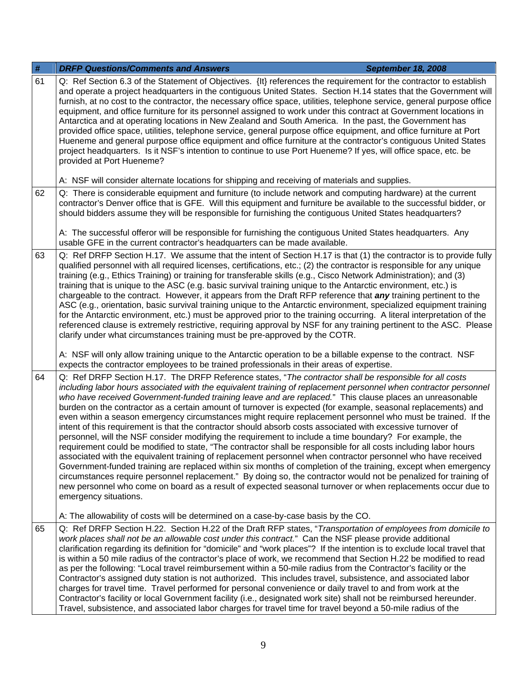| $\#$                                                                                                                                                                                                                                                                                                                                                 | <b>DRFP Questions/Comments and Answers</b><br><b>September 18, 2008</b>                                                                                                                                                                                                                                                                                                                                                                                                                                                                                                                                                                                                                                                                                                                                                                                                                                                                                                                                                                                                                                                                                                                                                                                                                                                                                                                                              |  |
|------------------------------------------------------------------------------------------------------------------------------------------------------------------------------------------------------------------------------------------------------------------------------------------------------------------------------------------------------|----------------------------------------------------------------------------------------------------------------------------------------------------------------------------------------------------------------------------------------------------------------------------------------------------------------------------------------------------------------------------------------------------------------------------------------------------------------------------------------------------------------------------------------------------------------------------------------------------------------------------------------------------------------------------------------------------------------------------------------------------------------------------------------------------------------------------------------------------------------------------------------------------------------------------------------------------------------------------------------------------------------------------------------------------------------------------------------------------------------------------------------------------------------------------------------------------------------------------------------------------------------------------------------------------------------------------------------------------------------------------------------------------------------------|--|
| 61                                                                                                                                                                                                                                                                                                                                                   | Q: Ref Section 6.3 of the Statement of Objectives. {It} references the requirement for the contractor to establish<br>and operate a project headquarters in the contiguous United States. Section H.14 states that the Government will<br>furnish, at no cost to the contractor, the necessary office space, utilities, telephone service, general purpose office<br>equipment, and office furniture for its personnel assigned to work under this contract at Government locations in<br>Antarctica and at operating locations in New Zealand and South America. In the past, the Government has<br>provided office space, utilities, telephone service, general purpose office equipment, and office furniture at Port<br>Hueneme and general purpose office equipment and office furniture at the contractor's contiguous United States<br>project headquarters. Is it NSF's intention to continue to use Port Hueneme? If yes, will office space, etc. be<br>provided at Port Hueneme?                                                                                                                                                                                                                                                                                                                                                                                                                           |  |
|                                                                                                                                                                                                                                                                                                                                                      | A: NSF will consider alternate locations for shipping and receiving of materials and supplies.                                                                                                                                                                                                                                                                                                                                                                                                                                                                                                                                                                                                                                                                                                                                                                                                                                                                                                                                                                                                                                                                                                                                                                                                                                                                                                                       |  |
| 62<br>Q: There is considerable equipment and furniture (to include network and computing hardware) at the current<br>contractor's Denver office that is GFE. Will this equipment and furniture be available to the successful bidder, or<br>should bidders assume they will be responsible for furnishing the contiguous United States headquarters? |                                                                                                                                                                                                                                                                                                                                                                                                                                                                                                                                                                                                                                                                                                                                                                                                                                                                                                                                                                                                                                                                                                                                                                                                                                                                                                                                                                                                                      |  |
|                                                                                                                                                                                                                                                                                                                                                      | A: The successful offeror will be responsible for furnishing the contiguous United States headquarters. Any<br>usable GFE in the current contractor's headquarters can be made available.                                                                                                                                                                                                                                                                                                                                                                                                                                                                                                                                                                                                                                                                                                                                                                                                                                                                                                                                                                                                                                                                                                                                                                                                                            |  |
| 63                                                                                                                                                                                                                                                                                                                                                   | Q: Ref DRFP Section H.17. We assume that the intent of Section H.17 is that (1) the contractor is to provide fully<br>qualified personnel with all required licenses, certifications, etc.; (2) the contractor is responsible for any unique<br>training (e.g., Ethics Training) or training for transferable skills (e.g., Cisco Network Administration); and (3)<br>training that is unique to the ASC (e.g. basic survival training unique to the Antarctic environment, etc.) is<br>chargeable to the contract. However, it appears from the Draft RFP reference that any training pertinent to the<br>ASC (e.g., orientation, basic survival training unique to the Antarctic environment, specialized equipment training<br>for the Antarctic environment, etc.) must be approved prior to the training occurring. A literal interpretation of the<br>referenced clause is extremely restrictive, requiring approval by NSF for any training pertinent to the ASC. Please<br>clarify under what circumstances training must be pre-approved by the COTR.                                                                                                                                                                                                                                                                                                                                                       |  |
|                                                                                                                                                                                                                                                                                                                                                      | A: NSF will only allow training unique to the Antarctic operation to be a billable expense to the contract. NSF<br>expects the contractor employees to be trained professionals in their areas of expertise.                                                                                                                                                                                                                                                                                                                                                                                                                                                                                                                                                                                                                                                                                                                                                                                                                                                                                                                                                                                                                                                                                                                                                                                                         |  |
| 64                                                                                                                                                                                                                                                                                                                                                   | Q: Ref DRFP Section H.17. The DRFP Reference states, "The contractor shall be responsible for all costs<br>including labor hours associated with the equivalent training of replacement personnel when contractor personnel<br>who have received Government-funded training leave and are replaced." This clause places an unreasonable<br>burden on the contractor as a certain amount of turnover is expected (for example, seasonal replacements) and<br>even within a season emergency circumstances might require replacement personnel who must be trained. If the<br>intent of this requirement is that the contractor should absorb costs associated with excessive turnover of<br>personnel, will the NSF consider modifying the requirement to include a time boundary? For example, the<br>requirement could be modified to state, "The contractor shall be responsible for all costs including labor hours<br>associated with the equivalent training of replacement personnel when contractor personnel who have received<br>Government-funded training are replaced within six months of completion of the training, except when emergency<br>circumstances require personnel replacement." By doing so, the contractor would not be penalized for training of<br>new personnel who come on board as a result of expected seasonal turnover or when replacements occur due to<br>emergency situations. |  |
|                                                                                                                                                                                                                                                                                                                                                      | A: The allowability of costs will be determined on a case-by-case basis by the CO.                                                                                                                                                                                                                                                                                                                                                                                                                                                                                                                                                                                                                                                                                                                                                                                                                                                                                                                                                                                                                                                                                                                                                                                                                                                                                                                                   |  |
| 65                                                                                                                                                                                                                                                                                                                                                   | Q: Ref DRFP Section H.22. Section H.22 of the Draft RFP states, "Transportation of employees from domicile to<br>work places shall not be an allowable cost under this contract." Can the NSF please provide additional<br>clarification regarding its definition for "domicile" and "work places"? If the intention is to exclude local travel that<br>is within a 50 mile radius of the contractor's place of work, we recommend that Section H.22 be modified to read<br>as per the following: "Local travel reimbursement within a 50-mile radius from the Contractor's facility or the<br>Contractor's assigned duty station is not authorized. This includes travel, subsistence, and associated labor<br>charges for travel time. Travel performed for personal convenience or daily travel to and from work at the<br>Contractor's facility or local Government facility (i.e., designated work site) shall not be reimbursed hereunder.<br>Travel, subsistence, and associated labor charges for travel time for travel beyond a 50-mile radius of the                                                                                                                                                                                                                                                                                                                                                      |  |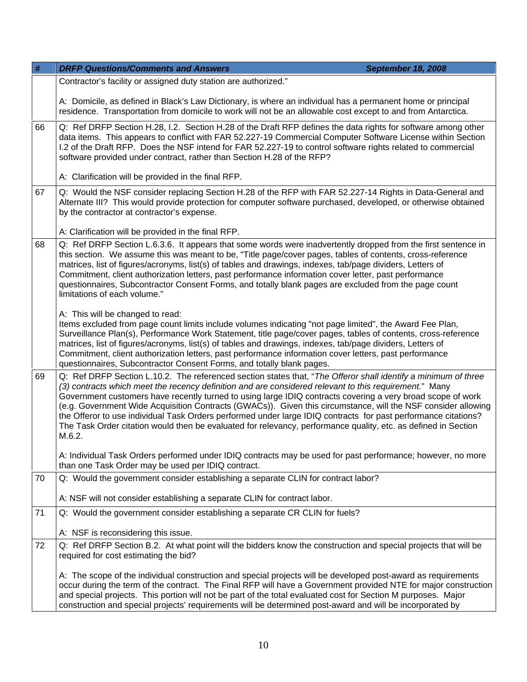| #  | <b>DRFP Questions/Comments and Answers</b><br><b>September 18, 2008</b>                                                                                                                                                                                                                                                                                                                                                                                                                                                                                                                                                                                                                                |  |
|----|--------------------------------------------------------------------------------------------------------------------------------------------------------------------------------------------------------------------------------------------------------------------------------------------------------------------------------------------------------------------------------------------------------------------------------------------------------------------------------------------------------------------------------------------------------------------------------------------------------------------------------------------------------------------------------------------------------|--|
|    | Contractor's facility or assigned duty station are authorized."                                                                                                                                                                                                                                                                                                                                                                                                                                                                                                                                                                                                                                        |  |
|    | A: Domicile, as defined in Black's Law Dictionary, is where an individual has a permanent home or principal<br>residence. Transportation from domicile to work will not be an allowable cost except to and from Antarctica.                                                                                                                                                                                                                                                                                                                                                                                                                                                                            |  |
| 66 | Q: Ref DRFP Section H.28, I.2. Section H.28 of the Draft RFP defines the data rights for software among other<br>data items. This appears to conflict with FAR 52.227-19 Commercial Computer Software License within Section<br>I.2 of the Draft RFP. Does the NSF intend for FAR 52.227-19 to control software rights related to commercial<br>software provided under contract, rather than Section H.28 of the RFP?                                                                                                                                                                                                                                                                                 |  |
|    | A: Clarification will be provided in the final RFP.                                                                                                                                                                                                                                                                                                                                                                                                                                                                                                                                                                                                                                                    |  |
| 67 | Q: Would the NSF consider replacing Section H.28 of the RFP with FAR 52.227-14 Rights in Data-General and<br>Alternate III? This would provide protection for computer software purchased, developed, or otherwise obtained<br>by the contractor at contractor's expense.                                                                                                                                                                                                                                                                                                                                                                                                                              |  |
|    | A: Clarification will be provided in the final RFP.                                                                                                                                                                                                                                                                                                                                                                                                                                                                                                                                                                                                                                                    |  |
| 68 | Q: Ref DRFP Section L.6.3.6. It appears that some words were inadvertently dropped from the first sentence in<br>this section. We assume this was meant to be, "Title page/cover pages, tables of contents, cross-reference<br>matrices, list of figures/acronyms, list(s) of tables and drawings, indexes, tab/page dividers, Letters of<br>Commitment, client authorization letters, past performance information cover letter, past performance<br>questionnaires, Subcontractor Consent Forms, and totally blank pages are excluded from the page count<br>limitations of each volume."                                                                                                            |  |
|    | A: This will be changed to read:                                                                                                                                                                                                                                                                                                                                                                                                                                                                                                                                                                                                                                                                       |  |
|    | Items excluded from page count limits include volumes indicating "not page limited", the Award Fee Plan,<br>Surveillance Plan(s), Performance Work Statement, title page/cover pages, tables of contents, cross-reference<br>matrices, list of figures/acronyms, list(s) of tables and drawings, indexes, tab/page dividers, Letters of<br>Commitment, client authorization letters, past performance information cover letters, past performance<br>questionnaires, Subcontractor Consent Forms, and totally blank pages.                                                                                                                                                                             |  |
| 69 | Q: Ref DRFP Section L.10.2. The referenced section states that, "The Offeror shall identify a minimum of three<br>(3) contracts which meet the recency definition and are considered relevant to this requirement." Many<br>Government customers have recently turned to using large IDIQ contracts covering a very broad scope of work<br>(e.g. Government Wide Acquisition Contracts (GWACs)). Given this circumstance, will the NSF consider allowing<br>the Offeror to use individual Task Orders performed under large IDIQ contracts for past performance citations?<br>The Task Order citation would then be evaluated for relevancy, performance quality, etc. as defined in Section<br>M.6.2. |  |
|    | A: Individual Task Orders performed under IDIQ contracts may be used for past performance; however, no more<br>than one Task Order may be used per IDIQ contract.                                                                                                                                                                                                                                                                                                                                                                                                                                                                                                                                      |  |
| 70 | Q: Would the government consider establishing a separate CLIN for contract labor?                                                                                                                                                                                                                                                                                                                                                                                                                                                                                                                                                                                                                      |  |
|    | A: NSF will not consider establishing a separate CLIN for contract labor.                                                                                                                                                                                                                                                                                                                                                                                                                                                                                                                                                                                                                              |  |
| 71 | Q: Would the government consider establishing a separate CR CLIN for fuels?                                                                                                                                                                                                                                                                                                                                                                                                                                                                                                                                                                                                                            |  |
|    | A: NSF is reconsidering this issue.                                                                                                                                                                                                                                                                                                                                                                                                                                                                                                                                                                                                                                                                    |  |
| 72 | Q: Ref DRFP Section B.2. At what point will the bidders know the construction and special projects that will be<br>required for cost estimating the bid?                                                                                                                                                                                                                                                                                                                                                                                                                                                                                                                                               |  |
|    | A: The scope of the individual construction and special projects will be developed post-award as requirements<br>occur during the term of the contract. The Final RFP will have a Government provided NTE for major construction<br>and special projects. This portion will not be part of the total evaluated cost for Section M purposes. Major<br>construction and special projects' requirements will be determined post-award and will be incorporated by                                                                                                                                                                                                                                         |  |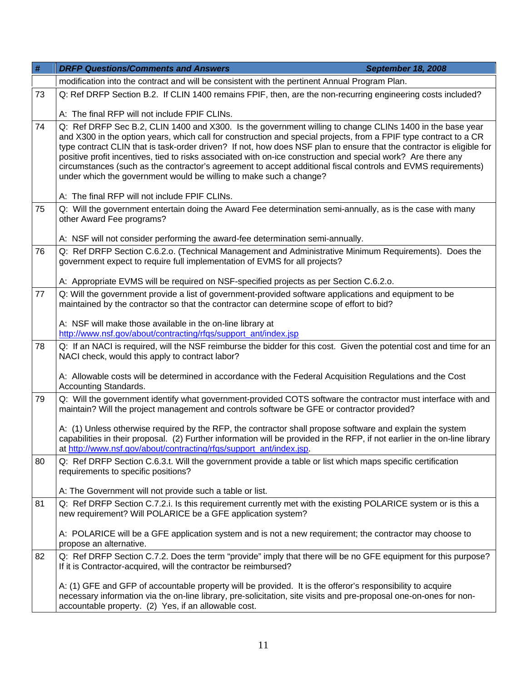| $\#$                                                                                                                                                                          | <b>DRFP Questions/Comments and Answers</b><br><b>September 18, 2008</b>                                                                                                                                                                                                                                                                                                                                                                                                                                                                                                                                                                                        |  |
|-------------------------------------------------------------------------------------------------------------------------------------------------------------------------------|----------------------------------------------------------------------------------------------------------------------------------------------------------------------------------------------------------------------------------------------------------------------------------------------------------------------------------------------------------------------------------------------------------------------------------------------------------------------------------------------------------------------------------------------------------------------------------------------------------------------------------------------------------------|--|
|                                                                                                                                                                               | modification into the contract and will be consistent with the pertinent Annual Program Plan.                                                                                                                                                                                                                                                                                                                                                                                                                                                                                                                                                                  |  |
| 73                                                                                                                                                                            | Q: Ref DRFP Section B.2. If CLIN 1400 remains FPIF, then, are the non-recurring engineering costs included?                                                                                                                                                                                                                                                                                                                                                                                                                                                                                                                                                    |  |
|                                                                                                                                                                               | A: The final RFP will not include FPIF CLINs.                                                                                                                                                                                                                                                                                                                                                                                                                                                                                                                                                                                                                  |  |
| 74                                                                                                                                                                            | Q: Ref DRFP Sec B.2, CLIN 1400 and X300. Is the government willing to change CLINs 1400 in the base year<br>and X300 in the option years, which call for construction and special projects, from a FPIF type contract to a CR<br>type contract CLIN that is task-order driven? If not, how does NSF plan to ensure that the contractor is eligible for<br>positive profit incentives, tied to risks associated with on-ice construction and special work? Are there any<br>circumstances (such as the contractor's agreement to accept additional fiscal controls and EVMS requirements)<br>under which the government would be willing to make such a change? |  |
|                                                                                                                                                                               | A: The final RFP will not include FPIF CLINs.                                                                                                                                                                                                                                                                                                                                                                                                                                                                                                                                                                                                                  |  |
| 75                                                                                                                                                                            | Q: Will the government entertain doing the Award Fee determination semi-annually, as is the case with many<br>other Award Fee programs?                                                                                                                                                                                                                                                                                                                                                                                                                                                                                                                        |  |
|                                                                                                                                                                               | A: NSF will not consider performing the award-fee determination semi-annually.                                                                                                                                                                                                                                                                                                                                                                                                                                                                                                                                                                                 |  |
| 76                                                                                                                                                                            | Q: Ref DRFP Section C.6.2.o. (Technical Management and Administrative Minimum Requirements). Does the<br>government expect to require full implementation of EVMS for all projects?                                                                                                                                                                                                                                                                                                                                                                                                                                                                            |  |
|                                                                                                                                                                               | A: Appropriate EVMS will be required on NSF-specified projects as per Section C.6.2.o.                                                                                                                                                                                                                                                                                                                                                                                                                                                                                                                                                                         |  |
| 77                                                                                                                                                                            | Q: Will the government provide a list of government-provided software applications and equipment to be<br>maintained by the contractor so that the contractor can determine scope of effort to bid?                                                                                                                                                                                                                                                                                                                                                                                                                                                            |  |
|                                                                                                                                                                               | A: NSF will make those available in the on-line library at<br>http://www.nsf.gov/about/contracting/rfqs/support_ant/index.jsp                                                                                                                                                                                                                                                                                                                                                                                                                                                                                                                                  |  |
| Q: If an NACI is required, will the NSF reimburse the bidder for this cost. Given the potential cost and time for an<br>78<br>NACI check, would this apply to contract labor? |                                                                                                                                                                                                                                                                                                                                                                                                                                                                                                                                                                                                                                                                |  |
|                                                                                                                                                                               | A: Allowable costs will be determined in accordance with the Federal Acquisition Regulations and the Cost<br>Accounting Standards.                                                                                                                                                                                                                                                                                                                                                                                                                                                                                                                             |  |
| 79                                                                                                                                                                            | Q: Will the government identify what government-provided COTS software the contractor must interface with and<br>maintain? Will the project management and controls software be GFE or contractor provided?                                                                                                                                                                                                                                                                                                                                                                                                                                                    |  |
|                                                                                                                                                                               | A: (1) Unless otherwise required by the RFP, the contractor shall propose software and explain the system<br>capabilities in their proposal. (2) Further information will be provided in the RFP, if not earlier in the on-line library<br>at http://www.nsf.gov/about/contracting/rfqs/support_ant/index.jsp.                                                                                                                                                                                                                                                                                                                                                 |  |
| 80                                                                                                                                                                            | Q: Ref DRFP Section C.6.3.t. Will the government provide a table or list which maps specific certification<br>requirements to specific positions?                                                                                                                                                                                                                                                                                                                                                                                                                                                                                                              |  |
|                                                                                                                                                                               | A: The Government will not provide such a table or list.                                                                                                                                                                                                                                                                                                                                                                                                                                                                                                                                                                                                       |  |
| 81                                                                                                                                                                            | Q: Ref DRFP Section C.7.2.i. Is this requirement currently met with the existing POLARICE system or is this a<br>new requirement? Will POLARICE be a GFE application system?                                                                                                                                                                                                                                                                                                                                                                                                                                                                                   |  |
|                                                                                                                                                                               | A: POLARICE will be a GFE application system and is not a new requirement; the contractor may choose to<br>propose an alternative.                                                                                                                                                                                                                                                                                                                                                                                                                                                                                                                             |  |
| 82                                                                                                                                                                            | Q: Ref DRFP Section C.7.2. Does the term "provide" imply that there will be no GFE equipment for this purpose?<br>If it is Contractor-acquired, will the contractor be reimbursed?                                                                                                                                                                                                                                                                                                                                                                                                                                                                             |  |
|                                                                                                                                                                               | A: (1) GFE and GFP of accountable property will be provided. It is the offeror's responsibility to acquire<br>necessary information via the on-line library, pre-solicitation, site visits and pre-proposal one-on-ones for non-<br>accountable property. (2) Yes, if an allowable cost.                                                                                                                                                                                                                                                                                                                                                                       |  |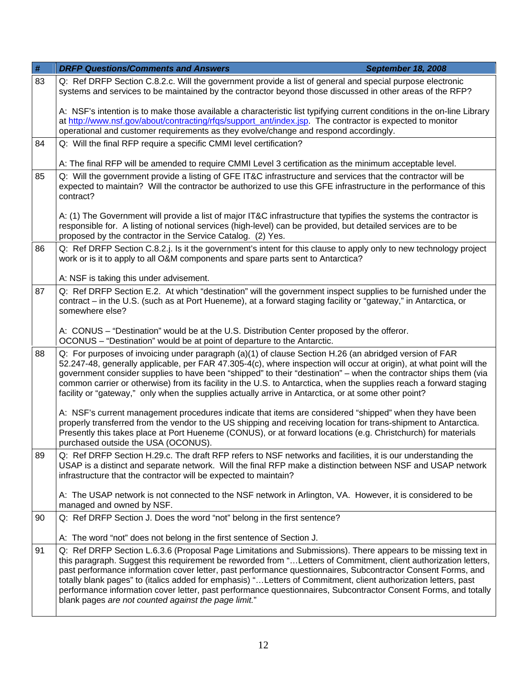| $\#$ | <b>DRFP Questions/Comments and Answers</b>                                                                                                                                                                                                                                                                                                                                                                                                                                                                                                                                                                                                    | <b>September 18, 2008</b> |  |
|------|-----------------------------------------------------------------------------------------------------------------------------------------------------------------------------------------------------------------------------------------------------------------------------------------------------------------------------------------------------------------------------------------------------------------------------------------------------------------------------------------------------------------------------------------------------------------------------------------------------------------------------------------------|---------------------------|--|
| 83   | Q: Ref DRFP Section C.8.2.c. Will the government provide a list of general and special purpose electronic<br>systems and services to be maintained by the contractor beyond those discussed in other areas of the RFP?                                                                                                                                                                                                                                                                                                                                                                                                                        |                           |  |
|      | A: NSF's intention is to make those available a characteristic list typifying current conditions in the on-line Library<br>at http://www.nsf.gov/about/contracting/rfgs/support_ant/index.jsp. The contractor is expected to monitor<br>operational and customer requirements as they evolve/change and respond accordingly.                                                                                                                                                                                                                                                                                                                  |                           |  |
| 84   | Q: Will the final RFP require a specific CMMI level certification?                                                                                                                                                                                                                                                                                                                                                                                                                                                                                                                                                                            |                           |  |
|      | A: The final RFP will be amended to require CMMI Level 3 certification as the minimum acceptable level.                                                                                                                                                                                                                                                                                                                                                                                                                                                                                                                                       |                           |  |
| 85   | Q: Will the government provide a listing of GFE IT&C infrastructure and services that the contractor will be<br>expected to maintain? Will the contractor be authorized to use this GFE infrastructure in the performance of this<br>contract?                                                                                                                                                                                                                                                                                                                                                                                                |                           |  |
|      | A: (1) The Government will provide a list of major IT&C infrastructure that typifies the systems the contractor is<br>responsible for. A listing of notional services (high-level) can be provided, but detailed services are to be<br>proposed by the contractor in the Service Catalog. (2) Yes.                                                                                                                                                                                                                                                                                                                                            |                           |  |
| 86   | Q: Ref DRFP Section C.8.2.j. Is it the government's intent for this clause to apply only to new technology project<br>work or is it to apply to all O&M components and spare parts sent to Antarctica?                                                                                                                                                                                                                                                                                                                                                                                                                                        |                           |  |
|      | A: NSF is taking this under advisement.                                                                                                                                                                                                                                                                                                                                                                                                                                                                                                                                                                                                       |                           |  |
| 87   | Q: Ref DRFP Section E.2. At which "destination" will the government inspect supplies to be furnished under the<br>contract – in the U.S. (such as at Port Hueneme), at a forward staging facility or "gateway," in Antarctica, or<br>somewhere else?                                                                                                                                                                                                                                                                                                                                                                                          |                           |  |
|      | A: CONUS - "Destination" would be at the U.S. Distribution Center proposed by the offeror.<br>OCONUS - "Destination" would be at point of departure to the Antarctic.                                                                                                                                                                                                                                                                                                                                                                                                                                                                         |                           |  |
| 88   | Q: For purposes of invoicing under paragraph (a)(1) of clause Section H.26 (an abridged version of FAR<br>52.247-48, generally applicable, per FAR 47.305-4(c), where inspection will occur at origin), at what point will the<br>government consider supplies to have been "shipped" to their "destination" – when the contractor ships them (via<br>common carrier or otherwise) from its facility in the U.S. to Antarctica, when the supplies reach a forward staging<br>facility or "gateway," only when the supplies actually arrive in Antarctica, or at some other point?                                                             |                           |  |
|      | A: NSF's current management procedures indicate that items are considered "shipped" when they have been<br>properly transferred from the vendor to the US shipping and receiving location for trans-shipment to Antarctica.<br>Presently this takes place at Port Hueneme (CONUS), or at forward locations (e.g. Christchurch) for materials<br>purchased outside the USA (OCONUS).                                                                                                                                                                                                                                                           |                           |  |
| 89   | Q: Ref DRFP Section H.29.c. The draft RFP refers to NSF networks and facilities, it is our understanding the<br>USAP is a distinct and separate network. Will the final RFP make a distinction between NSF and USAP network<br>infrastructure that the contractor will be expected to maintain?                                                                                                                                                                                                                                                                                                                                               |                           |  |
|      | A: The USAP network is not connected to the NSF network in Arlington, VA. However, it is considered to be<br>managed and owned by NSF.                                                                                                                                                                                                                                                                                                                                                                                                                                                                                                        |                           |  |
| 90   | Q: Ref DRFP Section J. Does the word "not" belong in the first sentence?                                                                                                                                                                                                                                                                                                                                                                                                                                                                                                                                                                      |                           |  |
|      | A: The word "not" does not belong in the first sentence of Section J.                                                                                                                                                                                                                                                                                                                                                                                                                                                                                                                                                                         |                           |  |
| 91   | Q: Ref DRFP Section L.6.3.6 (Proposal Page Limitations and Submissions). There appears to be missing text in<br>this paragraph. Suggest this requirement be reworded from "Letters of Commitment, client authorization letters,<br>past performance information cover letter, past performance questionnaires, Subcontractor Consent Forms, and<br>totally blank pages" to (italics added for emphasis) "Letters of Commitment, client authorization letters, past<br>performance information cover letter, past performance questionnaires, Subcontractor Consent Forms, and totally<br>blank pages are not counted against the page limit." |                           |  |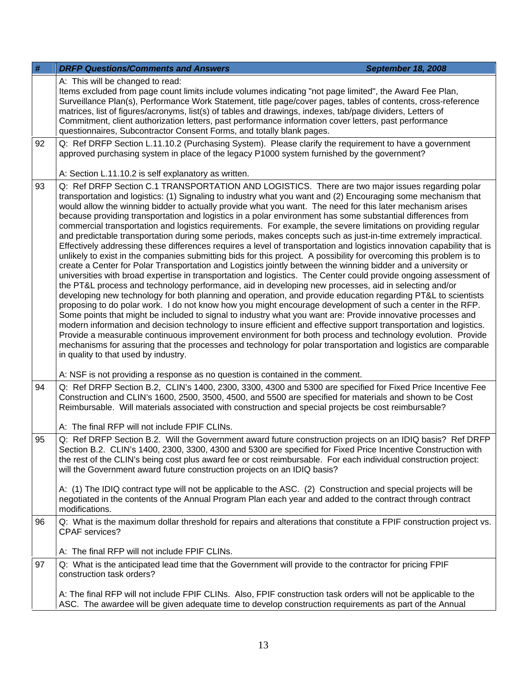| #  | <b>DRFP Questions/Comments and Answers</b>                                                                                                                                                                                                                                                                                                                                                                                                                                                                                                                                                                                                                                                                                                                                                                                                                                                                                                                                                                                                                                                                                                                                                                                                                                                                                                                                                                                                                                                                                                                                                                                                                                                                                                                                                                                                                                                                                                                                                                                         | <b>September 18, 2008</b> |
|----|------------------------------------------------------------------------------------------------------------------------------------------------------------------------------------------------------------------------------------------------------------------------------------------------------------------------------------------------------------------------------------------------------------------------------------------------------------------------------------------------------------------------------------------------------------------------------------------------------------------------------------------------------------------------------------------------------------------------------------------------------------------------------------------------------------------------------------------------------------------------------------------------------------------------------------------------------------------------------------------------------------------------------------------------------------------------------------------------------------------------------------------------------------------------------------------------------------------------------------------------------------------------------------------------------------------------------------------------------------------------------------------------------------------------------------------------------------------------------------------------------------------------------------------------------------------------------------------------------------------------------------------------------------------------------------------------------------------------------------------------------------------------------------------------------------------------------------------------------------------------------------------------------------------------------------------------------------------------------------------------------------------------------------|---------------------------|
|    | A: This will be changed to read:<br>Items excluded from page count limits include volumes indicating "not page limited", the Award Fee Plan,<br>Surveillance Plan(s), Performance Work Statement, title page/cover pages, tables of contents, cross-reference<br>matrices, list of figures/acronyms, list(s) of tables and drawings, indexes, tab/page dividers, Letters of<br>Commitment, client authorization letters, past performance information cover letters, past performance<br>questionnaires, Subcontractor Consent Forms, and totally blank pages.                                                                                                                                                                                                                                                                                                                                                                                                                                                                                                                                                                                                                                                                                                                                                                                                                                                                                                                                                                                                                                                                                                                                                                                                                                                                                                                                                                                                                                                                     |                           |
| 92 | Q: Ref DRFP Section L.11.10.2 (Purchasing System). Please clarify the requirement to have a government<br>approved purchasing system in place of the legacy P1000 system furnished by the government?                                                                                                                                                                                                                                                                                                                                                                                                                                                                                                                                                                                                                                                                                                                                                                                                                                                                                                                                                                                                                                                                                                                                                                                                                                                                                                                                                                                                                                                                                                                                                                                                                                                                                                                                                                                                                              |                           |
|    | A: Section L.11.10.2 is self explanatory as written.                                                                                                                                                                                                                                                                                                                                                                                                                                                                                                                                                                                                                                                                                                                                                                                                                                                                                                                                                                                                                                                                                                                                                                                                                                                                                                                                                                                                                                                                                                                                                                                                                                                                                                                                                                                                                                                                                                                                                                               |                           |
| 93 | Q: Ref DRFP Section C.1 TRANSPORTATION AND LOGISTICS. There are two major issues regarding polar<br>transportation and logistics: (1) Signaling to industry what you want and (2) Encouraging some mechanism that<br>would allow the winning bidder to actually provide what you want. The need for this later mechanism arises<br>because providing transportation and logistics in a polar environment has some substantial differences from<br>commercial transportation and logistics requirements. For example, the severe limitations on providing regular<br>and predictable transportation during some periods, makes concepts such as just-in-time extremely impractical.<br>Effectively addressing these differences requires a level of transportation and logistics innovation capability that is<br>unlikely to exist in the companies submitting bids for this project. A possibility for overcoming this problem is to<br>create a Center for Polar Transportation and Logistics jointly between the winning bidder and a university or<br>universities with broad expertise in transportation and logistics. The Center could provide ongoing assessment of<br>the PT&L process and technology performance, aid in developing new processes, aid in selecting and/or<br>developing new technology for both planning and operation, and provide education regarding PT&L to scientists<br>proposing to do polar work. I do not know how you might encourage development of such a center in the RFP.<br>Some points that might be included to signal to industry what you want are: Provide innovative processes and<br>modern information and decision technology to insure efficient and effective support transportation and logistics.<br>Provide a measurable continuous improvement environment for both process and technology evolution. Provide<br>mechanisms for assuring that the processes and technology for polar transportation and logistics are comparable<br>in quality to that used by industry. |                           |
|    | A: NSF is not providing a response as no question is contained in the comment.                                                                                                                                                                                                                                                                                                                                                                                                                                                                                                                                                                                                                                                                                                                                                                                                                                                                                                                                                                                                                                                                                                                                                                                                                                                                                                                                                                                                                                                                                                                                                                                                                                                                                                                                                                                                                                                                                                                                                     |                           |
| 94 | Q: Ref DRFP Section B.2, CLIN's 1400, 2300, 3300, 4300 and 5300 are specified for Fixed Price Incentive Fee<br>Construction and CLIN's 1600, 2500, 3500, 4500, and 5500 are specified for materials and shown to be Cost<br>Reimbursable. Will materials associated with construction and special projects be cost reimbursable?                                                                                                                                                                                                                                                                                                                                                                                                                                                                                                                                                                                                                                                                                                                                                                                                                                                                                                                                                                                                                                                                                                                                                                                                                                                                                                                                                                                                                                                                                                                                                                                                                                                                                                   |                           |
|    | A: The final RFP will not include FPIF CLINs.                                                                                                                                                                                                                                                                                                                                                                                                                                                                                                                                                                                                                                                                                                                                                                                                                                                                                                                                                                                                                                                                                                                                                                                                                                                                                                                                                                                                                                                                                                                                                                                                                                                                                                                                                                                                                                                                                                                                                                                      |                           |
| 95 | Q: Ref DRFP Section B.2. Will the Government award future construction projects on an IDIQ basis? Ref DRFP<br>Section B.2. CLIN's 1400, 2300, 3300, 4300 and 5300 are specified for Fixed Price Incentive Construction with<br>the rest of the CLIN's being cost plus award fee or cost reimbursable. For each individual construction project:<br>will the Government award future construction projects on an IDIQ basis?                                                                                                                                                                                                                                                                                                                                                                                                                                                                                                                                                                                                                                                                                                                                                                                                                                                                                                                                                                                                                                                                                                                                                                                                                                                                                                                                                                                                                                                                                                                                                                                                        |                           |
|    | A: (1) The IDIQ contract type will not be applicable to the ASC. (2) Construction and special projects will be<br>negotiated in the contents of the Annual Program Plan each year and added to the contract through contract<br>modifications.                                                                                                                                                                                                                                                                                                                                                                                                                                                                                                                                                                                                                                                                                                                                                                                                                                                                                                                                                                                                                                                                                                                                                                                                                                                                                                                                                                                                                                                                                                                                                                                                                                                                                                                                                                                     |                           |
| 96 | Q: What is the maximum dollar threshold for repairs and alterations that constitute a FPIF construction project vs.<br><b>CPAF</b> services?                                                                                                                                                                                                                                                                                                                                                                                                                                                                                                                                                                                                                                                                                                                                                                                                                                                                                                                                                                                                                                                                                                                                                                                                                                                                                                                                                                                                                                                                                                                                                                                                                                                                                                                                                                                                                                                                                       |                           |
|    | A: The final RFP will not include FPIF CLINs.                                                                                                                                                                                                                                                                                                                                                                                                                                                                                                                                                                                                                                                                                                                                                                                                                                                                                                                                                                                                                                                                                                                                                                                                                                                                                                                                                                                                                                                                                                                                                                                                                                                                                                                                                                                                                                                                                                                                                                                      |                           |
| 97 | Q: What is the anticipated lead time that the Government will provide to the contractor for pricing FPIF<br>construction task orders?                                                                                                                                                                                                                                                                                                                                                                                                                                                                                                                                                                                                                                                                                                                                                                                                                                                                                                                                                                                                                                                                                                                                                                                                                                                                                                                                                                                                                                                                                                                                                                                                                                                                                                                                                                                                                                                                                              |                           |
|    | A: The final RFP will not include FPIF CLINs. Also, FPIF construction task orders will not be applicable to the<br>ASC. The awardee will be given adequate time to develop construction requirements as part of the Annual                                                                                                                                                                                                                                                                                                                                                                                                                                                                                                                                                                                                                                                                                                                                                                                                                                                                                                                                                                                                                                                                                                                                                                                                                                                                                                                                                                                                                                                                                                                                                                                                                                                                                                                                                                                                         |                           |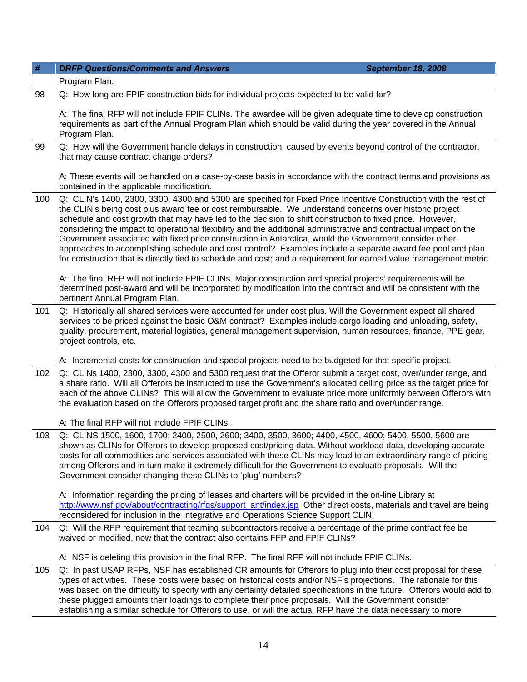| $\#$ | <b>DRFP Questions/Comments and Answers</b><br><b>September 18, 2008</b>                                                                                                                                                                                                                                                                                                                                                                                                                                                                                                                                                                                                                                                                                                                                                                                                                                                                                                                                                                                                        |
|------|--------------------------------------------------------------------------------------------------------------------------------------------------------------------------------------------------------------------------------------------------------------------------------------------------------------------------------------------------------------------------------------------------------------------------------------------------------------------------------------------------------------------------------------------------------------------------------------------------------------------------------------------------------------------------------------------------------------------------------------------------------------------------------------------------------------------------------------------------------------------------------------------------------------------------------------------------------------------------------------------------------------------------------------------------------------------------------|
|      | Program Plan.                                                                                                                                                                                                                                                                                                                                                                                                                                                                                                                                                                                                                                                                                                                                                                                                                                                                                                                                                                                                                                                                  |
| 98   | Q: How long are FPIF construction bids for individual projects expected to be valid for?                                                                                                                                                                                                                                                                                                                                                                                                                                                                                                                                                                                                                                                                                                                                                                                                                                                                                                                                                                                       |
|      | A: The final RFP will not include FPIF CLINs. The awardee will be given adequate time to develop construction<br>requirements as part of the Annual Program Plan which should be valid during the year covered in the Annual<br>Program Plan.                                                                                                                                                                                                                                                                                                                                                                                                                                                                                                                                                                                                                                                                                                                                                                                                                                  |
| 99   | Q: How will the Government handle delays in construction, caused by events beyond control of the contractor,<br>that may cause contract change orders?                                                                                                                                                                                                                                                                                                                                                                                                                                                                                                                                                                                                                                                                                                                                                                                                                                                                                                                         |
|      | A: These events will be handled on a case-by-case basis in accordance with the contract terms and provisions as<br>contained in the applicable modification.                                                                                                                                                                                                                                                                                                                                                                                                                                                                                                                                                                                                                                                                                                                                                                                                                                                                                                                   |
| 100  | Q: CLIN's 1400, 2300, 3300, 4300 and 5300 are specified for Fixed Price Incentive Construction with the rest of<br>the CLIN's being cost plus award fee or cost reimbursable. We understand concerns over historic project<br>schedule and cost growth that may have led to the decision to shift construction to fixed price. However,<br>considering the impact to operational flexibility and the additional administrative and contractual impact on the<br>Government associated with fixed price construction in Antarctica, would the Government consider other<br>approaches to accomplishing schedule and cost control? Examples include a separate award fee pool and plan<br>for construction that is directly tied to schedule and cost; and a requirement for earned value management metric<br>A: The final RFP will not include FPIF CLINs. Major construction and special projects' requirements will be<br>determined post-award and will be incorporated by modification into the contract and will be consistent with the<br>pertinent Annual Program Plan. |
| 101  | Q: Historically all shared services were accounted for under cost plus. Will the Government expect all shared<br>services to be priced against the basic O&M contract? Examples include cargo loading and unloading, safety,<br>quality, procurement, material logistics, general management supervision, human resources, finance, PPE gear,<br>project controls, etc.                                                                                                                                                                                                                                                                                                                                                                                                                                                                                                                                                                                                                                                                                                        |
|      | A: Incremental costs for construction and special projects need to be budgeted for that specific project.                                                                                                                                                                                                                                                                                                                                                                                                                                                                                                                                                                                                                                                                                                                                                                                                                                                                                                                                                                      |
| 102  | Q: CLINs 1400, 2300, 3300, 4300 and 5300 request that the Offeror submit a target cost, over/under range, and<br>a share ratio. Will all Offerors be instructed to use the Government's allocated ceiling price as the target price for<br>each of the above CLINs? This will allow the Government to evaluate price more uniformly between Offerors with<br>the evaluation based on the Offerors proposed target profit and the share ratio and over/under range.                                                                                                                                                                                                                                                                                                                                                                                                                                                                                                                                                                                                             |
|      | A: The final RFP will not include FPIF CLINs.                                                                                                                                                                                                                                                                                                                                                                                                                                                                                                                                                                                                                                                                                                                                                                                                                                                                                                                                                                                                                                  |
| 103  | Q: CLINS 1500, 1600, 1700; 2400, 2500, 2600; 3400, 3500, 3600; 4400, 4500, 4600; 5400, 5500, 5600 are<br>shown as CLINs for Offerors to develop proposed cost/pricing data. Without workload data, developing accurate<br>costs for all commodities and services associated with these CLINs may lead to an extraordinary range of pricing<br>among Offerors and in turn make it extremely difficult for the Government to evaluate proposals. Will the<br>Government consider changing these CLINs to 'plug' numbers?                                                                                                                                                                                                                                                                                                                                                                                                                                                                                                                                                         |
|      | A: Information regarding the pricing of leases and charters will be provided in the on-line Library at<br>http://www.nsf.gov/about/contracting/rfgs/support_ant/index.jsp Other direct costs, materials and travel are being<br>reconsidered for inclusion in the Integrative and Operations Science Support CLIN.                                                                                                                                                                                                                                                                                                                                                                                                                                                                                                                                                                                                                                                                                                                                                             |
| 104  | Q: Will the RFP requirement that teaming subcontractors receive a percentage of the prime contract fee be<br>waived or modified, now that the contract also contains FFP and FPIF CLINs?                                                                                                                                                                                                                                                                                                                                                                                                                                                                                                                                                                                                                                                                                                                                                                                                                                                                                       |
|      | A: NSF is deleting this provision in the final RFP. The final RFP will not include FPIF CLINs.                                                                                                                                                                                                                                                                                                                                                                                                                                                                                                                                                                                                                                                                                                                                                                                                                                                                                                                                                                                 |
| 105  | Q: In past USAP RFPs, NSF has established CR amounts for Offerors to plug into their cost proposal for these<br>types of activities. These costs were based on historical costs and/or NSF's projections. The rationale for this<br>was based on the difficulty to specify with any certainty detailed specifications in the future. Offerors would add to<br>these plugged amounts their loadings to complete their price proposals. Will the Government consider<br>establishing a similar schedule for Offerors to use, or will the actual RFP have the data necessary to more                                                                                                                                                                                                                                                                                                                                                                                                                                                                                              |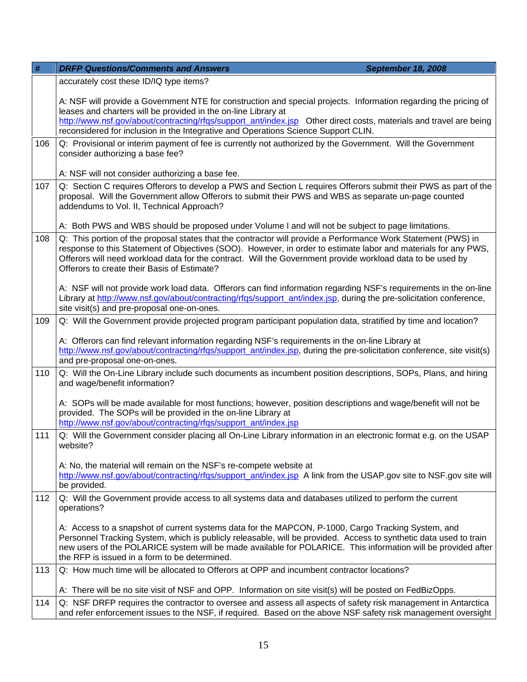| #   | <b>DRFP Questions/Comments and Answers</b><br><b>September 18, 2008</b>                                                                                                                                                                                                                                                                                                                        |
|-----|------------------------------------------------------------------------------------------------------------------------------------------------------------------------------------------------------------------------------------------------------------------------------------------------------------------------------------------------------------------------------------------------|
|     | accurately cost these ID/IQ type items?                                                                                                                                                                                                                                                                                                                                                        |
|     | A: NSF will provide a Government NTE for construction and special projects. Information regarding the pricing of<br>leases and charters will be provided in the on-line Library at<br>http://www.nsf.gov/about/contracting/rfgs/support_ant/index.jsp Other direct costs, materials and travel are being<br>reconsidered for inclusion in the Integrative and Operations Science Support CLIN. |
| 106 | Q: Provisional or interim payment of fee is currently not authorized by the Government. Will the Government                                                                                                                                                                                                                                                                                    |
|     | consider authorizing a base fee?                                                                                                                                                                                                                                                                                                                                                               |
|     | A: NSF will not consider authorizing a base fee.                                                                                                                                                                                                                                                                                                                                               |
| 107 | Q: Section C requires Offerors to develop a PWS and Section L requires Offerors submit their PWS as part of the<br>proposal. Will the Government allow Offerors to submit their PWS and WBS as separate un-page counted<br>addendums to Vol. II, Technical Approach?                                                                                                                           |
|     | A: Both PWS and WBS should be proposed under Volume I and will not be subject to page limitations.                                                                                                                                                                                                                                                                                             |
| 108 | Q: This portion of the proposal states that the contractor will provide a Performance Work Statement (PWS) in<br>response to this Statement of Objectives (SOO). However, in order to estimate labor and materials for any PWS,<br>Offerors will need workload data for the contract. Will the Government provide workload data to be used by<br>Offerors to create their Basis of Estimate?   |
|     | A: NSF will not provide work load data. Offerors can find information regarding NSF's requirements in the on-line<br>Library at http://www.nsf.gov/about/contracting/rfgs/support_ant/index.jsp, during the pre-solicitation conference,<br>site visit(s) and pre-proposal one-on-ones.                                                                                                        |
| 109 | Q: Will the Government provide projected program participant population data, stratified by time and location?                                                                                                                                                                                                                                                                                 |
|     | A: Offerors can find relevant information regarding NSF's requirements in the on-line Library at<br>http://www.nsf.gov/about/contracting/rfgs/support_ant/index.jsp, during the pre-solicitation conference, site visit(s)<br>and pre-proposal one-on-ones.                                                                                                                                    |
| 110 | Q: Will the On-Line Library include such documents as incumbent position descriptions, SOPs, Plans, and hiring<br>and wage/benefit information?                                                                                                                                                                                                                                                |
|     | A: SOPs will be made available for most functions; however, position descriptions and wage/benefit will not be<br>provided. The SOPs will be provided in the on-line Library at<br>http://www.nsf.gov/about/contracting/rfqs/support_ant/index.jsp                                                                                                                                             |
| 111 | Q: Will the Government consider placing all On-Line Library information in an electronic format e.g. on the USAP<br>website?                                                                                                                                                                                                                                                                   |
|     | A: No, the material will remain on the NSF's re-compete website at<br>http://www.nsf.gov/about/contracting/rfgs/support_ant/index.jsp A link from the USAP.gov site to NSF.gov site will<br>be provided.                                                                                                                                                                                       |
| 112 | Q: Will the Government provide access to all systems data and databases utilized to perform the current<br>operations?                                                                                                                                                                                                                                                                         |
|     | A: Access to a snapshot of current systems data for the MAPCON, P-1000, Cargo Tracking System, and<br>Personnel Tracking System, which is publicly releasable, will be provided. Access to synthetic data used to train<br>new users of the POLARICE system will be made available for POLARICE. This information will be provided after<br>the RFP is issued in a form to be determined.      |
| 113 | Q: How much time will be allocated to Offerors at OPP and incumbent contractor locations?                                                                                                                                                                                                                                                                                                      |
|     | A: There will be no site visit of NSF and OPP. Information on site visit(s) will be posted on FedBizOpps.                                                                                                                                                                                                                                                                                      |
| 114 | Q: NSF DRFP requires the contractor to oversee and assess all aspects of safety risk management in Antarctica<br>and refer enforcement issues to the NSF, if required. Based on the above NSF safety risk management oversight                                                                                                                                                                 |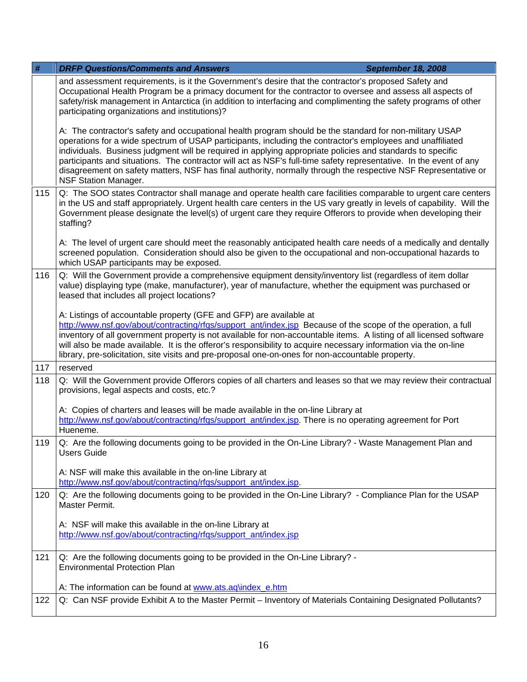| #   | <b>DRFP Questions/Comments and Answers</b><br>September 18, 2008                                                                                                                                                                                                                                                                                                                                                                                                                                                                                                                                           |
|-----|------------------------------------------------------------------------------------------------------------------------------------------------------------------------------------------------------------------------------------------------------------------------------------------------------------------------------------------------------------------------------------------------------------------------------------------------------------------------------------------------------------------------------------------------------------------------------------------------------------|
|     | and assessment requirements, is it the Government's desire that the contractor's proposed Safety and<br>Occupational Health Program be a primacy document for the contractor to oversee and assess all aspects of<br>safety/risk management in Antarctica (in addition to interfacing and complimenting the safety programs of other<br>participating organizations and institutions)?                                                                                                                                                                                                                     |
|     | A: The contractor's safety and occupational health program should be the standard for non-military USAP<br>operations for a wide spectrum of USAP participants, including the contractor's employees and unaffiliated<br>individuals. Business judgment will be required in applying appropriate policies and standards to specific<br>participants and situations. The contractor will act as NSF's full-time safety representative. In the event of any<br>disagreement on safety matters, NSF has final authority, normally through the respective NSF Representative or<br><b>NSF Station Manager.</b> |
| 115 | Q: The SOO states Contractor shall manage and operate health care facilities comparable to urgent care centers<br>in the US and staff appropriately. Urgent health care centers in the US vary greatly in levels of capability. Will the<br>Government please designate the level(s) of urgent care they require Offerors to provide when developing their<br>staffing?                                                                                                                                                                                                                                    |
|     | A: The level of urgent care should meet the reasonably anticipated health care needs of a medically and dentally<br>screened population. Consideration should also be given to the occupational and non-occupational hazards to<br>which USAP participants may be exposed.                                                                                                                                                                                                                                                                                                                                 |
| 116 | Q: Will the Government provide a comprehensive equipment density/inventory list (regardless of item dollar<br>value) displaying type (make, manufacturer), year of manufacture, whether the equipment was purchased or<br>leased that includes all project locations?                                                                                                                                                                                                                                                                                                                                      |
|     | A: Listings of accountable property (GFE and GFP) are available at<br>http://www.nsf.gov/about/contracting/rfgs/support_ant/index.jsp Because of the scope of the operation, a full<br>inventory of all government property is not available for non-accountable items. A listing of all licensed software<br>will also be made available. It is the offeror's responsibility to acquire necessary information via the on-line                                                                                                                                                                             |
|     | library, pre-solicitation, site visits and pre-proposal one-on-ones for non-accountable property.                                                                                                                                                                                                                                                                                                                                                                                                                                                                                                          |
| 117 | reserved                                                                                                                                                                                                                                                                                                                                                                                                                                                                                                                                                                                                   |
| 118 | Q: Will the Government provide Offerors copies of all charters and leases so that we may review their contractual<br>provisions, legal aspects and costs, etc.?                                                                                                                                                                                                                                                                                                                                                                                                                                            |
|     | A: Copies of charters and leases will be made available in the on-line Library at<br>http://www.nsf.gov/about/contracting/rfqs/support_ant/index.jsp. There is no operating agreement for Port<br>Hueneme.                                                                                                                                                                                                                                                                                                                                                                                                 |
| 119 | Q: Are the following documents going to be provided in the On-Line Library? - Waste Management Plan and<br><b>Users Guide</b>                                                                                                                                                                                                                                                                                                                                                                                                                                                                              |
|     | A: NSF will make this available in the on-line Library at<br>http://www.nsf.gov/about/contracting/rfqs/support_ant/index.jsp.                                                                                                                                                                                                                                                                                                                                                                                                                                                                              |
| 120 | Q: Are the following documents going to be provided in the On-Line Library? - Compliance Plan for the USAP<br>Master Permit.                                                                                                                                                                                                                                                                                                                                                                                                                                                                               |
|     | A: NSF will make this available in the on-line Library at<br>http://www.nsf.gov/about/contracting/rfqs/support_ant/index.jsp                                                                                                                                                                                                                                                                                                                                                                                                                                                                               |
| 121 | Q: Are the following documents going to be provided in the On-Line Library? -<br><b>Environmental Protection Plan</b>                                                                                                                                                                                                                                                                                                                                                                                                                                                                                      |
|     | A: The information can be found at www.ats.aq\index_e.htm                                                                                                                                                                                                                                                                                                                                                                                                                                                                                                                                                  |
| 122 | Q: Can NSF provide Exhibit A to the Master Permit - Inventory of Materials Containing Designated Pollutants?                                                                                                                                                                                                                                                                                                                                                                                                                                                                                               |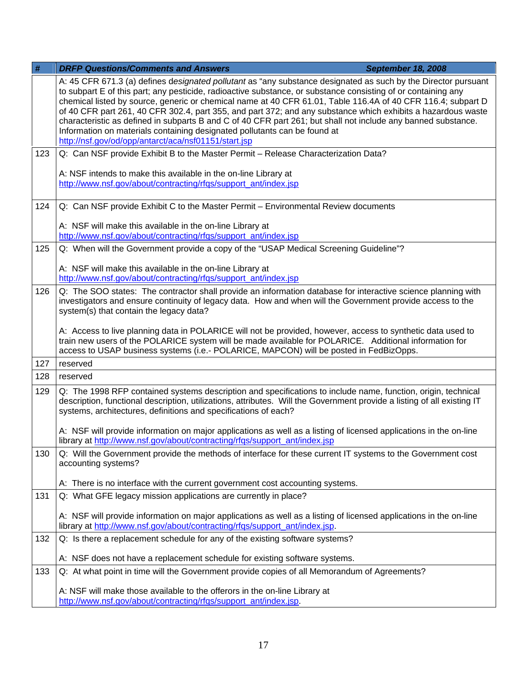| $\#$ | <b>DRFP Questions/Comments and Answers</b><br><b>September 18, 2008</b>                                                                                                                                                                                                                                                                                                                                                                                                                                                                                                                                                                                                                                               |
|------|-----------------------------------------------------------------------------------------------------------------------------------------------------------------------------------------------------------------------------------------------------------------------------------------------------------------------------------------------------------------------------------------------------------------------------------------------------------------------------------------------------------------------------------------------------------------------------------------------------------------------------------------------------------------------------------------------------------------------|
|      | A: 45 CFR 671.3 (a) defines designated pollutant as "any substance designated as such by the Director pursuant<br>to subpart E of this part; any pesticide, radioactive substance, or substance consisting of or containing any<br>chemical listed by source, generic or chemical name at 40 CFR 61.01, Table 116.4A of 40 CFR 116.4; subpart D<br>of 40 CFR part 261, 40 CFR 302.4, part 355, and part 372; and any substance which exhibits a hazardous waste<br>characteristic as defined in subparts B and C of 40 CFR part 261; but shall not include any banned substance.<br>Information on materials containing designated pollutants can be found at<br>http://nsf.gov/od/opp/antarct/aca/nsf01151/start.jsp |
| 123  | Q: Can NSF provide Exhibit B to the Master Permit - Release Characterization Data?                                                                                                                                                                                                                                                                                                                                                                                                                                                                                                                                                                                                                                    |
|      | A: NSF intends to make this available in the on-line Library at<br>http://www.nsf.gov/about/contracting/rfqs/support_ant/index.jsp                                                                                                                                                                                                                                                                                                                                                                                                                                                                                                                                                                                    |
| 124  | Q: Can NSF provide Exhibit C to the Master Permit - Environmental Review documents                                                                                                                                                                                                                                                                                                                                                                                                                                                                                                                                                                                                                                    |
|      | A: NSF will make this available in the on-line Library at<br>http://www.nsf.gov/about/contracting/rfqs/support_ant/index.jsp                                                                                                                                                                                                                                                                                                                                                                                                                                                                                                                                                                                          |
| 125  | Q: When will the Government provide a copy of the "USAP Medical Screening Guideline"?                                                                                                                                                                                                                                                                                                                                                                                                                                                                                                                                                                                                                                 |
|      | A: NSF will make this available in the on-line Library at<br>http://www.nsf.gov/about/contracting/rfgs/support_ant/index.jsp                                                                                                                                                                                                                                                                                                                                                                                                                                                                                                                                                                                          |
| 126  | Q: The SOO states: The contractor shall provide an information database for interactive science planning with<br>investigators and ensure continuity of legacy data. How and when will the Government provide access to the<br>system(s) that contain the legacy data?                                                                                                                                                                                                                                                                                                                                                                                                                                                |
|      | A: Access to live planning data in POLARICE will not be provided, however, access to synthetic data used to<br>train new users of the POLARICE system will be made available for POLARICE. Additional information for<br>access to USAP business systems (i.e.- POLARICE, MAPCON) will be posted in FedBizOpps.                                                                                                                                                                                                                                                                                                                                                                                                       |
| 127  | reserved                                                                                                                                                                                                                                                                                                                                                                                                                                                                                                                                                                                                                                                                                                              |
| 128  | reserved                                                                                                                                                                                                                                                                                                                                                                                                                                                                                                                                                                                                                                                                                                              |
| 129  | Q: The 1998 RFP contained systems description and specifications to include name, function, origin, technical<br>description, functional description, utilizations, attributes. Will the Government provide a listing of all existing IT<br>systems, architectures, definitions and specifications of each?                                                                                                                                                                                                                                                                                                                                                                                                           |
|      | A: NSF will provide information on major applications as well as a listing of licensed applications in the on-line<br>library at http://www.nsf.gov/about/contracting/rfgs/support ant/index.jsp                                                                                                                                                                                                                                                                                                                                                                                                                                                                                                                      |
| 130  | Q: Will the Government provide the methods of interface for these current IT systems to the Government cost<br>accounting systems?                                                                                                                                                                                                                                                                                                                                                                                                                                                                                                                                                                                    |
|      | A: There is no interface with the current government cost accounting systems.                                                                                                                                                                                                                                                                                                                                                                                                                                                                                                                                                                                                                                         |
| 131  | Q: What GFE legacy mission applications are currently in place?                                                                                                                                                                                                                                                                                                                                                                                                                                                                                                                                                                                                                                                       |
|      | A: NSF will provide information on major applications as well as a listing of licensed applications in the on-line<br>library at http://www.nsf.gov/about/contracting/rfgs/support_ant/index.jsp.                                                                                                                                                                                                                                                                                                                                                                                                                                                                                                                     |
| 132  | Q: Is there a replacement schedule for any of the existing software systems?                                                                                                                                                                                                                                                                                                                                                                                                                                                                                                                                                                                                                                          |
|      | A: NSF does not have a replacement schedule for existing software systems.                                                                                                                                                                                                                                                                                                                                                                                                                                                                                                                                                                                                                                            |
| 133  | Q: At what point in time will the Government provide copies of all Memorandum of Agreements?                                                                                                                                                                                                                                                                                                                                                                                                                                                                                                                                                                                                                          |
|      | A: NSF will make those available to the offerors in the on-line Library at<br>http://www.nsf.gov/about/contracting/rfqs/support_ant/index.jsp.                                                                                                                                                                                                                                                                                                                                                                                                                                                                                                                                                                        |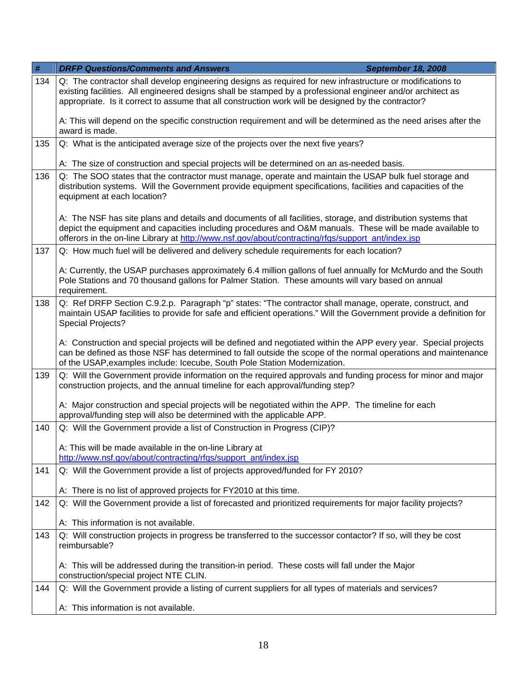| $\#$ | <b>DRFP Questions/Comments and Answers</b><br><b>September 18, 2008</b>                                                                                                                                                                                                                                                          |
|------|----------------------------------------------------------------------------------------------------------------------------------------------------------------------------------------------------------------------------------------------------------------------------------------------------------------------------------|
| 134  | Q: The contractor shall develop engineering designs as required for new infrastructure or modifications to<br>existing facilities. All engineered designs shall be stamped by a professional engineer and/or architect as<br>appropriate. Is it correct to assume that all construction work will be designed by the contractor? |
|      | A: This will depend on the specific construction requirement and will be determined as the need arises after the<br>award is made.                                                                                                                                                                                               |
| 135  | Q: What is the anticipated average size of the projects over the next five years?                                                                                                                                                                                                                                                |
|      | A: The size of construction and special projects will be determined on an as-needed basis.                                                                                                                                                                                                                                       |
| 136  | Q: The SOO states that the contractor must manage, operate and maintain the USAP bulk fuel storage and<br>distribution systems. Will the Government provide equipment specifications, facilities and capacities of the<br>equipment at each location?                                                                            |
|      | A: The NSF has site plans and details and documents of all facilities, storage, and distribution systems that<br>depict the equipment and capacities including procedures and O&M manuals. These will be made available to<br>offerors in the on-line Library at http://www.nsf.gov/about/contracting/rfqs/support_ant/index.jsp |
| 137  | Q: How much fuel will be delivered and delivery schedule requirements for each location?                                                                                                                                                                                                                                         |
|      | A: Currently, the USAP purchases approximately 6.4 million gallons of fuel annually for McMurdo and the South<br>Pole Stations and 70 thousand gallons for Palmer Station. These amounts will vary based on annual<br>requirement.                                                                                               |
| 138  | Q: Ref DRFP Section C.9.2.p. Paragraph "p" states: "The contractor shall manage, operate, construct, and<br>maintain USAP facilities to provide for safe and efficient operations." Will the Government provide a definition for<br><b>Special Projects?</b>                                                                     |
|      | A: Construction and special projects will be defined and negotiated within the APP every year. Special projects<br>can be defined as those NSF has determined to fall outside the scope of the normal operations and maintenance<br>of the USAP, examples include: Icecube, South Pole Station Modernization.                    |
| 139  | Q: Will the Government provide information on the required approvals and funding process for minor and major<br>construction projects, and the annual timeline for each approval/funding step?                                                                                                                                   |
|      | A: Major construction and special projects will be negotiated within the APP. The timeline for each<br>approval/funding step will also be determined with the applicable APP.                                                                                                                                                    |
| 140  | Q: Will the Government provide a list of Construction in Progress (CIP)?                                                                                                                                                                                                                                                         |
|      | A: This will be made available in the on-line Library at<br>http://www.nsf.gov/about/contracting/rfgs/support_ant/index.jsp                                                                                                                                                                                                      |
| 141  | Q: Will the Government provide a list of projects approved/funded for FY 2010?                                                                                                                                                                                                                                                   |
|      | A: There is no list of approved projects for FY2010 at this time.                                                                                                                                                                                                                                                                |
| 142  | Q: Will the Government provide a list of forecasted and prioritized requirements for major facility projects?                                                                                                                                                                                                                    |
|      | A: This information is not available.                                                                                                                                                                                                                                                                                            |
| 143  | Q: Will construction projects in progress be transferred to the successor contactor? If so, will they be cost<br>reimbursable?                                                                                                                                                                                                   |
|      | A: This will be addressed during the transition-in period. These costs will fall under the Major<br>construction/special project NTE CLIN.                                                                                                                                                                                       |
| 144  | Q: Will the Government provide a listing of current suppliers for all types of materials and services?                                                                                                                                                                                                                           |
|      | A: This information is not available.                                                                                                                                                                                                                                                                                            |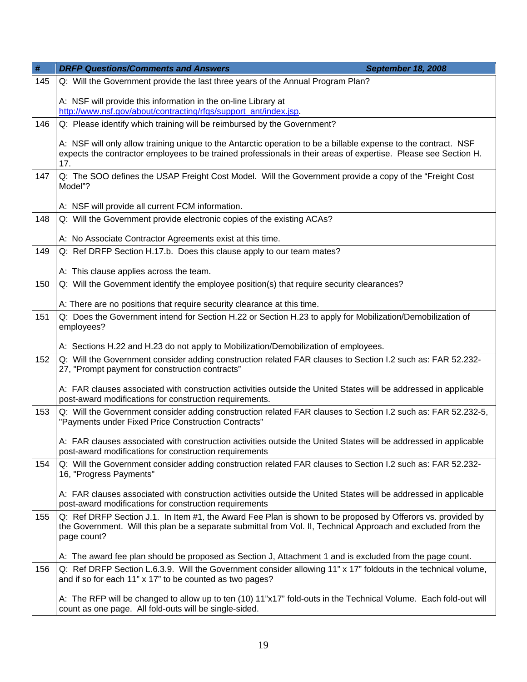| $\#$ | <b>DRFP Questions/Comments and Answers</b><br><b>September 18, 2008</b>                                                                                                                                                                     |
|------|---------------------------------------------------------------------------------------------------------------------------------------------------------------------------------------------------------------------------------------------|
| 145  | Q: Will the Government provide the last three years of the Annual Program Plan?                                                                                                                                                             |
|      | A: NSF will provide this information in the on-line Library at<br>http://www.nsf.gov/about/contracting/rfgs/support_ant/index.jsp.                                                                                                          |
| 146  | Q: Please identify which training will be reimbursed by the Government?                                                                                                                                                                     |
|      | A: NSF will only allow training unique to the Antarctic operation to be a billable expense to the contract. NSF<br>expects the contractor employees to be trained professionals in their areas of expertise. Please see Section H.<br>17.   |
| 147  | Q: The SOO defines the USAP Freight Cost Model. Will the Government provide a copy of the "Freight Cost<br>Model"?                                                                                                                          |
|      | A: NSF will provide all current FCM information.                                                                                                                                                                                            |
| 148  | Q: Will the Government provide electronic copies of the existing ACAs?                                                                                                                                                                      |
|      | A: No Associate Contractor Agreements exist at this time.                                                                                                                                                                                   |
| 149  | Q: Ref DRFP Section H.17.b. Does this clause apply to our team mates?                                                                                                                                                                       |
|      | A: This clause applies across the team.                                                                                                                                                                                                     |
| 150  | Q: Will the Government identify the employee position(s) that require security clearances?                                                                                                                                                  |
|      | A: There are no positions that require security clearance at this time.                                                                                                                                                                     |
| 151  | Q: Does the Government intend for Section H.22 or Section H.23 to apply for Mobilization/Demobilization of<br>employees?                                                                                                                    |
|      | A: Sections H.22 and H.23 do not apply to Mobilization/Demobilization of employees.                                                                                                                                                         |
| 152  | Q: Will the Government consider adding construction related FAR clauses to Section I.2 such as: FAR 52.232-<br>27, "Prompt payment for construction contracts"                                                                              |
|      | A: FAR clauses associated with construction activities outside the United States will be addressed in applicable<br>post-award modifications for construction requirements.                                                                 |
| 153  | Q: Will the Government consider adding construction related FAR clauses to Section I.2 such as: FAR 52.232-5,<br>"Payments under Fixed Price Construction Contracts"                                                                        |
|      | A: FAR clauses associated with construction activities outside the United States will be addressed in applicable<br>post-award modifications for construction requirements                                                                  |
| 154  | Q: Will the Government consider adding construction related FAR clauses to Section I.2 such as: FAR 52.232-<br>16, "Progress Payments"                                                                                                      |
|      | A: FAR clauses associated with construction activities outside the United States will be addressed in applicable<br>post-award modifications for construction requirements                                                                  |
| 155  | Q: Ref DRFP Section J.1. In Item #1, the Award Fee Plan is shown to be proposed by Offerors vs. provided by<br>the Government. Will this plan be a separate submittal from Vol. II, Technical Approach and excluded from the<br>page count? |
|      | A: The award fee plan should be proposed as Section J, Attachment 1 and is excluded from the page count.                                                                                                                                    |
| 156  | Q: Ref DRFP Section L.6.3.9. Will the Government consider allowing 11" x 17" foldouts in the technical volume,<br>and if so for each 11" x 17" to be counted as two pages?                                                                  |
|      | A: The RFP will be changed to allow up to ten (10) 11"x17" fold-outs in the Technical Volume. Each fold-out will<br>count as one page. All fold-outs will be single-sided.                                                                  |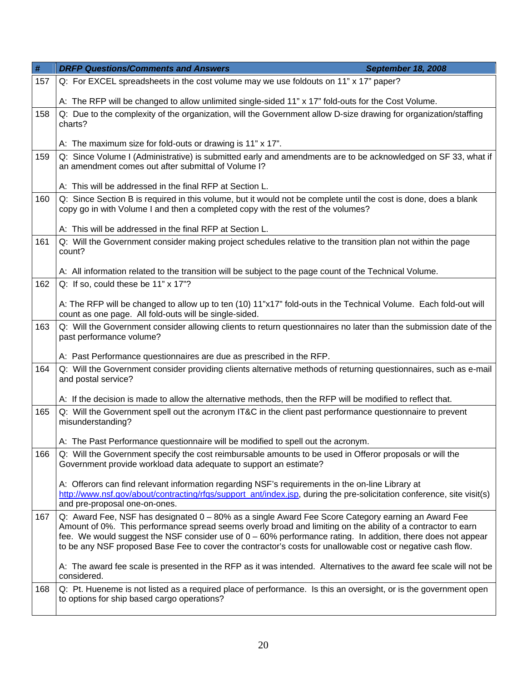| #   | <b>DRFP Questions/Comments and Answers</b><br><b>September 18, 2008</b>                                                                                                                                                                                                                                                                                                                                                                             |
|-----|-----------------------------------------------------------------------------------------------------------------------------------------------------------------------------------------------------------------------------------------------------------------------------------------------------------------------------------------------------------------------------------------------------------------------------------------------------|
| 157 | Q: For EXCEL spreadsheets in the cost volume may we use foldouts on 11" x 17" paper?                                                                                                                                                                                                                                                                                                                                                                |
|     | A: The RFP will be changed to allow unlimited single-sided 11" x 17" fold-outs for the Cost Volume.                                                                                                                                                                                                                                                                                                                                                 |
| 158 | Q: Due to the complexity of the organization, will the Government allow D-size drawing for organization/staffing<br>charts?                                                                                                                                                                                                                                                                                                                         |
|     | A: The maximum size for fold-outs or drawing is 11" x 17".                                                                                                                                                                                                                                                                                                                                                                                          |
| 159 | Q: Since Volume I (Administrative) is submitted early and amendments are to be acknowledged on SF 33, what if<br>an amendment comes out after submittal of Volume I?                                                                                                                                                                                                                                                                                |
|     | A: This will be addressed in the final RFP at Section L.                                                                                                                                                                                                                                                                                                                                                                                            |
| 160 | Q: Since Section B is required in this volume, but it would not be complete until the cost is done, does a blank<br>copy go in with Volume I and then a completed copy with the rest of the volumes?                                                                                                                                                                                                                                                |
|     | A: This will be addressed in the final RFP at Section L.                                                                                                                                                                                                                                                                                                                                                                                            |
| 161 | Q: Will the Government consider making project schedules relative to the transition plan not within the page<br>count?                                                                                                                                                                                                                                                                                                                              |
|     | A: All information related to the transition will be subject to the page count of the Technical Volume.                                                                                                                                                                                                                                                                                                                                             |
| 162 | Q: If so, could these be 11" x 17"?                                                                                                                                                                                                                                                                                                                                                                                                                 |
|     | A: The RFP will be changed to allow up to ten (10) 11"x17" fold-outs in the Technical Volume. Each fold-out will<br>count as one page. All fold-outs will be single-sided.                                                                                                                                                                                                                                                                          |
| 163 | Q: Will the Government consider allowing clients to return questionnaires no later than the submission date of the<br>past performance volume?                                                                                                                                                                                                                                                                                                      |
|     | A: Past Performance questionnaires are due as prescribed in the RFP.                                                                                                                                                                                                                                                                                                                                                                                |
| 164 | Q: Will the Government consider providing clients alternative methods of returning questionnaires, such as e-mail<br>and postal service?                                                                                                                                                                                                                                                                                                            |
|     | A: If the decision is made to allow the alternative methods, then the RFP will be modified to reflect that.                                                                                                                                                                                                                                                                                                                                         |
| 165 | Q: Will the Government spell out the acronym IT&C in the client past performance questionnaire to prevent<br>misunderstanding?                                                                                                                                                                                                                                                                                                                      |
|     | A: The Past Performance questionnaire will be modified to spell out the acronym.                                                                                                                                                                                                                                                                                                                                                                    |
| 166 | Q: Will the Government specify the cost reimbursable amounts to be used in Offeror proposals or will the<br>Government provide workload data adequate to support an estimate?                                                                                                                                                                                                                                                                       |
|     | A: Offerors can find relevant information regarding NSF's requirements in the on-line Library at<br>http://www.nsf.gov/about/contracting/rfgs/support ant/index.jsp, during the pre-solicitation conference, site visit(s)<br>and pre-proposal one-on-ones.                                                                                                                                                                                         |
| 167 | Q: Award Fee, NSF has designated 0 - 80% as a single Award Fee Score Category earning an Award Fee<br>Amount of 0%. This performance spread seems overly broad and limiting on the ability of a contractor to earn<br>fee. We would suggest the NSF consider use of $0 - 60%$ performance rating. In addition, there does not appear<br>to be any NSF proposed Base Fee to cover the contractor's costs for unallowable cost or negative cash flow. |
|     | A: The award fee scale is presented in the RFP as it was intended. Alternatives to the award fee scale will not be<br>considered.                                                                                                                                                                                                                                                                                                                   |
| 168 | Q: Pt. Hueneme is not listed as a required place of performance. Is this an oversight, or is the government open<br>to options for ship based cargo operations?                                                                                                                                                                                                                                                                                     |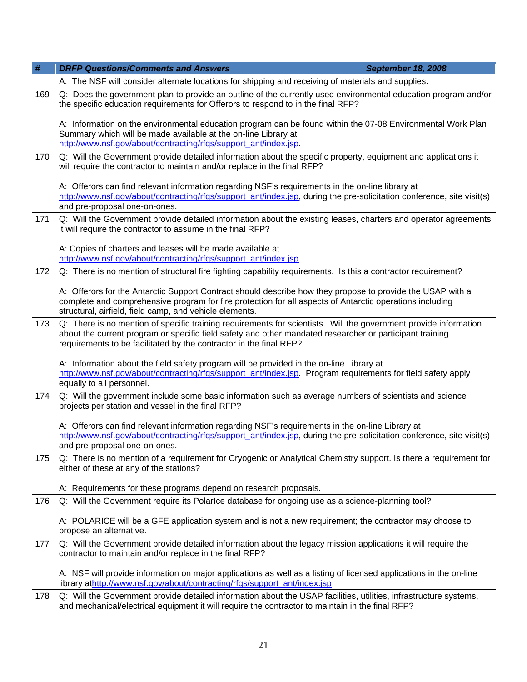| #   | <b>DRFP Questions/Comments and Answers</b><br>September 18, 2008                                                                                                                                                                                                                                   |
|-----|----------------------------------------------------------------------------------------------------------------------------------------------------------------------------------------------------------------------------------------------------------------------------------------------------|
|     | A: The NSF will consider alternate locations for shipping and receiving of materials and supplies.                                                                                                                                                                                                 |
| 169 | Q: Does the government plan to provide an outline of the currently used environmental education program and/or<br>the specific education requirements for Offerors to respond to in the final RFP?                                                                                                 |
|     | A: Information on the environmental education program can be found within the 07-08 Environmental Work Plan<br>Summary which will be made available at the on-line Library at<br>http://www.nsf.gov/about/contracting/rfqs/support_ant/index.jsp.                                                  |
| 170 | Q: Will the Government provide detailed information about the specific property, equipment and applications it<br>will require the contractor to maintain and/or replace in the final RFP?                                                                                                         |
|     | A: Offerors can find relevant information regarding NSF's requirements in the on-line library at<br>http://www.nsf.gov/about/contracting/rfgs/support_ant/index.jsp, during the pre-solicitation conference, site visit(s)<br>and pre-proposal one-on-ones.                                        |
| 171 | Q: Will the Government provide detailed information about the existing leases, charters and operator agreements<br>it will require the contractor to assume in the final RFP?                                                                                                                      |
|     | A: Copies of charters and leases will be made available at<br>http://www.nsf.gov/about/contracting/rfgs/support_ant/index.jsp                                                                                                                                                                      |
| 172 | Q: There is no mention of structural fire fighting capability requirements. Is this a contractor requirement?                                                                                                                                                                                      |
|     | A: Offerors for the Antarctic Support Contract should describe how they propose to provide the USAP with a<br>complete and comprehensive program for fire protection for all aspects of Antarctic operations including<br>structural, airfield, field camp, and vehicle elements.                  |
| 173 | Q: There is no mention of specific training requirements for scientists. Will the government provide information<br>about the current program or specific field safety and other mandated researcher or participant training<br>requirements to be facilitated by the contractor in the final RFP? |
|     | A: Information about the field safety program will be provided in the on-line Library at<br>http://www.nsf.gov/about/contracting/rfgs/support_ant/index.jsp. Program requirements for field safety apply<br>equally to all personnel.                                                              |
| 174 | Q: Will the government include some basic information such as average numbers of scientists and science<br>projects per station and vessel in the final RFP?                                                                                                                                       |
|     | A: Offerors can find relevant information regarding NSF's requirements in the on-line Library at<br>http://www.nsf.gov/about/contracting/rfgs/support ant/index.jsp, during the pre-solicitation conference, site visit(s)<br>and pre-proposal one-on-ones.                                        |
| 175 | Q: There is no mention of a requirement for Cryogenic or Analytical Chemistry support. Is there a requirement for<br>either of these at any of the stations?                                                                                                                                       |
|     | A: Requirements for these programs depend on research proposals.                                                                                                                                                                                                                                   |
| 176 | Q: Will the Government require its Polarlce database for ongoing use as a science-planning tool?                                                                                                                                                                                                   |
|     | A: POLARICE will be a GFE application system and is not a new requirement; the contractor may choose to<br>propose an alternative.                                                                                                                                                                 |
| 177 | Q: Will the Government provide detailed information about the legacy mission applications it will require the<br>contractor to maintain and/or replace in the final RFP?                                                                                                                           |
|     | A: NSF will provide information on major applications as well as a listing of licensed applications in the on-line<br>library athttp://www.nsf.gov/about/contracting/rfqs/support_ant/index.jsp                                                                                                    |
| 178 | Q: Will the Government provide detailed information about the USAP facilities, utilities, infrastructure systems,<br>and mechanical/electrical equipment it will require the contractor to maintain in the final RFP?                                                                              |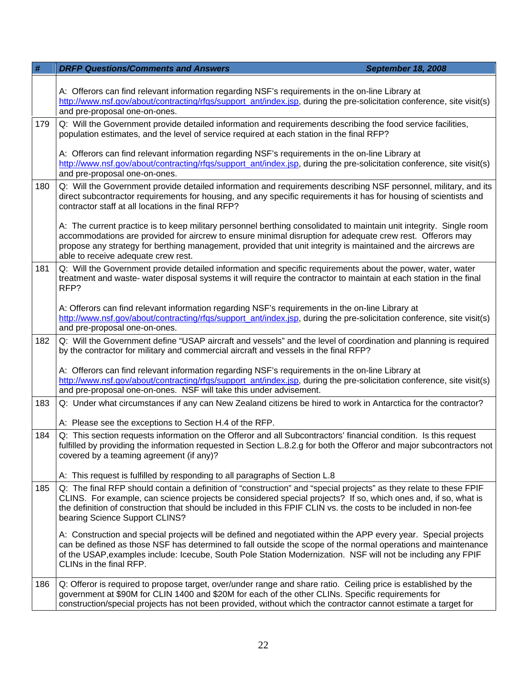| #   | <b>DRFP Questions/Comments and Answers</b><br><b>September 18, 2008</b>                                                                                                                                                                                                                                                                                                                    |
|-----|--------------------------------------------------------------------------------------------------------------------------------------------------------------------------------------------------------------------------------------------------------------------------------------------------------------------------------------------------------------------------------------------|
|     | A: Offerors can find relevant information regarding NSF's requirements in the on-line Library at<br>http://www.nsf.gov/about/contracting/rfgs/support_ant/index.jsp, during the pre-solicitation conference, site visit(s)<br>and pre-proposal one-on-ones.                                                                                                                                |
| 179 | Q: Will the Government provide detailed information and requirements describing the food service facilities,<br>population estimates, and the level of service required at each station in the final RFP?                                                                                                                                                                                  |
|     | A: Offerors can find relevant information regarding NSF's requirements in the on-line Library at<br>http://www.nsf.gov/about/contracting/rfgs/support_ant/index.jsp, during the pre-solicitation conference, site visit(s)<br>and pre-proposal one-on-ones.                                                                                                                                |
| 180 | Q: Will the Government provide detailed information and requirements describing NSF personnel, military, and its<br>direct subcontractor requirements for housing, and any specific requirements it has for housing of scientists and<br>contractor staff at all locations in the final RFP?                                                                                               |
|     | A: The current practice is to keep military personnel berthing consolidated to maintain unit integrity. Single room<br>accommodations are provided for aircrew to ensure minimal disruption for adequate crew rest. Offerors may<br>propose any strategy for berthing management, provided that unit integrity is maintained and the aircrews are<br>able to receive adequate crew rest.   |
| 181 | Q: Will the Government provide detailed information and specific requirements about the power, water, water<br>treatment and waste- water disposal systems it will require the contractor to maintain at each station in the final<br>RFP?                                                                                                                                                 |
|     | A: Offerors can find relevant information regarding NSF's requirements in the on-line Library at<br>http://www.nsf.gov/about/contracting/rfgs/support_ant/index.jsp, during the pre-solicitation conference, site visit(s)<br>and pre-proposal one-on-ones.                                                                                                                                |
| 182 | Q: Will the Government define "USAP aircraft and vessels" and the level of coordination and planning is required<br>by the contractor for military and commercial aircraft and vessels in the final RFP?                                                                                                                                                                                   |
|     | A: Offerors can find relevant information regarding NSF's requirements in the on-line Library at<br>http://www.nsf.gov/about/contracting/rfgs/support_ant/index.jsp, during the pre-solicitation conference, site visit(s)<br>and pre-proposal one-on-ones. NSF will take this under advisement.                                                                                           |
| 183 | Q: Under what circumstances if any can New Zealand citizens be hired to work in Antarctica for the contractor?                                                                                                                                                                                                                                                                             |
|     | A: Please see the exceptions to Section H.4 of the RFP.                                                                                                                                                                                                                                                                                                                                    |
| 184 | Q: This section requests information on the Offeror and all Subcontractors' financial condition. Is this request<br>fulfilled by providing the information requested in Section L.8.2.g for both the Offeror and major subcontractors not<br>covered by a teaming agreement (if any)?                                                                                                      |
|     | A: This request is fulfilled by responding to all paragraphs of Section L.8                                                                                                                                                                                                                                                                                                                |
| 185 | Q: The final RFP should contain a definition of "construction" and "special projects" as they relate to these FPIF<br>CLINS. For example, can science projects be considered special projects? If so, which ones and, if so, what is<br>the definition of construction that should be included in this FPIF CLIN vs. the costs to be included in non-fee<br>bearing Science Support CLINS? |
|     | A: Construction and special projects will be defined and negotiated within the APP every year. Special projects<br>can be defined as those NSF has determined to fall outside the scope of the normal operations and maintenance<br>of the USAP, examples include: Icecube, South Pole Station Modernization. NSF will not be including any FPIF<br>CLINs in the final RFP.                |
| 186 | Q: Offeror is required to propose target, over/under range and share ratio. Ceiling price is established by the<br>government at \$90M for CLIN 1400 and \$20M for each of the other CLINs. Specific requirements for<br>construction/special projects has not been provided, without which the contractor cannot estimate a target for                                                    |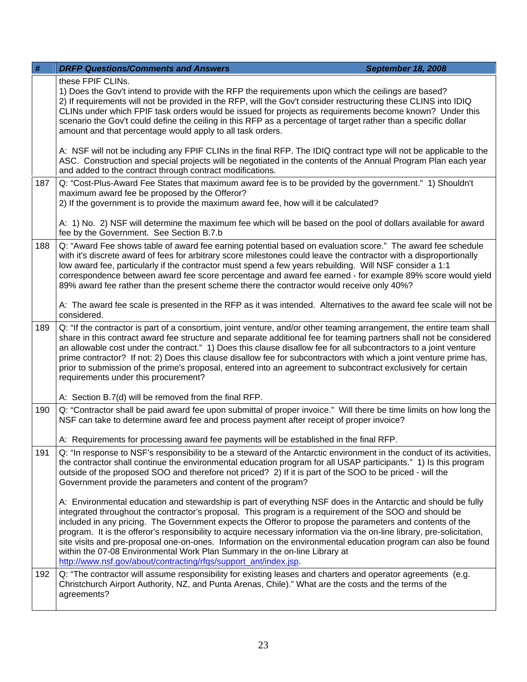| $\#$ | <b>DRFP Questions/Comments and Answers</b><br><b>September 18, 2008</b>                                                                                                                                                                                                                                                                                                                                                                                                                                                                                                                                                                                                                                                               |
|------|---------------------------------------------------------------------------------------------------------------------------------------------------------------------------------------------------------------------------------------------------------------------------------------------------------------------------------------------------------------------------------------------------------------------------------------------------------------------------------------------------------------------------------------------------------------------------------------------------------------------------------------------------------------------------------------------------------------------------------------|
|      | these FPIF CLINs.<br>1) Does the Gov't intend to provide with the RFP the requirements upon which the ceilings are based?<br>2) If requirements will not be provided in the RFP, will the Gov't consider restructuring these CLINS into IDIQ<br>CLINs under which FPIF task orders would be issued for projects as requirements become known? Under this<br>scenario the Gov't could define the ceiling in this RFP as a percentage of target rather than a specific dollar<br>amount and that percentage would apply to all task orders.                                                                                                                                                                                             |
|      | A: NSF will not be including any FPIF CLINs in the final RFP. The IDIQ contract type will not be applicable to the<br>ASC. Construction and special projects will be negotiated in the contents of the Annual Program Plan each year<br>and added to the contract through contract modifications.                                                                                                                                                                                                                                                                                                                                                                                                                                     |
| 187  | Q: "Cost-Plus-Award Fee States that maximum award fee is to be provided by the government." 1) Shouldn't<br>maximum award fee be proposed by the Offeror?<br>2) If the government is to provide the maximum award fee, how will it be calculated?                                                                                                                                                                                                                                                                                                                                                                                                                                                                                     |
|      | A: 1) No. 2) NSF will determine the maximum fee which will be based on the pool of dollars available for award<br>fee by the Government. See Section B.7.b                                                                                                                                                                                                                                                                                                                                                                                                                                                                                                                                                                            |
| 188  | Q: "Award Fee shows table of award fee earning potential based on evaluation score." The award fee schedule<br>with it's discrete award of fees for arbitrary score milestones could leave the contractor with a disproportionally<br>low award fee, particularly if the contractor must spend a few years rebuilding. Will NSF consider a 1:1<br>correspondence between award fee score percentage and award fee earned - for example 89% score would yield<br>89% award fee rather than the present scheme there the contractor would receive only 40%?                                                                                                                                                                             |
|      | A: The award fee scale is presented in the RFP as it was intended. Alternatives to the award fee scale will not be<br>considered.                                                                                                                                                                                                                                                                                                                                                                                                                                                                                                                                                                                                     |
| 189  | Q: "If the contractor is part of a consortium, joint venture, and/or other teaming arrangement, the entire team shall<br>share in this contract award fee structure and separate additional fee for teaming partners shall not be considered<br>an allowable cost under the contract." 1) Does this clause disallow fee for all subcontractors to a joint venture<br>prime contractor? If not: 2) Does this clause disallow fee for subcontractors with which a joint venture prime has,<br>prior to submission of the prime's proposal, entered into an agreement to subcontract exclusively for certain<br>requirements under this procurement?                                                                                     |
|      | A: Section B.7(d) will be removed from the final RFP.                                                                                                                                                                                                                                                                                                                                                                                                                                                                                                                                                                                                                                                                                 |
| 190  | Q: "Contractor shall be paid award fee upon submittal of proper invoice." Will there be time limits on how long the<br>NSF can take to determine award fee and process payment after receipt of proper invoice?                                                                                                                                                                                                                                                                                                                                                                                                                                                                                                                       |
|      | A: Requirements for processing award fee payments will be established in the final RFP.                                                                                                                                                                                                                                                                                                                                                                                                                                                                                                                                                                                                                                               |
| 191  | Q: "In response to NSF's responsibility to be a steward of the Antarctic environment in the conduct of its activities,<br>the contractor shall continue the environmental education program for all USAP participants." 1) Is this program<br>outside of the proposed SOO and therefore not priced? 2) If it is part of the SOO to be priced - will the<br>Government provide the parameters and content of the program?                                                                                                                                                                                                                                                                                                              |
|      | A: Environmental education and stewardship is part of everything NSF does in the Antarctic and should be fully<br>integrated throughout the contractor's proposal. This program is a requirement of the SOO and should be<br>included in any pricing. The Government expects the Offeror to propose the parameters and contents of the<br>program. It is the offeror's responsibility to acquire necessary information via the on-line library, pre-solicitation,<br>site visits and pre-proposal one-on-ones. Information on the environmental education program can also be found<br>within the 07-08 Environmental Work Plan Summary in the on-line Library at<br>http://www.nsf.gov/about/contracting/rfqs/support_ant/index.jsp. |
| 192  | Q: "The contractor will assume responsibility for existing leases and charters and operator agreements (e.g.<br>Christchurch Airport Authority, NZ, and Punta Arenas, Chile)." What are the costs and the terms of the<br>agreements?                                                                                                                                                                                                                                                                                                                                                                                                                                                                                                 |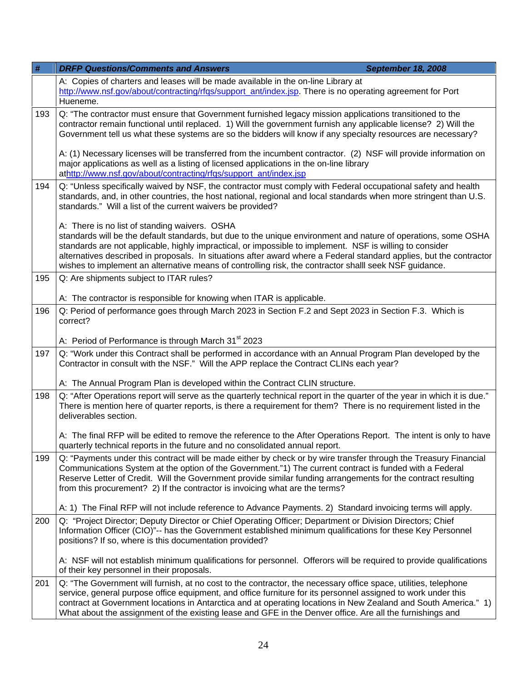| #   | <b>DRFP Questions/Comments and Answers</b><br><b>September 18, 2008</b>                                                                                                                                                                                                                                                                                                                                                                                                                                      |
|-----|--------------------------------------------------------------------------------------------------------------------------------------------------------------------------------------------------------------------------------------------------------------------------------------------------------------------------------------------------------------------------------------------------------------------------------------------------------------------------------------------------------------|
|     | A: Copies of charters and leases will be made available in the on-line Library at<br>http://www.nsf.gov/about/contracting/rfgs/support_ant/index.jsp. There is no operating agreement for Port<br>Hueneme.                                                                                                                                                                                                                                                                                                   |
| 193 | Q: "The contractor must ensure that Government furnished legacy mission applications transitioned to the<br>contractor remain functional until replaced. 1) Will the government furnish any applicable license? 2) Will the<br>Government tell us what these systems are so the bidders will know if any specialty resources are necessary?                                                                                                                                                                  |
|     | A: (1) Necessary licenses will be transferred from the incumbent contractor. (2) NSF will provide information on<br>major applications as well as a listing of licensed applications in the on-line library<br>athttp://www.nsf.gov/about/contracting/rfqs/support_ant/index.jsp                                                                                                                                                                                                                             |
| 194 | Q: "Unless specifically waived by NSF, the contractor must comply with Federal occupational safety and health<br>standards, and, in other countries, the host national, regional and local standards when more stringent than U.S.<br>standards." Will a list of the current waivers be provided?                                                                                                                                                                                                            |
|     | A: There is no list of standing waivers. OSHA<br>standards will be the default standards, but due to the unique environment and nature of operations, some OSHA<br>standards are not applicable, highly impractical, or impossible to implement. NSF is willing to consider<br>alternatives described in proposals. In situations after award where a Federal standard applies, but the contractor<br>wishes to implement an alternative means of controlling risk, the contractor shalll seek NSF guidance. |
| 195 | Q: Are shipments subject to ITAR rules?                                                                                                                                                                                                                                                                                                                                                                                                                                                                      |
|     | A: The contractor is responsible for knowing when ITAR is applicable.                                                                                                                                                                                                                                                                                                                                                                                                                                        |
| 196 | Q: Period of performance goes through March 2023 in Section F.2 and Sept 2023 in Section F.3. Which is<br>correct?                                                                                                                                                                                                                                                                                                                                                                                           |
|     | A: Period of Performance is through March 31 <sup>st</sup> 2023                                                                                                                                                                                                                                                                                                                                                                                                                                              |
| 197 | Q: "Work under this Contract shall be performed in accordance with an Annual Program Plan developed by the<br>Contractor in consult with the NSF." Will the APP replace the Contract CLINs each year?                                                                                                                                                                                                                                                                                                        |
|     | A: The Annual Program Plan is developed within the Contract CLIN structure.                                                                                                                                                                                                                                                                                                                                                                                                                                  |
| 198 | Q: "After Operations report will serve as the quarterly technical report in the quarter of the year in which it is due."<br>There is mention here of quarter reports, is there a requirement for them? There is no requirement listed in the<br>deliverables section.                                                                                                                                                                                                                                        |
|     | A: The final RFP will be edited to remove the reference to the After Operations Report. The intent is only to have<br>quarterly technical reports in the future and no consolidated annual report.                                                                                                                                                                                                                                                                                                           |
| 199 | Q: "Payments under this contract will be made either by check or by wire transfer through the Treasury Financial<br>Communications System at the option of the Government."1) The current contract is funded with a Federal<br>Reserve Letter of Credit. Will the Government provide similar funding arrangements for the contract resulting<br>from this procurement? 2) If the contractor is invoicing what are the terms?                                                                                 |
|     | A: 1) The Final RFP will not include reference to Advance Payments. 2) Standard invoicing terms will apply.                                                                                                                                                                                                                                                                                                                                                                                                  |
| 200 | Q: "Project Director; Deputy Director or Chief Operating Officer; Department or Division Directors; Chief<br>Information Officer (CIO)"-- has the Government established minimum qualifications for these Key Personnel<br>positions? If so, where is this documentation provided?                                                                                                                                                                                                                           |
|     | A: NSF will not establish minimum qualifications for personnel. Offerors will be required to provide qualifications<br>of their key personnel in their proposals.                                                                                                                                                                                                                                                                                                                                            |
| 201 | Q: "The Government will furnish, at no cost to the contractor, the necessary office space, utilities, telephone<br>service, general purpose office equipment, and office furniture for its personnel assigned to work under this<br>contract at Government locations in Antarctica and at operating locations in New Zealand and South America." 1)<br>What about the assignment of the existing lease and GFE in the Denver office. Are all the furnishings and                                             |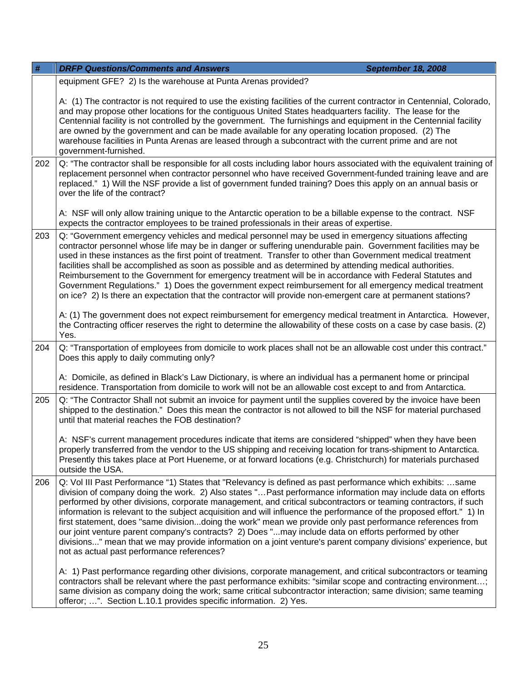| #   | <b>DRFP Questions/Comments and Answers</b>                                                                                                                                                                                                                                                                                                                                                                                                                                                                                                                                                                                                                                                                                                                                                                                                                   | <b>September 18, 2008</b> |
|-----|--------------------------------------------------------------------------------------------------------------------------------------------------------------------------------------------------------------------------------------------------------------------------------------------------------------------------------------------------------------------------------------------------------------------------------------------------------------------------------------------------------------------------------------------------------------------------------------------------------------------------------------------------------------------------------------------------------------------------------------------------------------------------------------------------------------------------------------------------------------|---------------------------|
|     | equipment GFE? 2) Is the warehouse at Punta Arenas provided?                                                                                                                                                                                                                                                                                                                                                                                                                                                                                                                                                                                                                                                                                                                                                                                                 |                           |
|     | A: (1) The contractor is not required to use the existing facilities of the current contractor in Centennial, Colorado,<br>and may propose other locations for the contiguous United States headquarters facility. The lease for the<br>Centennial facility is not controlled by the government. The furnishings and equipment in the Centennial facility<br>are owned by the government and can be made available for any operating location proposed. (2) The<br>warehouse facilities in Punta Arenas are leased through a subcontract with the current prime and are not<br>government-furnished.                                                                                                                                                                                                                                                         |                           |
| 202 | Q: "The contractor shall be responsible for all costs including labor hours associated with the equivalent training of<br>replacement personnel when contractor personnel who have received Government-funded training leave and are<br>replaced." 1) Will the NSF provide a list of government funded training? Does this apply on an annual basis or<br>over the life of the contract?                                                                                                                                                                                                                                                                                                                                                                                                                                                                     |                           |
|     | A: NSF will only allow training unique to the Antarctic operation to be a billable expense to the contract. NSF<br>expects the contractor employees to be trained professionals in their areas of expertise.                                                                                                                                                                                                                                                                                                                                                                                                                                                                                                                                                                                                                                                 |                           |
| 203 | Q: "Government emergency vehicles and medical personnel may be used in emergency situations affecting<br>contractor personnel whose life may be in danger or suffering unendurable pain. Government facilities may be<br>used in these instances as the first point of treatment. Transfer to other than Government medical treatment<br>facilities shall be accomplished as soon as possible and as determined by attending medical authorities.<br>Reimbursement to the Government for emergency treatment will be in accordance with Federal Statutes and<br>Government Regulations." 1) Does the government expect reimbursement for all emergency medical treatment<br>on ice? 2) Is there an expectation that the contractor will provide non-emergent care at permanent stations?                                                                     |                           |
|     | A: (1) The government does not expect reimbursement for emergency medical treatment in Antarctica. However,<br>the Contracting officer reserves the right to determine the allowability of these costs on a case by case basis. (2)<br>Yes.                                                                                                                                                                                                                                                                                                                                                                                                                                                                                                                                                                                                                  |                           |
| 204 | Q: "Transportation of employees from domicile to work places shall not be an allowable cost under this contract."<br>Does this apply to daily commuting only?                                                                                                                                                                                                                                                                                                                                                                                                                                                                                                                                                                                                                                                                                                |                           |
|     | A: Domicile, as defined in Black's Law Dictionary, is where an individual has a permanent home or principal<br>residence. Transportation from domicile to work will not be an allowable cost except to and from Antarctica.                                                                                                                                                                                                                                                                                                                                                                                                                                                                                                                                                                                                                                  |                           |
| 205 | Q: "The Contractor Shall not submit an invoice for payment until the supplies covered by the invoice have been<br>shipped to the destination." Does this mean the contractor is not allowed to bill the NSF for material purchased<br>until that material reaches the FOB destination?                                                                                                                                                                                                                                                                                                                                                                                                                                                                                                                                                                       |                           |
|     | A: NSF's current management procedures indicate that items are considered "shipped" when they have been<br>properly transferred from the vendor to the US shipping and receiving location for trans-shipment to Antarctica.<br>Presently this takes place at Port Hueneme, or at forward locations (e.g. Christchurch) for materials purchased<br>outside the USA.                                                                                                                                                                                                                                                                                                                                                                                                                                                                                           |                           |
| 206 | Q: Vol III Past Performance "1) States that "Relevancy is defined as past performance which exhibits: same<br>division of company doing the work. 2) Also states " Past performance information may include data on efforts<br>performed by other divisions, corporate management, and critical subcontractors or teaming contractors, if such<br>information is relevant to the subject acquisition and will influence the performance of the proposed effort." 1) In<br>first statement, does "same divisiondoing the work" mean we provide only past performance references from<br>our joint venture parent company's contracts? 2) Does "may include data on efforts performed by other<br>divisions" mean that we may provide information on a joint venture's parent company divisions' experience, but<br>not as actual past performance references? |                           |
|     | A: 1) Past performance regarding other divisions, corporate management, and critical subcontractors or teaming<br>contractors shall be relevant where the past performance exhibits: "similar scope and contracting environment;<br>same division as company doing the work; same critical subcontractor interaction; same division; same teaming<br>offeror; ". Section L.10.1 provides specific information. 2) Yes.                                                                                                                                                                                                                                                                                                                                                                                                                                       |                           |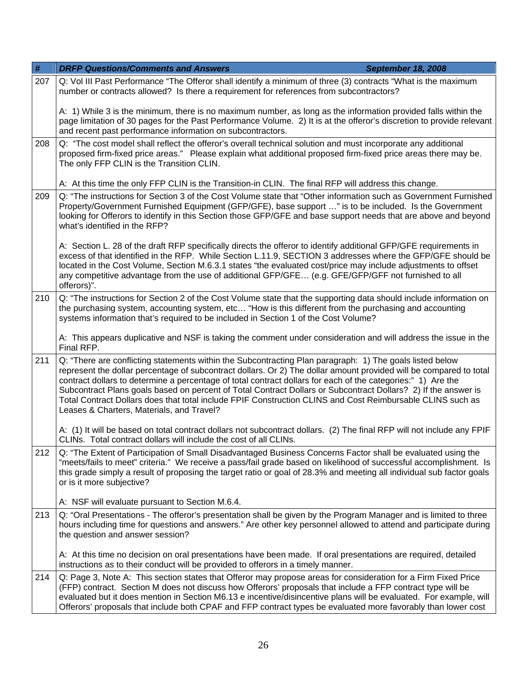| $\#$ | <b>DRFP Questions/Comments and Answers</b><br><b>September 18, 2008</b>                                                                                                                                                                                                                                                                                                                                                                                                                                                                                                                                                     |  |
|------|-----------------------------------------------------------------------------------------------------------------------------------------------------------------------------------------------------------------------------------------------------------------------------------------------------------------------------------------------------------------------------------------------------------------------------------------------------------------------------------------------------------------------------------------------------------------------------------------------------------------------------|--|
| 207  | Q: Vol III Past Performance "The Offeror shall identify a minimum of three (3) contracts "What is the maximum<br>number or contracts allowed? Is there a requirement for references from subcontractors?                                                                                                                                                                                                                                                                                                                                                                                                                    |  |
|      | A: 1) While 3 is the minimum, there is no maximum number, as long as the information provided falls within the<br>page limitation of 30 pages for the Past Performance Volume. 2) It is at the offeror's discretion to provide relevant<br>and recent past performance information on subcontractors.                                                                                                                                                                                                                                                                                                                       |  |
| 208  | Q: "The cost model shall reflect the offeror's overall technical solution and must incorporate any additional<br>proposed firm-fixed price areas." Please explain what additional proposed firm-fixed price areas there may be.<br>The only FFP CLIN is the Transition CLIN.                                                                                                                                                                                                                                                                                                                                                |  |
|      | A: At this time the only FFP CLIN is the Transition-in CLIN. The final RFP will address this change.                                                                                                                                                                                                                                                                                                                                                                                                                                                                                                                        |  |
| 209  | Q: "The instructions for Section 3 of the Cost Volume state that "Other information such as Government Furnished<br>Property/Government Furnished Equipment (GFP/GFE), base support " is to be included. Is the Government<br>looking for Offerors to identify in this Section those GFP/GFE and base support needs that are above and beyond<br>what's identified in the RFP?                                                                                                                                                                                                                                              |  |
|      | A: Section L. 28 of the draft RFP specifically directs the offeror to identify additional GFP/GFE requirements in<br>excess of that identified in the RFP. While Section L.11.9, SECTION 3 addresses where the GFP/GFE should be<br>located in the Cost Volume, Section M.6.3.1 states "the evaluated cost/price may include adjustments to offset<br>any competitive advantage from the use of additional GFP/GFE (e.g. GFE/GFP/GFF not furnished to all<br>offerors)".                                                                                                                                                    |  |
| 210  | Q: "The instructions for Section 2 of the Cost Volume state that the supporting data should include information on<br>the purchasing system, accounting system, etc "How is this different from the purchasing and accounting<br>systems information that's required to be included in Section 1 of the Cost Volume?                                                                                                                                                                                                                                                                                                        |  |
|      | A: This appears duplicative and NSF is taking the comment under consideration and will address the issue in the<br>Final RFP.                                                                                                                                                                                                                                                                                                                                                                                                                                                                                               |  |
| 211  | Q: "There are conflicting statements within the Subcontracting Plan paragraph: 1) The goals listed below<br>represent the dollar percentage of subcontract dollars. Or 2) The dollar amount provided will be compared to total<br>contract dollars to determine a percentage of total contract dollars for each of the categories:" 1) Are the<br>Subcontract Plans goals based on percent of Total Contract Dollars or Subcontract Dollars? 2) If the answer is<br>Total Contract Dollars does that total include FPIF Construction CLINS and Cost Reimbursable CLINS such as<br>Leases & Charters, Materials, and Travel? |  |
|      | A: (1) It will be based on total contract dollars not subcontract dollars. (2) The final RFP will not include any FPIF<br>CLINs. Total contract dollars will include the cost of all CLINs.                                                                                                                                                                                                                                                                                                                                                                                                                                 |  |
| 212  | Q: "The Extent of Participation of Small Disadvantaged Business Concerns Factor shall be evaluated using the<br>"meets/fails to meet" criteria." We receive a pass/fail grade based on likelihood of successful accomplishment. Is<br>this grade simply a result of proposing the target ratio or goal of 28.3% and meeting all individual sub factor goals<br>or is it more subjective?                                                                                                                                                                                                                                    |  |
|      | A: NSF will evaluate pursuant to Section M.6.4.                                                                                                                                                                                                                                                                                                                                                                                                                                                                                                                                                                             |  |
| 213  | Q: "Oral Presentations - The offeror's presentation shall be given by the Program Manager and is limited to three<br>hours including time for questions and answers." Are other key personnel allowed to attend and participate during<br>the question and answer session?                                                                                                                                                                                                                                                                                                                                                  |  |
|      | A: At this time no decision on oral presentations have been made. If oral presentations are required, detailed<br>instructions as to their conduct will be provided to offerors in a timely manner.                                                                                                                                                                                                                                                                                                                                                                                                                         |  |
| 214  | Q: Page 3, Note A: This section states that Offeror may propose areas for consideration for a Firm Fixed Price<br>(FFP) contract. Section M does not discuss how Offerors' proposals that include a FFP contract type will be<br>evaluated but it does mention in Section M6.13 e incentive/disincentive plans will be evaluated. For example, will<br>Offerors' proposals that include both CPAF and FFP contract types be evaluated more favorably than lower cost                                                                                                                                                        |  |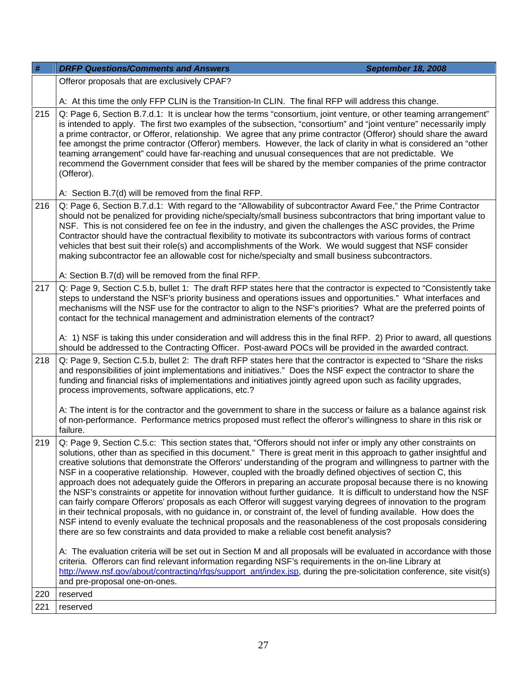| $\#$ | <b>DRFP Questions/Comments and Answers</b><br><b>September 18, 2008</b>                                                                                                                                                                                                                                                                                                                                                                                                                                                                                                                                                                                                                                                                                                                                                                                                                                                                                                                                                                                                                                                                                                      |
|------|------------------------------------------------------------------------------------------------------------------------------------------------------------------------------------------------------------------------------------------------------------------------------------------------------------------------------------------------------------------------------------------------------------------------------------------------------------------------------------------------------------------------------------------------------------------------------------------------------------------------------------------------------------------------------------------------------------------------------------------------------------------------------------------------------------------------------------------------------------------------------------------------------------------------------------------------------------------------------------------------------------------------------------------------------------------------------------------------------------------------------------------------------------------------------|
|      | Offeror proposals that are exclusively CPAF?                                                                                                                                                                                                                                                                                                                                                                                                                                                                                                                                                                                                                                                                                                                                                                                                                                                                                                                                                                                                                                                                                                                                 |
|      | A: At this time the only FFP CLIN is the Transition-In CLIN. The final RFP will address this change.                                                                                                                                                                                                                                                                                                                                                                                                                                                                                                                                                                                                                                                                                                                                                                                                                                                                                                                                                                                                                                                                         |
| 215  | Q: Page 6, Section B.7.d.1: It is unclear how the terms "consortium, joint venture, or other teaming arrangement"<br>is intended to apply. The first two examples of the subsection, "consortium" and "joint venture" necessarily imply<br>a prime contractor, or Offeror, relationship. We agree that any prime contractor (Offeror) should share the award<br>fee amongst the prime contractor (Offeror) members. However, the lack of clarity in what is considered an "other<br>teaming arrangement" could have far-reaching and unusual consequences that are not predictable. We<br>recommend the Government consider that fees will be shared by the member companies of the prime contractor<br>(Offeror).                                                                                                                                                                                                                                                                                                                                                                                                                                                           |
|      | A: Section B.7(d) will be removed from the final RFP.                                                                                                                                                                                                                                                                                                                                                                                                                                                                                                                                                                                                                                                                                                                                                                                                                                                                                                                                                                                                                                                                                                                        |
| 216  | Q: Page 6, Section B.7.d.1: With regard to the "Allowability of subcontractor Award Fee," the Prime Contractor<br>should not be penalized for providing niche/specialty/small business subcontractors that bring important value to<br>NSF. This is not considered fee on fee in the industry, and given the challenges the ASC provides, the Prime<br>Contractor should have the contractual flexibility to motivate its subcontractors with various forms of contract<br>vehicles that best suit their role(s) and accomplishments of the Work. We would suggest that NSF consider<br>making subcontractor fee an allowable cost for niche/specialty and small business subcontractors.                                                                                                                                                                                                                                                                                                                                                                                                                                                                                    |
|      | A: Section B.7(d) will be removed from the final RFP.                                                                                                                                                                                                                                                                                                                                                                                                                                                                                                                                                                                                                                                                                                                                                                                                                                                                                                                                                                                                                                                                                                                        |
| 217  | Q: Page 9, Section C.5.b, bullet 1: The draft RFP states here that the contractor is expected to "Consistently take<br>steps to understand the NSF's priority business and operations issues and opportunities." What interfaces and<br>mechanisms will the NSF use for the contractor to align to the NSF's priorities? What are the preferred points of<br>contact for the technical management and administration elements of the contract?<br>A: 1) NSF is taking this under consideration and will address this in the final RFP. 2) Prior to award, all questions                                                                                                                                                                                                                                                                                                                                                                                                                                                                                                                                                                                                      |
|      | should be addressed to the Contracting Officer. Post-award POCs will be provided in the awarded contract.                                                                                                                                                                                                                                                                                                                                                                                                                                                                                                                                                                                                                                                                                                                                                                                                                                                                                                                                                                                                                                                                    |
| 218  | Q: Page 9, Section C.5.b, bullet 2: The draft RFP states here that the contractor is expected to "Share the risks<br>and responsibilities of joint implementations and initiatives." Does the NSF expect the contractor to share the<br>funding and financial risks of implementations and initiatives jointly agreed upon such as facility upgrades,<br>process improvements, software applications, etc.?                                                                                                                                                                                                                                                                                                                                                                                                                                                                                                                                                                                                                                                                                                                                                                  |
|      | A: The intent is for the contractor and the government to share in the success or failure as a balance against risk<br>of non-performance. Performance metrics proposed must reflect the offeror's willingness to share in this risk or<br>failure.                                                                                                                                                                                                                                                                                                                                                                                                                                                                                                                                                                                                                                                                                                                                                                                                                                                                                                                          |
| 219  | Q: Page 9, Section C.5.c: This section states that, "Offerors should not infer or imply any other constraints on<br>solutions, other than as specified in this document." There is great merit in this approach to gather insightful and<br>creative solutions that demonstrate the Offerors' understanding of the program and willingness to partner with the<br>NSF in a cooperative relationship. However, coupled with the broadly defined objectives of section C, this<br>approach does not adequately guide the Offerors in preparing an accurate proposal because there is no knowing<br>the NSF's constraints or appetite for innovation without further guidance. It is difficult to understand how the NSF<br>can fairly compare Offerors' proposals as each Offeror will suggest varying degrees of innovation to the program<br>in their technical proposals, with no guidance in, or constraint of, the level of funding available. How does the<br>NSF intend to evenly evaluate the technical proposals and the reasonableness of the cost proposals considering<br>there are so few constraints and data provided to make a reliable cost benefit analysis? |
|      | A: The evaluation criteria will be set out in Section M and all proposals will be evaluated in accordance with those<br>criteria. Offerors can find relevant information regarding NSF's requirements in the on-line Library at<br>http://www.nsf.gov/about/contracting/rfqs/support_ant/index.jsp, during the pre-solicitation conference, site visit(s)<br>and pre-proposal one-on-ones.                                                                                                                                                                                                                                                                                                                                                                                                                                                                                                                                                                                                                                                                                                                                                                                   |
| 220  | reserved                                                                                                                                                                                                                                                                                                                                                                                                                                                                                                                                                                                                                                                                                                                                                                                                                                                                                                                                                                                                                                                                                                                                                                     |
| 221  | reserved                                                                                                                                                                                                                                                                                                                                                                                                                                                                                                                                                                                                                                                                                                                                                                                                                                                                                                                                                                                                                                                                                                                                                                     |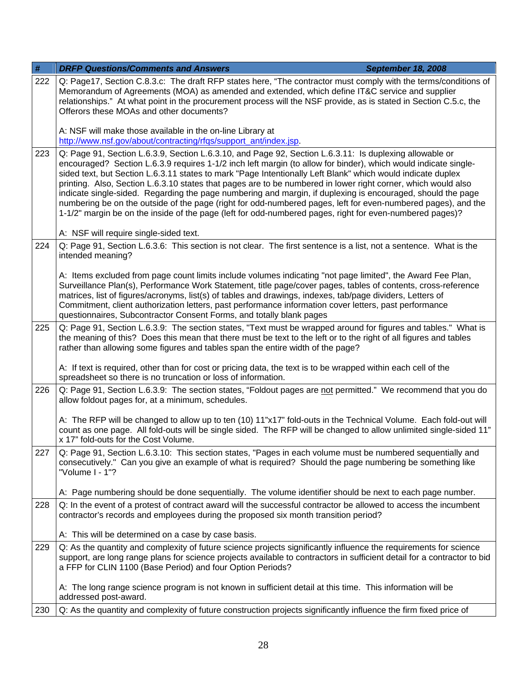| $\#$ | <b>DRFP Questions/Comments and Answers</b><br><b>September 18, 2008</b>                                                                                                                                                                                                                                                                                                                                                                                                                                                                                                                                                                                                                                                                                                                                |  |
|------|--------------------------------------------------------------------------------------------------------------------------------------------------------------------------------------------------------------------------------------------------------------------------------------------------------------------------------------------------------------------------------------------------------------------------------------------------------------------------------------------------------------------------------------------------------------------------------------------------------------------------------------------------------------------------------------------------------------------------------------------------------------------------------------------------------|--|
| 222  | Q: Page17, Section C.8.3.c: The draft RFP states here, "The contractor must comply with the terms/conditions of<br>Memorandum of Agreements (MOA) as amended and extended, which define IT&C service and supplier<br>relationships." At what point in the procurement process will the NSF provide, as is stated in Section C.5.c, the<br>Offerors these MOAs and other documents?                                                                                                                                                                                                                                                                                                                                                                                                                     |  |
|      | A: NSF will make those available in the on-line Library at<br>http://www.nsf.gov/about/contracting/rfgs/support_ant/index.jsp.                                                                                                                                                                                                                                                                                                                                                                                                                                                                                                                                                                                                                                                                         |  |
| 223  | Q: Page 91, Section L.6.3.9, Section L.6.3.10, and Page 92, Section L.6.3.11: Is duplexing allowable or<br>encouraged? Section L.6.3.9 requires 1-1/2 inch left margin (to allow for binder), which would indicate single-<br>sided text, but Section L.6.3.11 states to mark "Page Intentionally Left Blank" which would indicate duplex<br>printing. Also, Section L.6.3.10 states that pages are to be numbered in lower right corner, which would also<br>indicate single-sided. Regarding the page numbering and margin, if duplexing is encouraged, should the page<br>numbering be on the outside of the page (right for odd-numbered pages, left for even-numbered pages), and the<br>1-1/2" margin be on the inside of the page (left for odd-numbered pages, right for even-numbered pages)? |  |
|      | A: NSF will require single-sided text.                                                                                                                                                                                                                                                                                                                                                                                                                                                                                                                                                                                                                                                                                                                                                                 |  |
| 224  | Q: Page 91, Section L.6.3.6: This section is not clear. The first sentence is a list, not a sentence. What is the<br>intended meaning?<br>A: Items excluded from page count limits include volumes indicating "not page limited", the Award Fee Plan,<br>Surveillance Plan(s), Performance Work Statement, title page/cover pages, tables of contents, cross-reference                                                                                                                                                                                                                                                                                                                                                                                                                                 |  |
|      | matrices, list of figures/acronyms, list(s) of tables and drawings, indexes, tab/page dividers, Letters of<br>Commitment, client authorization letters, past performance information cover letters, past performance<br>questionnaires, Subcontractor Consent Forms, and totally blank pages                                                                                                                                                                                                                                                                                                                                                                                                                                                                                                           |  |
| 225  | Q: Page 91, Section L.6.3.9: The section states, "Text must be wrapped around for figures and tables." What is<br>the meaning of this? Does this mean that there must be text to the left or to the right of all figures and tables<br>rather than allowing some figures and tables span the entire width of the page?                                                                                                                                                                                                                                                                                                                                                                                                                                                                                 |  |
|      | A: If text is required, other than for cost or pricing data, the text is to be wrapped within each cell of the<br>spreadsheet so there is no truncation or loss of information.                                                                                                                                                                                                                                                                                                                                                                                                                                                                                                                                                                                                                        |  |
| 226  | Q: Page 91, Section L.6.3.9: The section states, "Foldout pages are not permitted." We recommend that you do<br>allow foldout pages for, at a minimum, schedules.                                                                                                                                                                                                                                                                                                                                                                                                                                                                                                                                                                                                                                      |  |
|      | A: The RFP will be changed to allow up to ten (10) 11"x17" fold-outs in the Technical Volume. Each fold-out will<br>count as one page. All fold-outs will be single sided. The RFP will be changed to allow unlimited single-sided 11"<br>x 17" fold-outs for the Cost Volume.                                                                                                                                                                                                                                                                                                                                                                                                                                                                                                                         |  |
| 227  | Q: Page 91, Section L.6.3.10: This section states, "Pages in each volume must be numbered sequentially and<br>consecutively." Can you give an example of what is required? Should the page numbering be something like<br>"Volume I - 1"?                                                                                                                                                                                                                                                                                                                                                                                                                                                                                                                                                              |  |
|      | A: Page numbering should be done sequentially. The volume identifier should be next to each page number.                                                                                                                                                                                                                                                                                                                                                                                                                                                                                                                                                                                                                                                                                               |  |
| 228  | Q: In the event of a protest of contract award will the successful contractor be allowed to access the incumbent<br>contractor's records and employees during the proposed six month transition period?                                                                                                                                                                                                                                                                                                                                                                                                                                                                                                                                                                                                |  |
|      | A: This will be determined on a case by case basis.                                                                                                                                                                                                                                                                                                                                                                                                                                                                                                                                                                                                                                                                                                                                                    |  |
| 229  | Q: As the quantity and complexity of future science projects significantly influence the requirements for science<br>support, are long range plans for science projects available to contractors in sufficient detail for a contractor to bid<br>a FFP for CLIN 1100 (Base Period) and four Option Periods?                                                                                                                                                                                                                                                                                                                                                                                                                                                                                            |  |
|      | A: The long range science program is not known in sufficient detail at this time. This information will be<br>addressed post-award.                                                                                                                                                                                                                                                                                                                                                                                                                                                                                                                                                                                                                                                                    |  |
| 230  | Q: As the quantity and complexity of future construction projects significantly influence the firm fixed price of                                                                                                                                                                                                                                                                                                                                                                                                                                                                                                                                                                                                                                                                                      |  |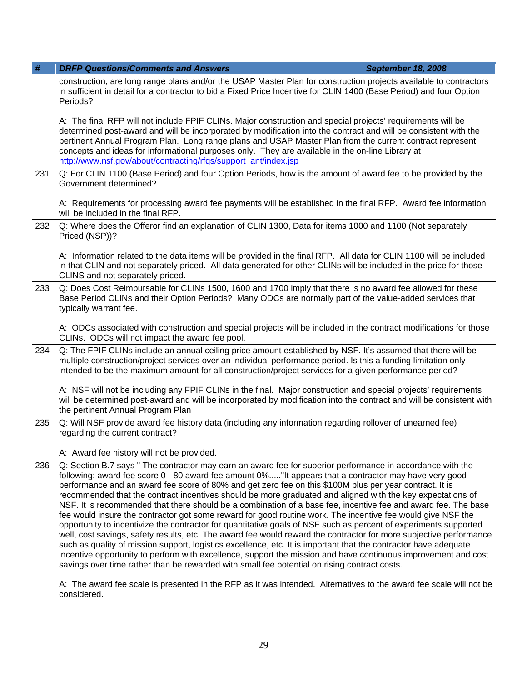| #   | <b>DRFP Questions/Comments and Answers</b>                                                                                                                                                                                                                                                                                                                                                                                                                                                                                                                                                                                                                                                                                                                                                                                                                                                                                                                                                                                                                                                                                                                                                                                                                   | <b>September 18, 2008</b> |
|-----|--------------------------------------------------------------------------------------------------------------------------------------------------------------------------------------------------------------------------------------------------------------------------------------------------------------------------------------------------------------------------------------------------------------------------------------------------------------------------------------------------------------------------------------------------------------------------------------------------------------------------------------------------------------------------------------------------------------------------------------------------------------------------------------------------------------------------------------------------------------------------------------------------------------------------------------------------------------------------------------------------------------------------------------------------------------------------------------------------------------------------------------------------------------------------------------------------------------------------------------------------------------|---------------------------|
|     | construction, are long range plans and/or the USAP Master Plan for construction projects available to contractors<br>in sufficient in detail for a contractor to bid a Fixed Price Incentive for CLIN 1400 (Base Period) and four Option<br>Periods?                                                                                                                                                                                                                                                                                                                                                                                                                                                                                                                                                                                                                                                                                                                                                                                                                                                                                                                                                                                                         |                           |
|     | A: The final RFP will not include FPIF CLINs. Major construction and special projects' requirements will be<br>determined post-award and will be incorporated by modification into the contract and will be consistent with the<br>pertinent Annual Program Plan. Long range plans and USAP Master Plan from the current contract represent<br>concepts and ideas for informational purposes only. They are available in the on-line Library at<br>http://www.nsf.gov/about/contracting/rfgs/support_ant/index.jsp                                                                                                                                                                                                                                                                                                                                                                                                                                                                                                                                                                                                                                                                                                                                           |                           |
| 231 | Q: For CLIN 1100 (Base Period) and four Option Periods, how is the amount of award fee to be provided by the<br>Government determined?                                                                                                                                                                                                                                                                                                                                                                                                                                                                                                                                                                                                                                                                                                                                                                                                                                                                                                                                                                                                                                                                                                                       |                           |
|     | A: Requirements for processing award fee payments will be established in the final RFP. Award fee information<br>will be included in the final RFP.                                                                                                                                                                                                                                                                                                                                                                                                                                                                                                                                                                                                                                                                                                                                                                                                                                                                                                                                                                                                                                                                                                          |                           |
| 232 | Q: Where does the Offeror find an explanation of CLIN 1300, Data for items 1000 and 1100 (Not separately<br>Priced (NSP))?                                                                                                                                                                                                                                                                                                                                                                                                                                                                                                                                                                                                                                                                                                                                                                                                                                                                                                                                                                                                                                                                                                                                   |                           |
|     | A: Information related to the data items will be provided in the final RFP. All data for CLIN 1100 will be included<br>in that CLIN and not separately priced. All data generated for other CLINs will be included in the price for those<br>CLINS and not separately priced.                                                                                                                                                                                                                                                                                                                                                                                                                                                                                                                                                                                                                                                                                                                                                                                                                                                                                                                                                                                |                           |
| 233 | Q: Does Cost Reimbursable for CLINs 1500, 1600 and 1700 imply that there is no award fee allowed for these<br>Base Period CLINs and their Option Periods? Many ODCs are normally part of the value-added services that<br>typically warrant fee.                                                                                                                                                                                                                                                                                                                                                                                                                                                                                                                                                                                                                                                                                                                                                                                                                                                                                                                                                                                                             |                           |
|     | A: ODCs associated with construction and special projects will be included in the contract modifications for those<br>CLINs. ODCs will not impact the award fee pool.                                                                                                                                                                                                                                                                                                                                                                                                                                                                                                                                                                                                                                                                                                                                                                                                                                                                                                                                                                                                                                                                                        |                           |
| 234 | Q: The FPIF CLINs include an annual ceiling price amount established by NSF. It's assumed that there will be<br>multiple construction/project services over an individual performance period. Is this a funding limitation only<br>intended to be the maximum amount for all construction/project services for a given performance period?                                                                                                                                                                                                                                                                                                                                                                                                                                                                                                                                                                                                                                                                                                                                                                                                                                                                                                                   |                           |
|     | A: NSF will not be including any FPIF CLINs in the final. Major construction and special projects' requirements<br>will be determined post-award and will be incorporated by modification into the contract and will be consistent with<br>the pertinent Annual Program Plan                                                                                                                                                                                                                                                                                                                                                                                                                                                                                                                                                                                                                                                                                                                                                                                                                                                                                                                                                                                 |                           |
| 235 | Q: Will NSF provide award fee history data (including any information regarding rollover of unearned fee)<br>regarding the current contract?                                                                                                                                                                                                                                                                                                                                                                                                                                                                                                                                                                                                                                                                                                                                                                                                                                                                                                                                                                                                                                                                                                                 |                           |
|     | A: Award fee history will not be provided.                                                                                                                                                                                                                                                                                                                                                                                                                                                                                                                                                                                                                                                                                                                                                                                                                                                                                                                                                                                                                                                                                                                                                                                                                   |                           |
| 236 | Q: Section B.7 says "The contractor may earn an award fee for superior performance in accordance with the<br>following: award fee score 0 - 80 award fee amount 0%"It appears that a contractor may have very good<br>performance and an award fee score of 80% and get zero fee on this \$100M plus per year contract. It is<br>recommended that the contract incentives should be more graduated and aligned with the key expectations of<br>NSF. It is recommended that there should be a combination of a base fee, incentive fee and award fee. The base<br>fee would insure the contractor got some reward for good routine work. The incentive fee would give NSF the<br>opportunity to incentivize the contractor for quantitative goals of NSF such as percent of experiments supported<br>well, cost savings, safety results, etc. The award fee would reward the contractor for more subjective performance<br>such as quality of mission support, logistics excellence, etc. It is important that the contractor have adequate<br>incentive opportunity to perform with excellence, support the mission and have continuous improvement and cost<br>savings over time rather than be rewarded with small fee potential on rising contract costs. |                           |
|     | A: The award fee scale is presented in the RFP as it was intended. Alternatives to the award fee scale will not be<br>considered.                                                                                                                                                                                                                                                                                                                                                                                                                                                                                                                                                                                                                                                                                                                                                                                                                                                                                                                                                                                                                                                                                                                            |                           |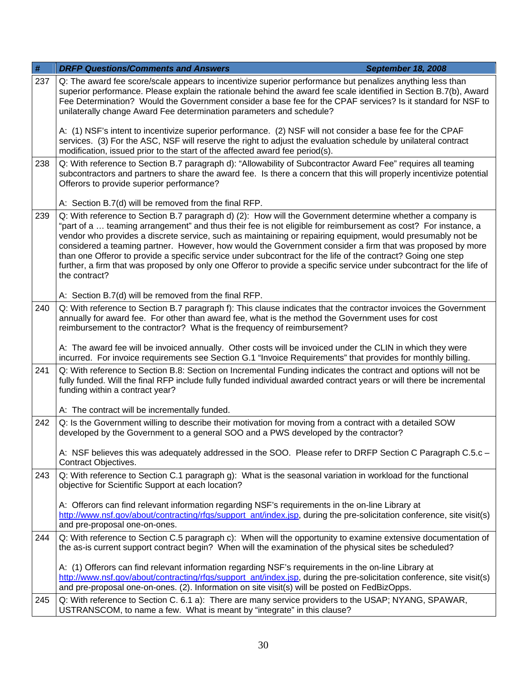| $\#$ | <b>DRFP Questions/Comments and Answers</b><br><b>September 18, 2008</b>                                                                                                                                                                                                                                                                                                                                                                                                                                                                                                                                                                                                                                            |  |
|------|--------------------------------------------------------------------------------------------------------------------------------------------------------------------------------------------------------------------------------------------------------------------------------------------------------------------------------------------------------------------------------------------------------------------------------------------------------------------------------------------------------------------------------------------------------------------------------------------------------------------------------------------------------------------------------------------------------------------|--|
| 237  | Q: The award fee score/scale appears to incentivize superior performance but penalizes anything less than<br>superior performance. Please explain the rationale behind the award fee scale identified in Section B.7(b), Award<br>Fee Determination? Would the Government consider a base fee for the CPAF services? Is it standard for NSF to<br>unilaterally change Award Fee determination parameters and schedule?                                                                                                                                                                                                                                                                                             |  |
|      | A: (1) NSF's intent to incentivize superior performance. (2) NSF will not consider a base fee for the CPAF<br>services. (3) For the ASC, NSF will reserve the right to adjust the evaluation schedule by unilateral contract<br>modification, issued prior to the start of the affected award fee period(s).                                                                                                                                                                                                                                                                                                                                                                                                       |  |
| 238  | Q: With reference to Section B.7 paragraph d): "Allowability of Subcontractor Award Fee" requires all teaming<br>subcontractors and partners to share the award fee. Is there a concern that this will properly incentivize potential<br>Offerors to provide superior performance?                                                                                                                                                                                                                                                                                                                                                                                                                                 |  |
|      | A: Section B.7(d) will be removed from the final RFP.                                                                                                                                                                                                                                                                                                                                                                                                                                                                                                                                                                                                                                                              |  |
| 239  | Q: With reference to Section B.7 paragraph d) (2): How will the Government determine whether a company is<br>"part of a  teaming arrangement" and thus their fee is not eligible for reimbursement as cost? For instance, a<br>vendor who provides a discrete service, such as maintaining or repairing equipment, would presumably not be<br>considered a teaming partner. However, how would the Government consider a firm that was proposed by more<br>than one Offeror to provide a specific service under subcontract for the life of the contract? Going one step<br>further, a firm that was proposed by only one Offeror to provide a specific service under subcontract for the life of<br>the contract? |  |
|      | A: Section B.7(d) will be removed from the final RFP.                                                                                                                                                                                                                                                                                                                                                                                                                                                                                                                                                                                                                                                              |  |
| 240  | Q: With reference to Section B.7 paragraph f): This clause indicates that the contractor invoices the Government<br>annually for award fee. For other than award fee, what is the method the Government uses for cost<br>reimbursement to the contractor? What is the frequency of reimbursement?                                                                                                                                                                                                                                                                                                                                                                                                                  |  |
|      | A: The award fee will be invoiced annually. Other costs will be invoiced under the CLIN in which they were<br>incurred. For invoice requirements see Section G.1 "Invoice Requirements" that provides for monthly billing.                                                                                                                                                                                                                                                                                                                                                                                                                                                                                         |  |
| 241  | Q: With reference to Section B.8: Section on Incremental Funding indicates the contract and options will not be<br>fully funded. Will the final RFP include fully funded individual awarded contract years or will there be incremental<br>funding within a contract year?                                                                                                                                                                                                                                                                                                                                                                                                                                         |  |
|      | A: The contract will be incrementally funded.                                                                                                                                                                                                                                                                                                                                                                                                                                                                                                                                                                                                                                                                      |  |
| 242  | Q: Is the Government willing to describe their motivation for moving from a contract with a detailed SOW<br>developed by the Government to a general SOO and a PWS developed by the contractor?                                                                                                                                                                                                                                                                                                                                                                                                                                                                                                                    |  |
|      | A: NSF believes this was adequately addressed in the SOO. Please refer to DRFP Section C Paragraph C.5.c -<br>Contract Objectives.                                                                                                                                                                                                                                                                                                                                                                                                                                                                                                                                                                                 |  |
| 243  | Q: With reference to Section C.1 paragraph g): What is the seasonal variation in workload for the functional<br>objective for Scientific Support at each location?                                                                                                                                                                                                                                                                                                                                                                                                                                                                                                                                                 |  |
|      | A: Offerors can find relevant information regarding NSF's requirements in the on-line Library at<br>http://www.nsf.gov/about/contracting/rfgs/support_ant/index.jsp, during the pre-solicitation conference, site visit(s)<br>and pre-proposal one-on-ones.                                                                                                                                                                                                                                                                                                                                                                                                                                                        |  |
| 244  | Q: With reference to Section C.5 paragraph c): When will the opportunity to examine extensive documentation of<br>the as-is current support contract begin? When will the examination of the physical sites be scheduled?                                                                                                                                                                                                                                                                                                                                                                                                                                                                                          |  |
|      | A: (1) Offerors can find relevant information regarding NSF's requirements in the on-line Library at<br>http://www.nsf.gov/about/contracting/rfgs/support_ant/index.jsp, during the pre-solicitation conference, site visit(s)<br>and pre-proposal one-on-ones. (2). Information on site visit(s) will be posted on FedBizOpps.                                                                                                                                                                                                                                                                                                                                                                                    |  |
| 245  | Q: With reference to Section C. 6.1 a): There are many service providers to the USAP; NYANG, SPAWAR,<br>USTRANSCOM, to name a few. What is meant by "integrate" in this clause?                                                                                                                                                                                                                                                                                                                                                                                                                                                                                                                                    |  |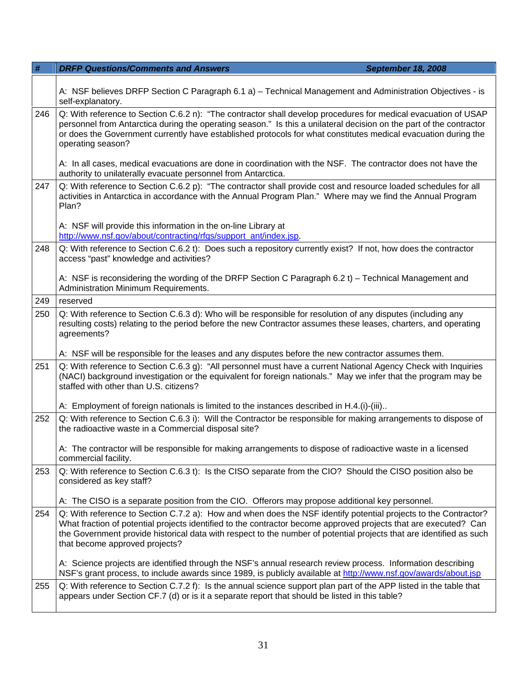| $\#$ | <b>DRFP Questions/Comments and Answers</b><br><b>September 18, 2008</b>                                                                                                                                                                                                                                                                                                                      |  |
|------|----------------------------------------------------------------------------------------------------------------------------------------------------------------------------------------------------------------------------------------------------------------------------------------------------------------------------------------------------------------------------------------------|--|
|      | A: NSF believes DRFP Section C Paragraph 6.1 a) – Technical Management and Administration Objectives - is<br>self-explanatory.                                                                                                                                                                                                                                                               |  |
| 246  | Q: With reference to Section C.6.2 n): "The contractor shall develop procedures for medical evacuation of USAP<br>personnel from Antarctica during the operating season." Is this a unilateral decision on the part of the contractor<br>or does the Government currently have established protocols for what constitutes medical evacuation during the<br>operating season?                 |  |
|      | A: In all cases, medical evacuations are done in coordination with the NSF. The contractor does not have the<br>authority to unilaterally evacuate personnel from Antarctica.                                                                                                                                                                                                                |  |
| 247  | Q: With reference to Section C.6.2 p): "The contractor shall provide cost and resource loaded schedules for all<br>activities in Antarctica in accordance with the Annual Program Plan." Where may we find the Annual Program<br>Plan?                                                                                                                                                       |  |
|      | A: NSF will provide this information in the on-line Library at<br>http://www.nsf.gov/about/contracting/rfqs/support_ant/index.jsp.                                                                                                                                                                                                                                                           |  |
| 248  | Q: With reference to Section C.6.2 t): Does such a repository currently exist? If not, how does the contractor<br>access "past" knowledge and activities?                                                                                                                                                                                                                                    |  |
|      | A: NSF is reconsidering the wording of the DRFP Section C Paragraph 6.2 t) – Technical Management and<br>Administration Minimum Requirements.                                                                                                                                                                                                                                                |  |
| 249  | reserved                                                                                                                                                                                                                                                                                                                                                                                     |  |
| 250  | Q: With reference to Section C.6.3 d): Who will be responsible for resolution of any disputes (including any<br>resulting costs) relating to the period before the new Contractor assumes these leases, charters, and operating<br>agreements?                                                                                                                                               |  |
|      | A: NSF will be responsible for the leases and any disputes before the new contractor assumes them.                                                                                                                                                                                                                                                                                           |  |
| 251  | Q: With reference to Section C.6.3 g): "All personnel must have a current National Agency Check with Inquiries<br>(NACI) background investigation or the equivalent for foreign nationals." May we infer that the program may be<br>staffed with other than U.S. citizens?                                                                                                                   |  |
|      | A: Employment of foreign nationals is limited to the instances described in H.4.(i)-(iii)                                                                                                                                                                                                                                                                                                    |  |
| 252  | Q: With reference to Section C.6.3 i): Will the Contractor be responsible for making arrangements to dispose of<br>the radioactive waste in a Commercial disposal site?                                                                                                                                                                                                                      |  |
|      | A: The contractor will be responsible for making arrangements to dispose of radioactive waste in a licensed<br>commercial facility.                                                                                                                                                                                                                                                          |  |
| 253  | Q: With reference to Section C.6.3 t): Is the CISO separate from the CIO? Should the CISO position also be<br>considered as key staff?                                                                                                                                                                                                                                                       |  |
|      | A: The CISO is a separate position from the CIO. Offerors may propose additional key personnel.                                                                                                                                                                                                                                                                                              |  |
| 254  | Q: With reference to Section C.7.2 a): How and when does the NSF identify potential projects to the Contractor?<br>What fraction of potential projects identified to the contractor become approved projects that are executed? Can<br>the Government provide historical data with respect to the number of potential projects that are identified as such<br>that become approved projects? |  |
|      | A: Science projects are identified through the NSF's annual research review process. Information describing<br>NSF's grant process, to include awards since 1989, is publicly available at http://www.nsf.gov/awards/about.jsp                                                                                                                                                               |  |
| 255  | Q: With reference to Section C.7.2 f): Is the annual science support plan part of the APP listed in the table that<br>appears under Section CF.7 (d) or is it a separate report that should be listed in this table?                                                                                                                                                                         |  |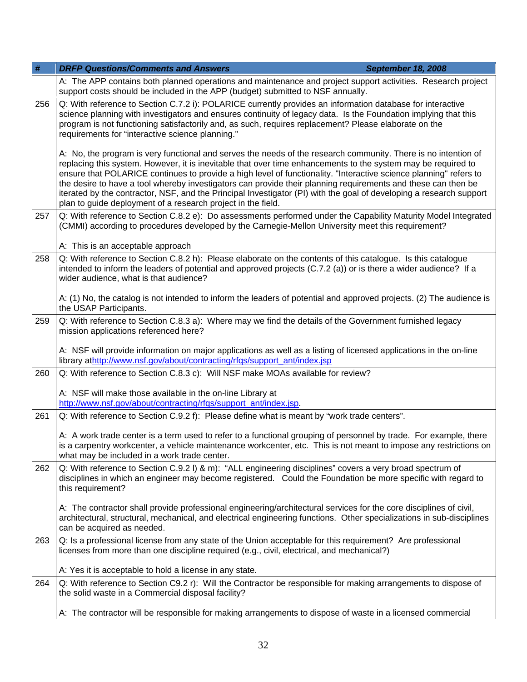| $\#$ | <b>DRFP Questions/Comments and Answers</b><br><b>September 18, 2008</b>                                                                                                                                                                                                                                                                                                                                                                                                                                                                                                                                                                                      |  |
|------|--------------------------------------------------------------------------------------------------------------------------------------------------------------------------------------------------------------------------------------------------------------------------------------------------------------------------------------------------------------------------------------------------------------------------------------------------------------------------------------------------------------------------------------------------------------------------------------------------------------------------------------------------------------|--|
|      | A: The APP contains both planned operations and maintenance and project support activities. Research project<br>support costs should be included in the APP (budget) submitted to NSF annually.                                                                                                                                                                                                                                                                                                                                                                                                                                                              |  |
| 256  | Q: With reference to Section C.7.2 i): POLARICE currently provides an information database for interactive<br>science planning with investigators and ensures continuity of legacy data. Is the Foundation implying that this<br>program is not functioning satisfactorily and, as such, requires replacement? Please elaborate on the<br>requirements for "interactive science planning."                                                                                                                                                                                                                                                                   |  |
|      | A: No, the program is very functional and serves the needs of the research community. There is no intention of<br>replacing this system. However, it is inevitable that over time enhancements to the system may be required to<br>ensure that POLARICE continues to provide a high level of functionality. "Interactive science planning" refers to<br>the desire to have a tool whereby investigators can provide their planning requirements and these can then be<br>iterated by the contractor, NSF, and the Principal Investigator (PI) with the goal of developing a research support<br>plan to guide deployment of a research project in the field. |  |
| 257  | Q: With reference to Section C.8.2 e): Do assessments performed under the Capability Maturity Model Integrated<br>(CMMI) according to procedures developed by the Carnegie-Mellon University meet this requirement?                                                                                                                                                                                                                                                                                                                                                                                                                                          |  |
|      | A: This is an acceptable approach                                                                                                                                                                                                                                                                                                                                                                                                                                                                                                                                                                                                                            |  |
| 258  | Q: With reference to Section C.8.2 h): Please elaborate on the contents of this catalogue. Is this catalogue<br>intended to inform the leaders of potential and approved projects (C.7.2 (a)) or is there a wider audience? If a<br>wider audience, what is that audience?                                                                                                                                                                                                                                                                                                                                                                                   |  |
|      | A: (1) No, the catalog is not intended to inform the leaders of potential and approved projects. (2) The audience is<br>the USAP Participants.                                                                                                                                                                                                                                                                                                                                                                                                                                                                                                               |  |
| 259  | Q: With reference to Section C.8.3 a): Where may we find the details of the Government furnished legacy<br>mission applications referenced here?                                                                                                                                                                                                                                                                                                                                                                                                                                                                                                             |  |
|      | A: NSF will provide information on major applications as well as a listing of licensed applications in the on-line<br>library athttp://www.nsf.gov/about/contracting/rfqs/support_ant/index.jsp                                                                                                                                                                                                                                                                                                                                                                                                                                                              |  |
| 260  | Q: With reference to Section C.8.3 c): Will NSF make MOAs available for review?                                                                                                                                                                                                                                                                                                                                                                                                                                                                                                                                                                              |  |
|      | A: NSF will make those available in the on-line Library at<br>http://www.nsf.gov/about/contracting/rfgs/support_ant/index.jsp.                                                                                                                                                                                                                                                                                                                                                                                                                                                                                                                               |  |
| 261  | Q: With reference to Section C.9.2 f): Please define what is meant by "work trade centers".                                                                                                                                                                                                                                                                                                                                                                                                                                                                                                                                                                  |  |
|      | A: A work trade center is a term used to refer to a functional grouping of personnel by trade. For example, there<br>is a carpentry workcenter, a vehicle maintenance workcenter, etc. This is not meant to impose any restrictions on<br>what may be included in a work trade center.                                                                                                                                                                                                                                                                                                                                                                       |  |
| 262  | Q: With reference to Section C.9.2 I) & m): "ALL engineering disciplines" covers a very broad spectrum of<br>disciplines in which an engineer may become registered. Could the Foundation be more specific with regard to<br>this requirement?                                                                                                                                                                                                                                                                                                                                                                                                               |  |
|      | A: The contractor shall provide professional engineering/architectural services for the core disciplines of civil,<br>architectural, structural, mechanical, and electrical engineering functions. Other specializations in sub-disciplines<br>can be acquired as needed.                                                                                                                                                                                                                                                                                                                                                                                    |  |
| 263  | Q: Is a professional license from any state of the Union acceptable for this requirement? Are professional<br>licenses from more than one discipline required (e.g., civil, electrical, and mechanical?)                                                                                                                                                                                                                                                                                                                                                                                                                                                     |  |
|      | A: Yes it is acceptable to hold a license in any state.                                                                                                                                                                                                                                                                                                                                                                                                                                                                                                                                                                                                      |  |
| 264  | Q: With reference to Section C9.2 r): Will the Contractor be responsible for making arrangements to dispose of<br>the solid waste in a Commercial disposal facility?                                                                                                                                                                                                                                                                                                                                                                                                                                                                                         |  |
|      | A: The contractor will be responsible for making arrangements to dispose of waste in a licensed commercial                                                                                                                                                                                                                                                                                                                                                                                                                                                                                                                                                   |  |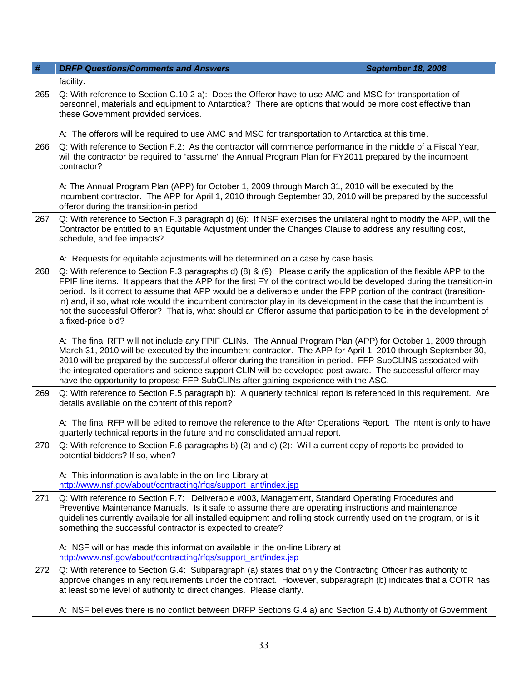| #   | <b>DRFP Questions/Comments and Answers</b><br><b>September 18, 2008</b>                                                                                                                                                                                                                                                                                                                                                                                                                                                                                                                                                             |  |
|-----|-------------------------------------------------------------------------------------------------------------------------------------------------------------------------------------------------------------------------------------------------------------------------------------------------------------------------------------------------------------------------------------------------------------------------------------------------------------------------------------------------------------------------------------------------------------------------------------------------------------------------------------|--|
|     | facility.                                                                                                                                                                                                                                                                                                                                                                                                                                                                                                                                                                                                                           |  |
| 265 | Q: With reference to Section C.10.2 a): Does the Offeror have to use AMC and MSC for transportation of<br>personnel, materials and equipment to Antarctica? There are options that would be more cost effective than<br>these Government provided services.                                                                                                                                                                                                                                                                                                                                                                         |  |
|     | A: The offerors will be required to use AMC and MSC for transportation to Antarctica at this time.                                                                                                                                                                                                                                                                                                                                                                                                                                                                                                                                  |  |
| 266 | Q: With reference to Section F.2: As the contractor will commence performance in the middle of a Fiscal Year,<br>will the contractor be required to "assume" the Annual Program Plan for FY2011 prepared by the incumbent<br>contractor?                                                                                                                                                                                                                                                                                                                                                                                            |  |
|     | A: The Annual Program Plan (APP) for October 1, 2009 through March 31, 2010 will be executed by the<br>incumbent contractor. The APP for April 1, 2010 through September 30, 2010 will be prepared by the successful<br>offeror during the transition-in period.                                                                                                                                                                                                                                                                                                                                                                    |  |
| 267 | Q: With reference to Section F.3 paragraph d) (6): If NSF exercises the unilateral right to modify the APP, will the<br>Contractor be entitled to an Equitable Adjustment under the Changes Clause to address any resulting cost,<br>schedule, and fee impacts?                                                                                                                                                                                                                                                                                                                                                                     |  |
|     | A: Requests for equitable adjustments will be determined on a case by case basis.                                                                                                                                                                                                                                                                                                                                                                                                                                                                                                                                                   |  |
| 268 | Q: With reference to Section F.3 paragraphs d) (8) & (9): Please clarify the application of the flexible APP to the<br>FPIF line items. It appears that the APP for the first FY of the contract would be developed during the transition-in<br>period. Is it correct to assume that APP would be a deliverable under the FPP portion of the contract (transition-<br>in) and, if so, what role would the incumbent contractor play in its development in the case that the incumbent is<br>not the successful Offeror? That is, what should an Offeror assume that participation to be in the development of<br>a fixed-price bid? |  |
|     | A: The final RFP will not include any FPIF CLINs. The Annual Program Plan (APP) for October 1, 2009 through<br>March 31, 2010 will be executed by the incumbent contractor. The APP for April 1, 2010 through September 30,<br>2010 will be prepared by the successful offeror during the transition-in period. FFP SubCLINS associated with<br>the integrated operations and science support CLIN will be developed post-award. The successful offeror may<br>have the opportunity to propose FFP SubCLINs after gaining experience with the ASC.                                                                                  |  |
| 269 | Q: With reference to Section F.5 paragraph b): A quarterly technical report is referenced in this requirement. Are<br>details available on the content of this report?                                                                                                                                                                                                                                                                                                                                                                                                                                                              |  |
|     | A: The final RFP will be edited to remove the reference to the After Operations Report. The intent is only to have<br>quarterly technical reports in the future and no consolidated annual report.                                                                                                                                                                                                                                                                                                                                                                                                                                  |  |
| 270 | Q: With reference to Section F.6 paragraphs b) (2) and c) (2): Will a current copy of reports be provided to<br>potential bidders? If so, when?                                                                                                                                                                                                                                                                                                                                                                                                                                                                                     |  |
|     | A: This information is available in the on-line Library at<br>http://www.nsf.gov/about/contracting/rfqs/support_ant/index.jsp                                                                                                                                                                                                                                                                                                                                                                                                                                                                                                       |  |
| 271 | Q: With reference to Section F.7: Deliverable #003, Management, Standard Operating Procedures and<br>Preventive Maintenance Manuals. Is it safe to assume there are operating instructions and maintenance<br>guidelines currently available for all installed equipment and rolling stock currently used on the program, or is it<br>something the successful contractor is expected to create?                                                                                                                                                                                                                                    |  |
|     | A: NSF will or has made this information available in the on-line Library at<br>http://www.nsf.gov/about/contracting/rfqs/support_ant/index.jsp                                                                                                                                                                                                                                                                                                                                                                                                                                                                                     |  |
| 272 | Q: With reference to Section G.4: Subparagraph (a) states that only the Contracting Officer has authority to<br>approve changes in any requirements under the contract. However, subparagraph (b) indicates that a COTR has<br>at least some level of authority to direct changes. Please clarify.                                                                                                                                                                                                                                                                                                                                  |  |
|     | A: NSF believes there is no conflict between DRFP Sections G.4 a) and Section G.4 b) Authority of Government                                                                                                                                                                                                                                                                                                                                                                                                                                                                                                                        |  |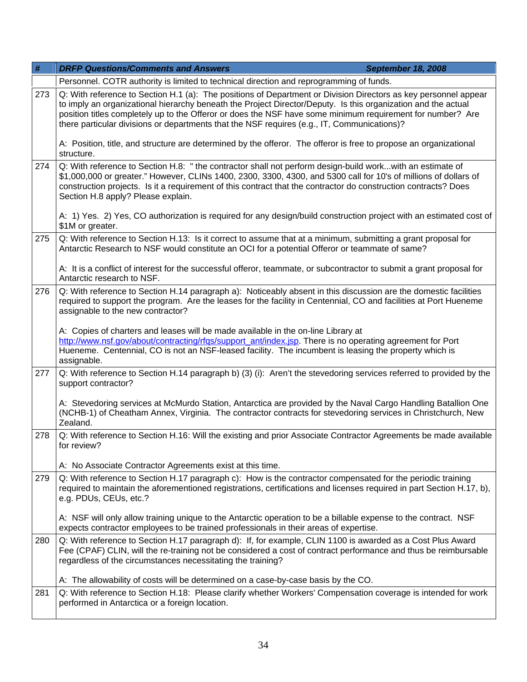| $\#$ | <b>DRFP Questions/Comments and Answers</b><br>September 18, 2008                                                                                                                                                                                                                                                                                                                                                                              |  |
|------|-----------------------------------------------------------------------------------------------------------------------------------------------------------------------------------------------------------------------------------------------------------------------------------------------------------------------------------------------------------------------------------------------------------------------------------------------|--|
|      | Personnel. COTR authority is limited to technical direction and reprogramming of funds.                                                                                                                                                                                                                                                                                                                                                       |  |
| 273  | Q: With reference to Section H.1 (a): The positions of Department or Division Directors as key personnel appear<br>to imply an organizational hierarchy beneath the Project Director/Deputy. Is this organization and the actual<br>position titles completely up to the Offeror or does the NSF have some minimum requirement for number? Are<br>there particular divisions or departments that the NSF requires (e.g., IT, Communications)? |  |
|      | A: Position, title, and structure are determined by the offeror. The offeror is free to propose an organizational<br>structure.                                                                                                                                                                                                                                                                                                               |  |
| 274  | Q: With reference to Section H.8: " the contractor shall not perform design-build workwith an estimate of<br>\$1,000,000 or greater." However, CLINs 1400, 2300, 3300, 4300, and 5300 call for 10's of millions of dollars of<br>construction projects. Is it a requirement of this contract that the contractor do construction contracts? Does<br>Section H.8 apply? Please explain.                                                        |  |
|      | A: 1) Yes. 2) Yes, CO authorization is required for any design/build construction project with an estimated cost of<br>\$1M or greater.                                                                                                                                                                                                                                                                                                       |  |
| 275  | Q: With reference to Section H.13: Is it correct to assume that at a minimum, submitting a grant proposal for<br>Antarctic Research to NSF would constitute an OCI for a potential Offeror or teammate of same?                                                                                                                                                                                                                               |  |
|      | A: It is a conflict of interest for the successful offeror, teammate, or subcontractor to submit a grant proposal for<br>Antarctic research to NSF.                                                                                                                                                                                                                                                                                           |  |
| 276  | Q: With reference to Section H.14 paragraph a): Noticeably absent in this discussion are the domestic facilities<br>required to support the program. Are the leases for the facility in Centennial, CO and facilities at Port Hueneme<br>assignable to the new contractor?                                                                                                                                                                    |  |
|      | A: Copies of charters and leases will be made available in the on-line Library at<br>http://www.nsf.gov/about/contracting/rfqs/support_ant/index.jsp. There is no operating agreement for Port<br>Hueneme. Centennial, CO is not an NSF-leased facility. The incumbent is leasing the property which is<br>assignable.                                                                                                                        |  |
| 277  | Q: With reference to Section H.14 paragraph b) (3) (i): Aren't the stevedoring services referred to provided by the<br>support contractor?                                                                                                                                                                                                                                                                                                    |  |
|      | A: Stevedoring services at McMurdo Station, Antarctica are provided by the Naval Cargo Handling Batallion One<br>(NCHB-1) of Cheatham Annex, Virginia. The contractor contracts for stevedoring services in Christchurch, New<br>Zealand.                                                                                                                                                                                                     |  |
| 278  | Q: With reference to Section H.16: Will the existing and prior Associate Contractor Agreements be made available<br>for review?                                                                                                                                                                                                                                                                                                               |  |
|      | A: No Associate Contractor Agreements exist at this time.                                                                                                                                                                                                                                                                                                                                                                                     |  |
| 279  | Q: With reference to Section H.17 paragraph c): How is the contractor compensated for the periodic training<br>required to maintain the aforementioned registrations, certifications and licenses required in part Section H.17, b),<br>e.g. PDUs, CEUs, etc.?                                                                                                                                                                                |  |
|      | A: NSF will only allow training unique to the Antarctic operation to be a billable expense to the contract. NSF<br>expects contractor employees to be trained professionals in their areas of expertise.                                                                                                                                                                                                                                      |  |
| 280  | Q: With reference to Section H.17 paragraph d): If, for example, CLIN 1100 is awarded as a Cost Plus Award<br>Fee (CPAF) CLIN, will the re-training not be considered a cost of contract performance and thus be reimbursable<br>regardless of the circumstances necessitating the training?                                                                                                                                                  |  |
|      | A: The allowability of costs will be determined on a case-by-case basis by the CO.                                                                                                                                                                                                                                                                                                                                                            |  |
| 281  | Q: With reference to Section H.18: Please clarify whether Workers' Compensation coverage is intended for work<br>performed in Antarctica or a foreign location.                                                                                                                                                                                                                                                                               |  |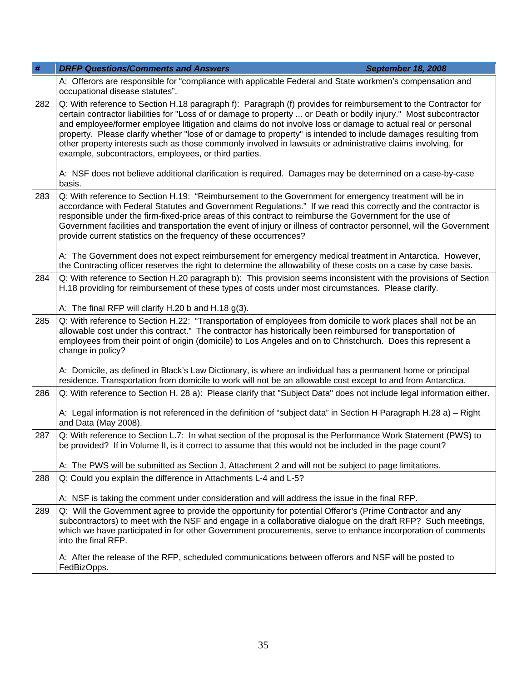| $\#$                                                                                                                        | <b>DRFP Questions/Comments and Answers</b>                                                                                                                                                                                                                                                                                                                                                                                                                                                                                                                                                                                                                                                                                                                 | <b>September 18, 2008</b> |
|-----------------------------------------------------------------------------------------------------------------------------|------------------------------------------------------------------------------------------------------------------------------------------------------------------------------------------------------------------------------------------------------------------------------------------------------------------------------------------------------------------------------------------------------------------------------------------------------------------------------------------------------------------------------------------------------------------------------------------------------------------------------------------------------------------------------------------------------------------------------------------------------------|---------------------------|
|                                                                                                                             | A: Offerors are responsible for "compliance with applicable Federal and State workmen's compensation and<br>occupational disease statutes".                                                                                                                                                                                                                                                                                                                                                                                                                                                                                                                                                                                                                |                           |
| 282                                                                                                                         | Q: With reference to Section H.18 paragraph f): Paragraph (f) provides for reimbursement to the Contractor for<br>certain contractor liabilities for "Loss of or damage to property  or Death or bodily injury." Most subcontractor<br>and employee/former employee litigation and claims do not involve loss or damage to actual real or personal<br>property. Please clarify whether "lose of or damage to property" is intended to include damages resulting from<br>other property interests such as those commonly involved in lawsuits or administrative claims involving, for<br>example, subcontractors, employees, or third parties.<br>A: NSF does not believe additional clarification is required. Damages may be determined on a case-by-case |                           |
|                                                                                                                             | basis.                                                                                                                                                                                                                                                                                                                                                                                                                                                                                                                                                                                                                                                                                                                                                     |                           |
| 283                                                                                                                         | Q: With reference to Section H.19: "Reimbursement to the Government for emergency treatment will be in<br>accordance with Federal Statutes and Government Regulations." If we read this correctly and the contractor is<br>responsible under the firm-fixed-price areas of this contract to reimburse the Government for the use of<br>Government facilities and transportation the event of injury or illness of contractor personnel, will the Government<br>provide current statistics on the frequency of these occurrences?<br>A: The Government does not expect reimbursement for emergency medical treatment in Antarctica. However,                                                                                                                |                           |
|                                                                                                                             | the Contracting officer reserves the right to determine the allowability of these costs on a case by case basis.                                                                                                                                                                                                                                                                                                                                                                                                                                                                                                                                                                                                                                           |                           |
| 284                                                                                                                         | Q: With reference to Section H.20 paragraph b): This provision seems inconsistent with the provisions of Section<br>H.18 providing for reimbursement of these types of costs under most circumstances. Please clarify.                                                                                                                                                                                                                                                                                                                                                                                                                                                                                                                                     |                           |
|                                                                                                                             | A: The final RFP will clarify H.20 b and H.18 $g(3)$ .                                                                                                                                                                                                                                                                                                                                                                                                                                                                                                                                                                                                                                                                                                     |                           |
| 285                                                                                                                         | Q: With reference to Section H.22: "Transportation of employees from domicile to work places shall not be an<br>allowable cost under this contract." The contractor has historically been reimbursed for transportation of<br>employees from their point of origin (domicile) to Los Angeles and on to Christchurch. Does this represent a<br>change in policy?                                                                                                                                                                                                                                                                                                                                                                                            |                           |
|                                                                                                                             | A: Domicile, as defined in Black's Law Dictionary, is where an individual has a permanent home or principal<br>residence. Transportation from domicile to work will not be an allowable cost except to and from Antarctica.                                                                                                                                                                                                                                                                                                                                                                                                                                                                                                                                |                           |
| Q: With reference to Section H. 28 a): Please clarify that "Subject Data" does not include legal information either.<br>286 |                                                                                                                                                                                                                                                                                                                                                                                                                                                                                                                                                                                                                                                                                                                                                            |                           |
|                                                                                                                             | A: Legal information is not referenced in the definition of "subject data" in Section H Paragraph H.28 a) - Right<br>and Data (May 2008).                                                                                                                                                                                                                                                                                                                                                                                                                                                                                                                                                                                                                  |                           |
| 287                                                                                                                         | Q: With reference to Section L.7: In what section of the proposal is the Performance Work Statement (PWS) to<br>be provided? If in Volume II, is it correct to assume that this would not be included in the page count?                                                                                                                                                                                                                                                                                                                                                                                                                                                                                                                                   |                           |
|                                                                                                                             | A: The PWS will be submitted as Section J, Attachment 2 and will not be subject to page limitations.                                                                                                                                                                                                                                                                                                                                                                                                                                                                                                                                                                                                                                                       |                           |
| 288                                                                                                                         | Q: Could you explain the difference in Attachments L-4 and L-5?                                                                                                                                                                                                                                                                                                                                                                                                                                                                                                                                                                                                                                                                                            |                           |
|                                                                                                                             | A: NSF is taking the comment under consideration and will address the issue in the final RFP.                                                                                                                                                                                                                                                                                                                                                                                                                                                                                                                                                                                                                                                              |                           |
| 289                                                                                                                         | Q: Will the Government agree to provide the opportunity for potential Offeror's (Prime Contractor and any<br>subcontractors) to meet with the NSF and engage in a collaborative dialogue on the draft RFP? Such meetings,<br>which we have participated in for other Government procurements, serve to enhance incorporation of comments<br>into the final RFP.                                                                                                                                                                                                                                                                                                                                                                                            |                           |
|                                                                                                                             | A: After the release of the RFP, scheduled communications between offerors and NSF will be posted to<br>FedBizOpps.                                                                                                                                                                                                                                                                                                                                                                                                                                                                                                                                                                                                                                        |                           |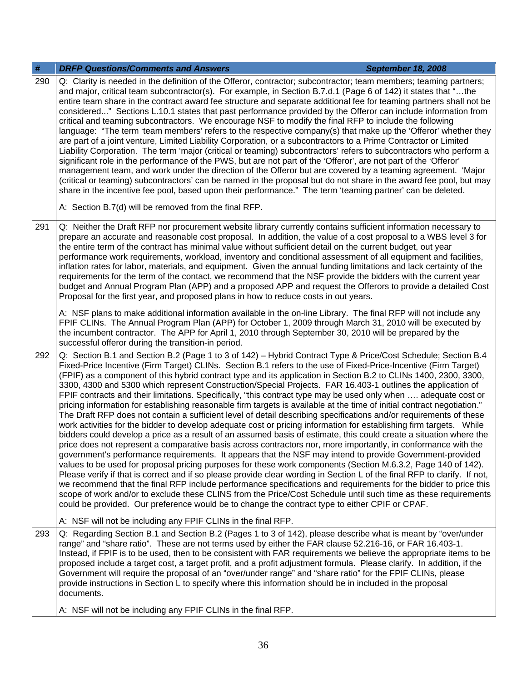| #   | <b>DRFP Questions/Comments and Answers</b><br><b>September 18, 2008</b>                                                                                                                                                                                                                                                                                                                                                                                                                                                                                                                                                                                                                                                                                                                                                                                                                                                                                                                                                                                                                                                                                                                                                                                                                                                                                                                                                                                                                                                                                                                                                                                                                                                                                                                                                                                                                                   |
|-----|-----------------------------------------------------------------------------------------------------------------------------------------------------------------------------------------------------------------------------------------------------------------------------------------------------------------------------------------------------------------------------------------------------------------------------------------------------------------------------------------------------------------------------------------------------------------------------------------------------------------------------------------------------------------------------------------------------------------------------------------------------------------------------------------------------------------------------------------------------------------------------------------------------------------------------------------------------------------------------------------------------------------------------------------------------------------------------------------------------------------------------------------------------------------------------------------------------------------------------------------------------------------------------------------------------------------------------------------------------------------------------------------------------------------------------------------------------------------------------------------------------------------------------------------------------------------------------------------------------------------------------------------------------------------------------------------------------------------------------------------------------------------------------------------------------------------------------------------------------------------------------------------------------------|
| 290 | Q: Clarity is needed in the definition of the Offeror, contractor; subcontractor; team members; teaming partners;<br>and major, critical team subcontractor(s). For example, in Section B.7.d.1 (Page 6 of 142) it states that "the<br>entire team share in the contract award fee structure and separate additional fee for teaming partners shall not be<br>considered" Sections L.10.1 states that past performance provided by the Offeror can include information from<br>critical and teaming subcontractors. We encourage NSF to modify the final RFP to include the following<br>language: "The term 'team members' refers to the respective company(s) that make up the 'Offeror' whether they<br>are part of a joint venture, Limited Liability Corporation, or a subcontractors to a Prime Contractor or Limited<br>Liability Corporation. The term 'major (critical or teaming) subcontractors' refers to subcontractors who perform a<br>significant role in the performance of the PWS, but are not part of the 'Offeror', are not part of the 'Offeror'<br>management team, and work under the direction of the Offeror but are covered by a teaming agreement. 'Major<br>(critical or teaming) subcontractors' can be named in the proposal but do not share in the award fee pool, but may<br>share in the incentive fee pool, based upon their performance." The term 'teaming partner' can be deleted.<br>A: Section B.7(d) will be removed from the final RFP.                                                                                                                                                                                                                                                                                                                                                                                                                        |
| 291 | Q: Neither the Draft RFP nor procurement website library currently contains sufficient information necessary to<br>prepare an accurate and reasonable cost proposal. In addition, the value of a cost proposal to a WBS level 3 for<br>the entire term of the contract has minimal value without sufficient detail on the current budget, out year<br>performance work requirements, workload, inventory and conditional assessment of all equipment and facilities,<br>inflation rates for labor, materials, and equipment. Given the annual funding limitations and lack certainty of the<br>requirements for the term of the contact, we recommend that the NSF provide the bidders with the current year<br>budget and Annual Program Plan (APP) and a proposed APP and request the Offerors to provide a detailed Cost<br>Proposal for the first year, and proposed plans in how to reduce costs in out years.<br>A: NSF plans to make additional information available in the on-line Library. The final RFP will not include any                                                                                                                                                                                                                                                                                                                                                                                                                                                                                                                                                                                                                                                                                                                                                                                                                                                                   |
|     | FPIF CLINs. The Annual Program Plan (APP) for October 1, 2009 through March 31, 2010 will be executed by<br>the incumbent contractor. The APP for April 1, 2010 through September 30, 2010 will be prepared by the<br>successful offeror during the transition-in period.                                                                                                                                                                                                                                                                                                                                                                                                                                                                                                                                                                                                                                                                                                                                                                                                                                                                                                                                                                                                                                                                                                                                                                                                                                                                                                                                                                                                                                                                                                                                                                                                                                 |
| 292 | Q: Section B.1 and Section B.2 (Page 1 to 3 of 142) - Hybrid Contract Type & Price/Cost Schedule; Section B.4<br>Fixed-Price Incentive (Firm Target) CLINs. Section B.1 refers to the use of Fixed-Price-Incentive (Firm Target)<br>(FPIF) as a component of this hybrid contract type and its application in Section B.2 to CLINs 1400, 2300, 3300,<br>3300, 4300 and 5300 which represent Construction/Special Projects. FAR 16.403-1 outlines the application of<br>FPIF contracts and their limitations. Specifically, "this contract type may be used only when  adequate cost or<br>pricing information for establishing reasonable firm targets is available at the time of initial contract negotiation."<br>The Draft RFP does not contain a sufficient level of detail describing specifications and/or requirements of these<br>work activities for the bidder to develop adequate cost or pricing information for establishing firm targets.  While<br>bidders could develop a price as a result of an assumed basis of estimate, this could create a situation where the<br>price does not represent a comparative basis across contractors nor, more importantly, in conformance with the<br>government's performance requirements. It appears that the NSF may intend to provide Government-provided<br>values to be used for proposal pricing purposes for these work components (Section M.6.3.2, Page 140 of 142).<br>Please verify if that is correct and if so please provide clear wording in Section L of the final RFP to clarify. If not,<br>we recommend that the final RFP include performance specifications and requirements for the bidder to price this<br>scope of work and/or to exclude these CLINS from the Price/Cost Schedule until such time as these requirements<br>could be provided. Our preference would be to change the contract type to either CPIF or CPAF. |
|     | A: NSF will not be including any FPIF CLINs in the final RFP.                                                                                                                                                                                                                                                                                                                                                                                                                                                                                                                                                                                                                                                                                                                                                                                                                                                                                                                                                                                                                                                                                                                                                                                                                                                                                                                                                                                                                                                                                                                                                                                                                                                                                                                                                                                                                                             |
| 293 | Q: Regarding Section B.1 and Section B.2 (Pages 1 to 3 of 142), please describe what is meant by "over/under<br>range" and "share ratio". These are not terms used by either the FAR clause 52.216-16, or FAR 16.403-1.<br>Instead, if FPIF is to be used, then to be consistent with FAR requirements we believe the appropriate items to be<br>proposed include a target cost, a target profit, and a profit adjustment formula. Please clarify. In addition, if the<br>Government will require the proposal of an "over/under range" and "share ratio" for the FPIF CLINs, please<br>provide instructions in Section L to specify where this information should be in included in the proposal<br>documents.                                                                                                                                                                                                                                                                                                                                                                                                                                                                                                                                                                                                                                                                                                                                                                                                                                                                                                                                                                                                                                                                                                                                                                                           |
|     | A: NSF will not be including any FPIF CLINs in the final RFP.                                                                                                                                                                                                                                                                                                                                                                                                                                                                                                                                                                                                                                                                                                                                                                                                                                                                                                                                                                                                                                                                                                                                                                                                                                                                                                                                                                                                                                                                                                                                                                                                                                                                                                                                                                                                                                             |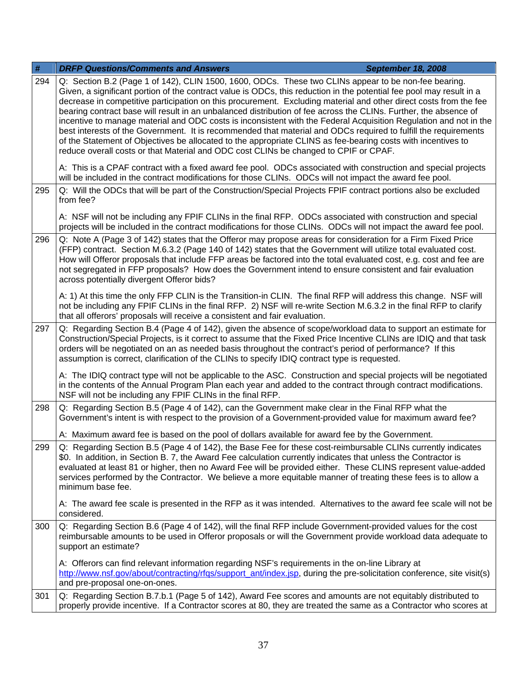| $\#$ | <b>DRFP Questions/Comments and Answers</b><br><b>September 18, 2008</b>                                                                                                                                                                                                                                                                                                                                                                                                                                                                                                                                                                                                                                                                                                                                                                                                                                               |  |
|------|-----------------------------------------------------------------------------------------------------------------------------------------------------------------------------------------------------------------------------------------------------------------------------------------------------------------------------------------------------------------------------------------------------------------------------------------------------------------------------------------------------------------------------------------------------------------------------------------------------------------------------------------------------------------------------------------------------------------------------------------------------------------------------------------------------------------------------------------------------------------------------------------------------------------------|--|
| 294  | Q: Section B.2 (Page 1 of 142), CLIN 1500, 1600, ODCs. These two CLINs appear to be non-fee bearing.<br>Given, a significant portion of the contract value is ODCs, this reduction in the potential fee pool may result in a<br>decrease in competitive participation on this procurement. Excluding material and other direct costs from the fee<br>bearing contract base will result in an unbalanced distribution of fee across the CLINs. Further, the absence of<br>incentive to manage material and ODC costs is inconsistent with the Federal Acquisition Regulation and not in the<br>best interests of the Government. It is recommended that material and ODCs required to fulfill the requirements<br>of the Statement of Objectives be allocated to the appropriate CLINS as fee-bearing costs with incentives to<br>reduce overall costs or that Material and ODC cost CLINs be changed to CPIF or CPAF. |  |
|      | A: This is a CPAF contract with a fixed award fee pool. ODCs associated with construction and special projects<br>will be included in the contract modifications for those CLINs. ODCs will not impact the award fee pool.                                                                                                                                                                                                                                                                                                                                                                                                                                                                                                                                                                                                                                                                                            |  |
| 295  | Q: Will the ODCs that will be part of the Construction/Special Projects FPIF contract portions also be excluded<br>from fee?                                                                                                                                                                                                                                                                                                                                                                                                                                                                                                                                                                                                                                                                                                                                                                                          |  |
|      | A: NSF will not be including any FPIF CLINs in the final RFP. ODCs associated with construction and special<br>projects will be included in the contract modifications for those CLINs. ODCs will not impact the award fee pool.                                                                                                                                                                                                                                                                                                                                                                                                                                                                                                                                                                                                                                                                                      |  |
| 296  | Q: Note A (Page 3 of 142) states that the Offeror may propose areas for consideration for a Firm Fixed Price<br>(FFP) contract. Section M.6.3.2 (Page 140 of 142) states that the Government will utilize total evaluated cost.<br>How will Offeror proposals that include FFP areas be factored into the total evaluated cost, e.g. cost and fee are<br>not segregated in FFP proposals? How does the Government intend to ensure consistent and fair evaluation<br>across potentially divergent Offeror bids?                                                                                                                                                                                                                                                                                                                                                                                                       |  |
|      | A: 1) At this time the only FFP CLIN is the Transition-in CLIN. The final RFP will address this change. NSF will<br>not be including any FPIF CLINs in the final RFP. 2) NSF will re-write Section M.6.3.2 in the final RFP to clarify<br>that all offerors' proposals will receive a consistent and fair evaluation.                                                                                                                                                                                                                                                                                                                                                                                                                                                                                                                                                                                                 |  |
| 297  | Q: Regarding Section B.4 (Page 4 of 142), given the absence of scope/workload data to support an estimate for<br>Construction/Special Projects, is it correct to assume that the Fixed Price Incentive CLINs are IDIQ and that task<br>orders will be negotiated on an as needed basis throughout the contract's period of performance? If this<br>assumption is correct, clarification of the CLINs to specify IDIQ contract type is requested.                                                                                                                                                                                                                                                                                                                                                                                                                                                                      |  |
|      | A: The IDIQ contract type will not be applicable to the ASC. Construction and special projects will be negotiated<br>in the contents of the Annual Program Plan each year and added to the contract through contract modifications.<br>NSF will not be including any FPIF CLINs in the final RFP.                                                                                                                                                                                                                                                                                                                                                                                                                                                                                                                                                                                                                     |  |
| 298  | Q: Regarding Section B.5 (Page 4 of 142), can the Government make clear in the Final RFP what the<br>Government's intent is with respect to the provision of a Government-provided value for maximum award fee?                                                                                                                                                                                                                                                                                                                                                                                                                                                                                                                                                                                                                                                                                                       |  |
|      | A: Maximum award fee is based on the pool of dollars available for award fee by the Government.                                                                                                                                                                                                                                                                                                                                                                                                                                                                                                                                                                                                                                                                                                                                                                                                                       |  |
| 299  | Q: Regarding Section B.5 (Page 4 of 142), the Base Fee for these cost-reimbursable CLINs currently indicates<br>\$0. In addition, in Section B. 7, the Award Fee calculation currently indicates that unless the Contractor is<br>evaluated at least 81 or higher, then no Award Fee will be provided either. These CLINS represent value-added<br>services performed by the Contractor. We believe a more equitable manner of treating these fees is to allow a<br>minimum base fee.                                                                                                                                                                                                                                                                                                                                                                                                                                 |  |
|      | A: The award fee scale is presented in the RFP as it was intended. Alternatives to the award fee scale will not be<br>considered.                                                                                                                                                                                                                                                                                                                                                                                                                                                                                                                                                                                                                                                                                                                                                                                     |  |
| 300  | Q: Regarding Section B.6 (Page 4 of 142), will the final RFP include Government-provided values for the cost<br>reimbursable amounts to be used in Offeror proposals or will the Government provide workload data adequate to<br>support an estimate?                                                                                                                                                                                                                                                                                                                                                                                                                                                                                                                                                                                                                                                                 |  |
|      | A: Offerors can find relevant information regarding NSF's requirements in the on-line Library at<br>http://www.nsf.gov/about/contracting/rfqs/support_ant/index.jsp, during the pre-solicitation conference, site visit(s)<br>and pre-proposal one-on-ones.                                                                                                                                                                                                                                                                                                                                                                                                                                                                                                                                                                                                                                                           |  |
| 301  | Q: Regarding Section B.7.b.1 (Page 5 of 142), Award Fee scores and amounts are not equitably distributed to<br>properly provide incentive. If a Contractor scores at 80, they are treated the same as a Contractor who scores at                                                                                                                                                                                                                                                                                                                                                                                                                                                                                                                                                                                                                                                                                      |  |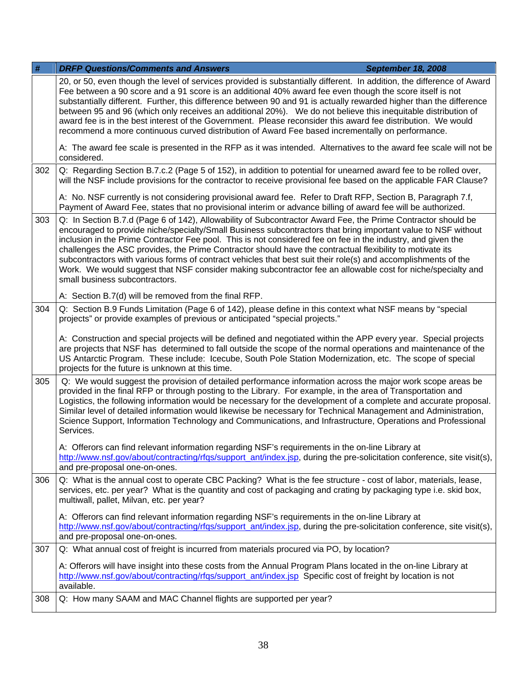| $\#$ | <b>DRFP Questions/Comments and Answers</b><br><b>September 18, 2008</b>                                                                                                                                                                                                                                                                                                                                                                                                                                                                                                                                                                                                                                                       |  |
|------|-------------------------------------------------------------------------------------------------------------------------------------------------------------------------------------------------------------------------------------------------------------------------------------------------------------------------------------------------------------------------------------------------------------------------------------------------------------------------------------------------------------------------------------------------------------------------------------------------------------------------------------------------------------------------------------------------------------------------------|--|
|      | 20, or 50, even though the level of services provided is substantially different. In addition, the difference of Award<br>Fee between a 90 score and a 91 score is an additional 40% award fee even though the score itself is not<br>substantially different. Further, this difference between 90 and 91 is actually rewarded higher than the difference<br>between 95 and 96 (which only receives an additional 20%). We do not believe this inequitable distribution of<br>award fee is in the best interest of the Government. Please reconsider this award fee distribution. We would<br>recommend a more continuous curved distribution of Award Fee based incrementally on performance.                                |  |
|      | A: The award fee scale is presented in the RFP as it was intended. Alternatives to the award fee scale will not be<br>considered.                                                                                                                                                                                                                                                                                                                                                                                                                                                                                                                                                                                             |  |
| 302  | Q: Regarding Section B.7.c.2 (Page 5 of 152), in addition to potential for unearned award fee to be rolled over,<br>will the NSF include provisions for the contractor to receive provisional fee based on the applicable FAR Clause?                                                                                                                                                                                                                                                                                                                                                                                                                                                                                         |  |
|      | A: No. NSF currently is not considering provisional award fee. Refer to Draft RFP, Section B, Paragraph 7.f,<br>Payment of Award Fee, states that no provisional interim or advance billing of award fee will be authorized.                                                                                                                                                                                                                                                                                                                                                                                                                                                                                                  |  |
| 303  | Q: In Section B.7.d (Page 6 of 142), Allowability of Subcontractor Award Fee, the Prime Contractor should be<br>encouraged to provide niche/specialty/Small Business subcontractors that bring important value to NSF without<br>inclusion in the Prime Contractor Fee pool. This is not considered fee on fee in the industry, and given the<br>challenges the ASC provides, the Prime Contractor should have the contractual flexibility to motivate its<br>subcontractors with various forms of contract vehicles that best suit their role(s) and accomplishments of the<br>Work. We would suggest that NSF consider making subcontractor fee an allowable cost for niche/specialty and<br>small business subcontractors. |  |
|      | A: Section B.7(d) will be removed from the final RFP.                                                                                                                                                                                                                                                                                                                                                                                                                                                                                                                                                                                                                                                                         |  |
| 304  | Q: Section B.9 Funds Limitation (Page 6 of 142), please define in this context what NSF means by "special<br>projects" or provide examples of previous or anticipated "special projects."                                                                                                                                                                                                                                                                                                                                                                                                                                                                                                                                     |  |
|      | A: Construction and special projects will be defined and negotiated within the APP every year. Special projects<br>are projects that NSF has determined to fall outside the scope of the normal operations and maintenance of the<br>US Antarctic Program. These include: Icecube, South Pole Station Modernization, etc. The scope of special<br>projects for the future is unknown at this time.                                                                                                                                                                                                                                                                                                                            |  |
| 305  | Q: We would suggest the provision of detailed performance information across the major work scope areas be<br>provided in the final RFP or through posting to the Library. For example, in the area of Transportation and<br>Logistics, the following information would be necessary for the development of a complete and accurate proposal.<br>Similar level of detailed information would likewise be necessary for Technical Management and Administration,<br>Science Support, Information Technology and Communications, and Infrastructure, Operations and Professional<br>Services.                                                                                                                                   |  |
|      | A: Offerors can find relevant information regarding NSF's requirements in the on-line Library at<br>http://www.nsf.gov/about/contracting/rfgs/support_ant/index.jsp, during the pre-solicitation conference, site visit(s),<br>and pre-proposal one-on-ones.                                                                                                                                                                                                                                                                                                                                                                                                                                                                  |  |
| 306  | Q: What is the annual cost to operate CBC Packing? What is the fee structure - cost of labor, materials, lease,<br>services, etc. per year? What is the quantity and cost of packaging and crating by packaging type i.e. skid box,<br>multiwall, pallet, Milvan, etc. per year?                                                                                                                                                                                                                                                                                                                                                                                                                                              |  |
|      | A: Offerors can find relevant information regarding NSF's requirements in the on-line Library at<br>http://www.nsf.gov/about/contracting/rfgs/support_ant/index.jsp, during the pre-solicitation conference, site visit(s),<br>and pre-proposal one-on-ones.                                                                                                                                                                                                                                                                                                                                                                                                                                                                  |  |
| 307  | Q: What annual cost of freight is incurred from materials procured via PO, by location?                                                                                                                                                                                                                                                                                                                                                                                                                                                                                                                                                                                                                                       |  |
|      | A: Offerors will have insight into these costs from the Annual Program Plans located in the on-line Library at<br>http://www.nsf.gov/about/contracting/rfgs/support_ant/index.jsp Specific cost of freight by location is not<br>available.                                                                                                                                                                                                                                                                                                                                                                                                                                                                                   |  |
| 308  | Q: How many SAAM and MAC Channel flights are supported per year?                                                                                                                                                                                                                                                                                                                                                                                                                                                                                                                                                                                                                                                              |  |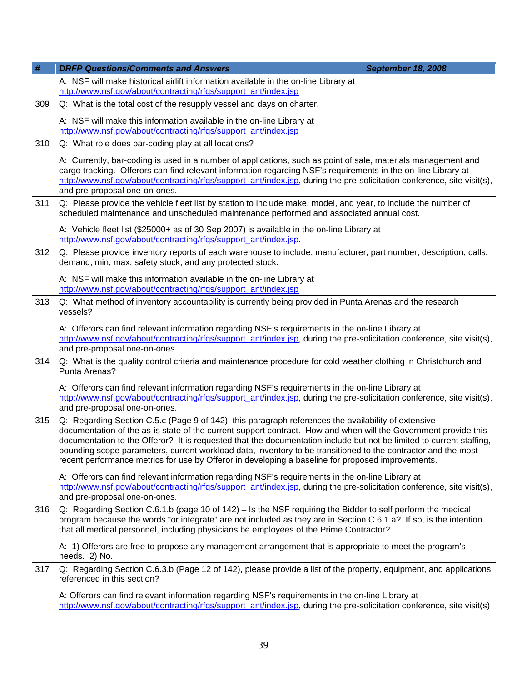| $\#$ | <b>DRFP Questions/Comments and Answers</b><br><b>September 18, 2008</b>                                                                                                                                                                                                                                                                                                                                                                                                                                                                                              |  |
|------|----------------------------------------------------------------------------------------------------------------------------------------------------------------------------------------------------------------------------------------------------------------------------------------------------------------------------------------------------------------------------------------------------------------------------------------------------------------------------------------------------------------------------------------------------------------------|--|
|      | A: NSF will make historical airlift information available in the on-line Library at<br>http://www.nsf.gov/about/contracting/rfqs/support_ant/index.jsp                                                                                                                                                                                                                                                                                                                                                                                                               |  |
| 309  | Q: What is the total cost of the resupply vessel and days on charter.                                                                                                                                                                                                                                                                                                                                                                                                                                                                                                |  |
|      | A: NSF will make this information available in the on-line Library at<br>http://www.nsf.gov/about/contracting/rfqs/support_ant/index.jsp                                                                                                                                                                                                                                                                                                                                                                                                                             |  |
| 310  | Q: What role does bar-coding play at all locations?                                                                                                                                                                                                                                                                                                                                                                                                                                                                                                                  |  |
|      | A: Currently, bar-coding is used in a number of applications, such as point of sale, materials management and<br>cargo tracking. Offerors can find relevant information regarding NSF's requirements in the on-line Library at<br>http://www.nsf.gov/about/contracting/rfgs/support_ant/index.jsp, during the pre-solicitation conference, site visit(s),<br>and pre-proposal one-on-ones.                                                                                                                                                                           |  |
| 311  | Q: Please provide the vehicle fleet list by station to include make, model, and year, to include the number of<br>scheduled maintenance and unscheduled maintenance performed and associated annual cost.                                                                                                                                                                                                                                                                                                                                                            |  |
|      | A: Vehicle fleet list (\$25000+ as of 30 Sep 2007) is available in the on-line Library at<br>http://www.nsf.gov/about/contracting/rfgs/support_ant/index.jsp.                                                                                                                                                                                                                                                                                                                                                                                                        |  |
| 312  | Q: Please provide inventory reports of each warehouse to include, manufacturer, part number, description, calls,<br>demand, min, max, safety stock, and any protected stock.                                                                                                                                                                                                                                                                                                                                                                                         |  |
|      | A: NSF will make this information available in the on-line Library at<br>http://www.nsf.gov/about/contracting/rfgs/support_ant/index.jsp                                                                                                                                                                                                                                                                                                                                                                                                                             |  |
| 313  | Q: What method of inventory accountability is currently being provided in Punta Arenas and the research<br>vessels?                                                                                                                                                                                                                                                                                                                                                                                                                                                  |  |
|      | A: Offerors can find relevant information regarding NSF's requirements in the on-line Library at<br>http://www.nsf.gov/about/contracting/rfgs/support ant/index.jsp, during the pre-solicitation conference, site visit(s),<br>and pre-proposal one-on-ones.                                                                                                                                                                                                                                                                                                         |  |
| 314  | Q: What is the quality control criteria and maintenance procedure for cold weather clothing in Christchurch and<br>Punta Arenas?                                                                                                                                                                                                                                                                                                                                                                                                                                     |  |
|      | A: Offerors can find relevant information regarding NSF's requirements in the on-line Library at<br>http://www.nsf.gov/about/contracting/rfgs/support_ant/index.jsp, during the pre-solicitation conference, site visit(s),<br>and pre-proposal one-on-ones.                                                                                                                                                                                                                                                                                                         |  |
| 315  | Q: Regarding Section C.5.c (Page 9 of 142), this paragraph references the availability of extensive<br>documentation of the as-is state of the current support contract. How and when will the Government provide this<br>documentation to the Offeror? It is requested that the documentation include but not be limited to current staffing,<br>bounding scope parameters, current workload data, inventory to be transitioned to the contractor and the most<br>recent performance metrics for use by Offeror in developing a baseline for proposed improvements. |  |
|      | A: Offerors can find relevant information regarding NSF's requirements in the on-line Library at<br>http://www.nsf.gov/about/contracting/rfgs/support_ant/index.jsp, during the pre-solicitation conference, site visit(s),<br>and pre-proposal one-on-ones.                                                                                                                                                                                                                                                                                                         |  |
| 316  | Q: Regarding Section C.6.1.b (page 10 of 142) – Is the NSF requiring the Bidder to self perform the medical<br>program because the words "or integrate" are not included as they are in Section C.6.1.a? If so, is the intention<br>that all medical personnel, including physicians be employees of the Prime Contractor?                                                                                                                                                                                                                                           |  |
|      | A: 1) Offerors are free to propose any management arrangement that is appropriate to meet the program's<br>needs. 2) No.                                                                                                                                                                                                                                                                                                                                                                                                                                             |  |
| 317  | Q: Regarding Section C.6.3.b (Page 12 of 142), please provide a list of the property, equipment, and applications<br>referenced in this section?                                                                                                                                                                                                                                                                                                                                                                                                                     |  |
|      | A: Offerors can find relevant information regarding NSF's requirements in the on-line Library at<br>http://www.nsf.gov/about/contracting/rfgs/support_ant/index.jsp, during the pre-solicitation conference, site visit(s)                                                                                                                                                                                                                                                                                                                                           |  |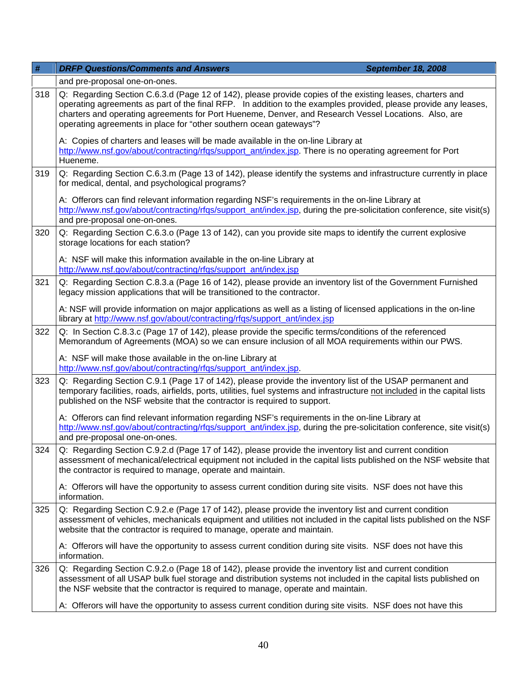| #   | <b>DRFP Questions/Comments and Answers</b><br>September 18, 2008                                                                                                                                                                                                                                                                                                                                           |  |
|-----|------------------------------------------------------------------------------------------------------------------------------------------------------------------------------------------------------------------------------------------------------------------------------------------------------------------------------------------------------------------------------------------------------------|--|
|     | and pre-proposal one-on-ones.                                                                                                                                                                                                                                                                                                                                                                              |  |
| 318 | Q: Regarding Section C.6.3.d (Page 12 of 142), please provide copies of the existing leases, charters and<br>operating agreements as part of the final RFP. In addition to the examples provided, please provide any leases,<br>charters and operating agreements for Port Hueneme, Denver, and Research Vessel Locations. Also, are<br>operating agreements in place for "other southern ocean gateways"? |  |
|     | A: Copies of charters and leases will be made available in the on-line Library at<br>http://www.nsf.gov/about/contracting/rfgs/support_ant/index.jsp. There is no operating agreement for Port<br>Hueneme.                                                                                                                                                                                                 |  |
| 319 | Q: Regarding Section C.6.3.m (Page 13 of 142), please identify the systems and infrastructure currently in place<br>for medical, dental, and psychological programs?                                                                                                                                                                                                                                       |  |
|     | A: Offerors can find relevant information regarding NSF's requirements in the on-line Library at<br>http://www.nsf.gov/about/contracting/rfqs/support_ant/index.jsp, during the pre-solicitation conference, site visit(s)<br>and pre-proposal one-on-ones.                                                                                                                                                |  |
| 320 | Q: Regarding Section C.6.3.o (Page 13 of 142), can you provide site maps to identify the current explosive<br>storage locations for each station?                                                                                                                                                                                                                                                          |  |
|     | A: NSF will make this information available in the on-line Library at<br>http://www.nsf.gov/about/contracting/rfgs/support_ant/index.jsp                                                                                                                                                                                                                                                                   |  |
| 321 | Q: Regarding Section C.8.3.a (Page 16 of 142), please provide an inventory list of the Government Furnished<br>legacy mission applications that will be transitioned to the contractor.                                                                                                                                                                                                                    |  |
|     | A: NSF will provide information on major applications as well as a listing of licensed applications in the on-line<br>library at http://www.nsf.gov/about/contracting/rfgs/support_ant/index.jsp                                                                                                                                                                                                           |  |
| 322 | Q: In Section C.8.3.c (Page 17 of 142), please provide the specific terms/conditions of the referenced<br>Memorandum of Agreements (MOA) so we can ensure inclusion of all MOA requirements within our PWS.                                                                                                                                                                                                |  |
|     | A: NSF will make those available in the on-line Library at<br>http://www.nsf.gov/about/contracting/rfgs/support_ant/index.jsp.                                                                                                                                                                                                                                                                             |  |
| 323 | Q: Regarding Section C.9.1 (Page 17 of 142), please provide the inventory list of the USAP permanent and<br>temporary facilities, roads, airfields, ports, utilities, fuel systems and infrastructure not included in the capital lists<br>published on the NSF website that the contractor is required to support.                                                                                        |  |
|     | A: Offerors can find relevant information regarding NSF's requirements in the on-line Library at<br>http://www.nsf.gov/about/contracting/rfgs/support_ant/index.jsp, during the pre-solicitation conference, site visit(s)<br>and pre-proposal one-on-ones.                                                                                                                                                |  |
| 324 | Q: Regarding Section C.9.2.d (Page 17 of 142), please provide the inventory list and current condition<br>assessment of mechanical/electrical equipment not included in the capital lists published on the NSF website that<br>the contractor is required to manage, operate and maintain.                                                                                                                 |  |
|     | A: Offerors will have the opportunity to assess current condition during site visits. NSF does not have this<br>information.                                                                                                                                                                                                                                                                               |  |
| 325 | Q: Regarding Section C.9.2.e (Page 17 of 142), please provide the inventory list and current condition<br>assessment of vehicles, mechanicals equipment and utilities not included in the capital lists published on the NSF<br>website that the contractor is required to manage, operate and maintain.                                                                                                   |  |
|     | A: Offerors will have the opportunity to assess current condition during site visits. NSF does not have this<br>information.                                                                                                                                                                                                                                                                               |  |
| 326 | Q: Regarding Section C.9.2.o (Page 18 of 142), please provide the inventory list and current condition<br>assessment of all USAP bulk fuel storage and distribution systems not included in the capital lists published on<br>the NSF website that the contractor is required to manage, operate and maintain.                                                                                             |  |
|     | A: Offerors will have the opportunity to assess current condition during site visits. NSF does not have this                                                                                                                                                                                                                                                                                               |  |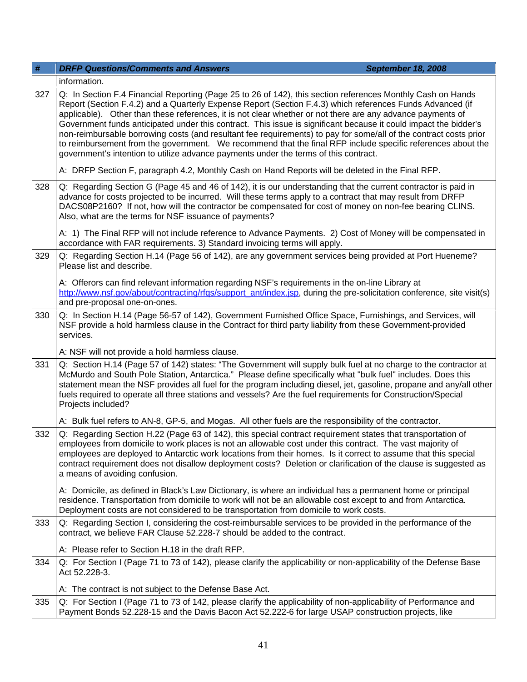| #   | <b>DRFP Questions/Comments and Answers</b><br><b>September 18, 2008</b>                                                                                                                                                                                                                                                                                                                                                                                                                                                                                                                                                                                                                                                                                                                |  |
|-----|----------------------------------------------------------------------------------------------------------------------------------------------------------------------------------------------------------------------------------------------------------------------------------------------------------------------------------------------------------------------------------------------------------------------------------------------------------------------------------------------------------------------------------------------------------------------------------------------------------------------------------------------------------------------------------------------------------------------------------------------------------------------------------------|--|
|     | information.                                                                                                                                                                                                                                                                                                                                                                                                                                                                                                                                                                                                                                                                                                                                                                           |  |
| 327 | Q: In Section F.4 Financial Reporting (Page 25 to 26 of 142), this section references Monthly Cash on Hands<br>Report (Section F.4.2) and a Quarterly Expense Report (Section F.4.3) which references Funds Advanced (if<br>applicable). Other than these references, it is not clear whether or not there are any advance payments of<br>Government funds anticipated under this contract. This issue is significant because it could impact the bidder's<br>non-reimbursable borrowing costs (and resultant fee requirements) to pay for some/all of the contract costs prior<br>to reimbursement from the government. We recommend that the final RFP include specific references about the<br>government's intention to utilize advance payments under the terms of this contract. |  |
|     | A: DRFP Section F, paragraph 4.2, Monthly Cash on Hand Reports will be deleted in the Final RFP.                                                                                                                                                                                                                                                                                                                                                                                                                                                                                                                                                                                                                                                                                       |  |
| 328 | Q: Regarding Section G (Page 45 and 46 of 142), it is our understanding that the current contractor is paid in<br>advance for costs projected to be incurred. Will these terms apply to a contract that may result from DRFP<br>DACS08P2160? If not, how will the contractor be compensated for cost of money on non-fee bearing CLINS.<br>Also, what are the terms for NSF issuance of payments?                                                                                                                                                                                                                                                                                                                                                                                      |  |
|     | A: 1) The Final RFP will not include reference to Advance Payments. 2) Cost of Money will be compensated in<br>accordance with FAR requirements. 3) Standard invoicing terms will apply.                                                                                                                                                                                                                                                                                                                                                                                                                                                                                                                                                                                               |  |
| 329 | Q: Regarding Section H.14 (Page 56 of 142), are any government services being provided at Port Hueneme?<br>Please list and describe.                                                                                                                                                                                                                                                                                                                                                                                                                                                                                                                                                                                                                                                   |  |
|     | A: Offerors can find relevant information regarding NSF's requirements in the on-line Library at<br>http://www.nsf.gov/about/contracting/rfqs/support_ant/index.jsp, during the pre-solicitation conference, site visit(s)<br>and pre-proposal one-on-ones.                                                                                                                                                                                                                                                                                                                                                                                                                                                                                                                            |  |
| 330 | Q: In Section H.14 (Page 56-57 of 142), Government Furnished Office Space, Furnishings, and Services, will<br>NSF provide a hold harmless clause in the Contract for third party liability from these Government-provided<br>services.                                                                                                                                                                                                                                                                                                                                                                                                                                                                                                                                                 |  |
|     | A: NSF will not provide a hold harmless clause.                                                                                                                                                                                                                                                                                                                                                                                                                                                                                                                                                                                                                                                                                                                                        |  |
| 331 | Q: Section H.14 (Page 57 of 142) states: "The Government will supply bulk fuel at no charge to the contractor at<br>McMurdo and South Pole Station, Antarctica." Please define specifically what "bulk fuel" includes. Does this<br>statement mean the NSF provides all fuel for the program including diesel, jet, gasoline, propane and any/all other<br>fuels required to operate all three stations and vessels? Are the fuel requirements for Construction/Special<br>Projects included?                                                                                                                                                                                                                                                                                          |  |
|     | A: Bulk fuel refers to AN-8, GP-5, and Mogas. All other fuels are the responsibility of the contractor.                                                                                                                                                                                                                                                                                                                                                                                                                                                                                                                                                                                                                                                                                |  |
| 332 | Q: Regarding Section H.22 (Page 63 of 142), this special contract requirement states that transportation of<br>employees from domicile to work places is not an allowable cost under this contract. The vast majority of<br>employees are deployed to Antarctic work locations from their homes. Is it correct to assume that this special<br>contract requirement does not disallow deployment costs? Deletion or clarification of the clause is suggested as<br>a means of avoiding confusion.                                                                                                                                                                                                                                                                                       |  |
|     | A: Domicile, as defined in Black's Law Dictionary, is where an individual has a permanent home or principal<br>residence. Transportation from domicile to work will not be an allowable cost except to and from Antarctica.<br>Deployment costs are not considered to be transportation from domicile to work costs.                                                                                                                                                                                                                                                                                                                                                                                                                                                                   |  |
| 333 | Q: Regarding Section I, considering the cost-reimbursable services to be provided in the performance of the<br>contract, we believe FAR Clause 52.228-7 should be added to the contract.                                                                                                                                                                                                                                                                                                                                                                                                                                                                                                                                                                                               |  |
|     | A: Please refer to Section H.18 in the draft RFP.                                                                                                                                                                                                                                                                                                                                                                                                                                                                                                                                                                                                                                                                                                                                      |  |
| 334 | Q: For Section I (Page 71 to 73 of 142), please clarify the applicability or non-applicability of the Defense Base<br>Act 52.228-3.                                                                                                                                                                                                                                                                                                                                                                                                                                                                                                                                                                                                                                                    |  |
|     | A: The contract is not subject to the Defense Base Act.                                                                                                                                                                                                                                                                                                                                                                                                                                                                                                                                                                                                                                                                                                                                |  |
| 335 | Q: For Section I (Page 71 to 73 of 142, please clarify the applicability of non-applicability of Performance and<br>Payment Bonds 52.228-15 and the Davis Bacon Act 52.222-6 for large USAP construction projects, like                                                                                                                                                                                                                                                                                                                                                                                                                                                                                                                                                                |  |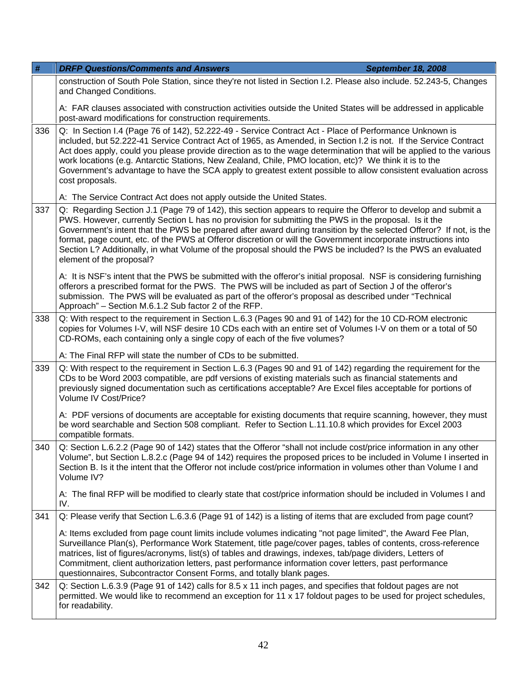| #    | <b>DRFP Questions/Comments and Answers</b>                                                                                                                                                                                                                                                                                                                                                                                                                                                                                                                                                                | <b>September 18, 2008</b> |
|------|-----------------------------------------------------------------------------------------------------------------------------------------------------------------------------------------------------------------------------------------------------------------------------------------------------------------------------------------------------------------------------------------------------------------------------------------------------------------------------------------------------------------------------------------------------------------------------------------------------------|---------------------------|
|      | construction of South Pole Station, since they're not listed in Section I.2. Please also include. 52.243-5, Changes<br>and Changed Conditions.                                                                                                                                                                                                                                                                                                                                                                                                                                                            |                           |
|      | A: FAR clauses associated with construction activities outside the United States will be addressed in applicable<br>post-award modifications for construction requirements.                                                                                                                                                                                                                                                                                                                                                                                                                               |                           |
| 336  | Q: In Section I.4 (Page 76 of 142), 52.222-49 - Service Contract Act - Place of Performance Unknown is<br>included, but 52.222-41 Service Contract Act of 1965, as Amended, in Section I.2 is not. If the Service Contract<br>Act does apply, could you please provide direction as to the wage determination that will be applied to the various<br>work locations (e.g. Antarctic Stations, New Zealand, Chile, PMO location, etc)? We think it is to the<br>Government's advantage to have the SCA apply to greatest extent possible to allow consistent evaluation across<br>cost proposals.          |                           |
|      | A: The Service Contract Act does not apply outside the United States.                                                                                                                                                                                                                                                                                                                                                                                                                                                                                                                                     |                           |
| 337  | Q: Regarding Section J.1 (Page 79 of 142), this section appears to require the Offeror to develop and submit a<br>PWS. However, currently Section L has no provision for submitting the PWS in the proposal. Is it the<br>Government's intent that the PWS be prepared after award during transition by the selected Offeror? If not, is the<br>format, page count, etc. of the PWS at Offeror discretion or will the Government incorporate instructions into<br>Section L? Additionally, in what Volume of the proposal should the PWS be included? Is the PWS an evaluated<br>element of the proposal? |                           |
|      | A: It is NSF's intent that the PWS be submitted with the offeror's initial proposal. NSF is considering furnishing<br>offerors a prescribed format for the PWS. The PWS will be included as part of Section J of the offeror's<br>submission. The PWS will be evaluated as part of the offeror's proposal as described under "Technical<br>Approach" - Section M.6.1.2 Sub factor 2 of the RFP.                                                                                                                                                                                                           |                           |
| 338  | Q: With respect to the requirement in Section L.6.3 (Pages 90 and 91 of 142) for the 10 CD-ROM electronic<br>copies for Volumes I-V, will NSF desire 10 CDs each with an entire set of Volumes I-V on them or a total of 50<br>CD-ROMs, each containing only a single copy of each of the five volumes?                                                                                                                                                                                                                                                                                                   |                           |
|      | A: The Final RFP will state the number of CDs to be submitted.                                                                                                                                                                                                                                                                                                                                                                                                                                                                                                                                            |                           |
| 339  | Q: With respect to the requirement in Section L.6.3 (Pages 90 and 91 of 142) regarding the requirement for the<br>CDs to be Word 2003 compatible, are pdf versions of existing materials such as financial statements and<br>previously signed documentation such as certifications acceptable? Are Excel files acceptable for portions of<br>Volume IV Cost/Price?                                                                                                                                                                                                                                       |                           |
|      | A: PDF versions of documents are acceptable for existing documents that require scanning, however, they must<br>be word searchable and Section 508 compliant. Refer to Section L.11.10.8 which provides for Excel 2003<br>compatible formats.                                                                                                                                                                                                                                                                                                                                                             |                           |
| 340. | Q: Section L.6.2.2 (Page 90 of 142) states that the Offeror "shall not include cost/price information in any other<br>Volume", but Section L.8.2.c (Page 94 of 142) requires the proposed prices to be included in Volume I inserted in<br>Section B. Is it the intent that the Offeror not include cost/price information in volumes other than Volume I and<br>Volume IV?                                                                                                                                                                                                                               |                           |
|      | A: The final RFP will be modified to clearly state that cost/price information should be included in Volumes I and<br>IV.                                                                                                                                                                                                                                                                                                                                                                                                                                                                                 |                           |
| 341  | Q: Please verify that Section L.6.3.6 (Page 91 of 142) is a listing of items that are excluded from page count?                                                                                                                                                                                                                                                                                                                                                                                                                                                                                           |                           |
|      | A: Items excluded from page count limits include volumes indicating "not page limited", the Award Fee Plan,<br>Surveillance Plan(s), Performance Work Statement, title page/cover pages, tables of contents, cross-reference<br>matrices, list of figures/acronyms, list(s) of tables and drawings, indexes, tab/page dividers, Letters of<br>Commitment, client authorization letters, past performance information cover letters, past performance<br>questionnaires, Subcontractor Consent Forms, and totally blank pages.                                                                             |                           |
| 342  | Q: Section L.6.3.9 (Page 91 of 142) calls for 8.5 x 11 inch pages, and specifies that foldout pages are not<br>permitted. We would like to recommend an exception for 11 x 17 foldout pages to be used for project schedules,<br>for readability.                                                                                                                                                                                                                                                                                                                                                         |                           |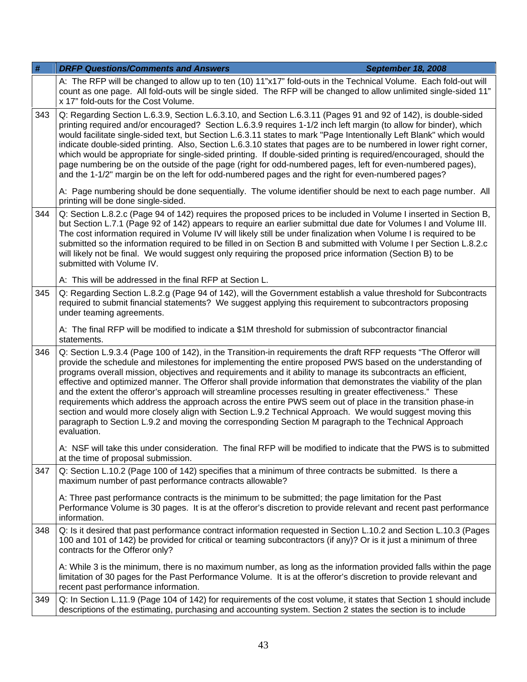| #   | <b>DRFP Questions/Comments and Answers</b><br>September 18, 2008                                                                                                                                                                                                                                                                                                                                                                                                                                                                                                                                                                                                                                                                                                                                                                                                                                                                     |  |
|-----|--------------------------------------------------------------------------------------------------------------------------------------------------------------------------------------------------------------------------------------------------------------------------------------------------------------------------------------------------------------------------------------------------------------------------------------------------------------------------------------------------------------------------------------------------------------------------------------------------------------------------------------------------------------------------------------------------------------------------------------------------------------------------------------------------------------------------------------------------------------------------------------------------------------------------------------|--|
|     | A: The RFP will be changed to allow up to ten (10) 11"x17" fold-outs in the Technical Volume. Each fold-out will<br>count as one page. All fold-outs will be single sided. The RFP will be changed to allow unlimited single-sided 11"<br>x 17" fold-outs for the Cost Volume.                                                                                                                                                                                                                                                                                                                                                                                                                                                                                                                                                                                                                                                       |  |
| 343 | Q: Regarding Section L.6.3.9, Section L.6.3.10, and Section L.6.3.11 (Pages 91 and 92 of 142), is double-sided<br>printing required and/or encouraged? Section L.6.3.9 requires 1-1/2 inch left margin (to allow for binder), which<br>would facilitate single-sided text, but Section L.6.3.11 states to mark "Page Intentionally Left Blank" which would<br>indicate double-sided printing. Also, Section L.6.3.10 states that pages are to be numbered in lower right corner,<br>which would be appropriate for single-sided printing. If double-sided printing is required/encouraged, should the<br>page numbering be on the outside of the page (right for odd-numbered pages, left for even-numbered pages),<br>and the 1-1/2" margin be on the left for odd-numbered pages and the right for even-numbered pages?                                                                                                            |  |
|     | A: Page numbering should be done sequentially. The volume identifier should be next to each page number. All<br>printing will be done single-sided.                                                                                                                                                                                                                                                                                                                                                                                                                                                                                                                                                                                                                                                                                                                                                                                  |  |
| 344 | Q: Section L.8.2.c (Page 94 of 142) requires the proposed prices to be included in Volume I inserted in Section B,<br>but Section L.7.1 (Page 92 of 142) appears to require an earlier submittal due date for Volumes I and Volume III.<br>The cost information required in Volume IV will likely still be under finalization when Volume I is required to be<br>submitted so the information required to be filled in on Section B and submitted with Volume I per Section L.8.2.c<br>will likely not be final. We would suggest only requiring the proposed price information (Section B) to be<br>submitted with Volume IV.                                                                                                                                                                                                                                                                                                       |  |
|     | A: This will be addressed in the final RFP at Section L.                                                                                                                                                                                                                                                                                                                                                                                                                                                                                                                                                                                                                                                                                                                                                                                                                                                                             |  |
| 345 | Q: Regarding Section L.8.2.g (Page 94 of 142), will the Government establish a value threshold for Subcontracts<br>required to submit financial statements? We suggest applying this requirement to subcontractors proposing<br>under teaming agreements.                                                                                                                                                                                                                                                                                                                                                                                                                                                                                                                                                                                                                                                                            |  |
|     | A: The final RFP will be modified to indicate a \$1M threshold for submission of subcontractor financial<br>statements.                                                                                                                                                                                                                                                                                                                                                                                                                                                                                                                                                                                                                                                                                                                                                                                                              |  |
| 346 | Q: Section L.9.3.4 (Page 100 of 142), in the Transition-in requirements the draft RFP requests "The Offeror will<br>provide the schedule and milestones for implementing the entire proposed PWS based on the understanding of<br>programs overall mission, objectives and requirements and it ability to manage its subcontracts an efficient,<br>effective and optimized manner. The Offeror shall provide information that demonstrates the viability of the plan<br>and the extent the offeror's approach will streamline processes resulting in greater effectiveness." These<br>requirements which address the approach across the entire PWS seem out of place in the transition phase-in<br>section and would more closely align with Section L.9.2 Technical Approach. We would suggest moving this<br>paragraph to Section L.9.2 and moving the corresponding Section M paragraph to the Technical Approach<br>evaluation. |  |
|     | A: NSF will take this under consideration. The final RFP will be modified to indicate that the PWS is to submitted<br>at the time of proposal submission.                                                                                                                                                                                                                                                                                                                                                                                                                                                                                                                                                                                                                                                                                                                                                                            |  |
| 347 | Q: Section L.10.2 (Page 100 of 142) specifies that a minimum of three contracts be submitted. Is there a<br>maximum number of past performance contracts allowable?                                                                                                                                                                                                                                                                                                                                                                                                                                                                                                                                                                                                                                                                                                                                                                  |  |
|     | A: Three past performance contracts is the minimum to be submitted; the page limitation for the Past<br>Performance Volume is 30 pages. It is at the offeror's discretion to provide relevant and recent past performance<br>information.                                                                                                                                                                                                                                                                                                                                                                                                                                                                                                                                                                                                                                                                                            |  |
| 348 | Q: Is it desired that past performance contract information requested in Section L.10.2 and Section L.10.3 (Pages<br>100 and 101 of 142) be provided for critical or teaming subcontractors (if any)? Or is it just a minimum of three<br>contracts for the Offeror only?                                                                                                                                                                                                                                                                                                                                                                                                                                                                                                                                                                                                                                                            |  |
|     | A: While 3 is the minimum, there is no maximum number, as long as the information provided falls within the page<br>limitation of 30 pages for the Past Performance Volume. It is at the offeror's discretion to provide relevant and<br>recent past performance information.                                                                                                                                                                                                                                                                                                                                                                                                                                                                                                                                                                                                                                                        |  |
| 349 | Q: In Section L.11.9 (Page 104 of 142) for requirements of the cost volume, it states that Section 1 should include<br>descriptions of the estimating, purchasing and accounting system. Section 2 states the section is to include                                                                                                                                                                                                                                                                                                                                                                                                                                                                                                                                                                                                                                                                                                  |  |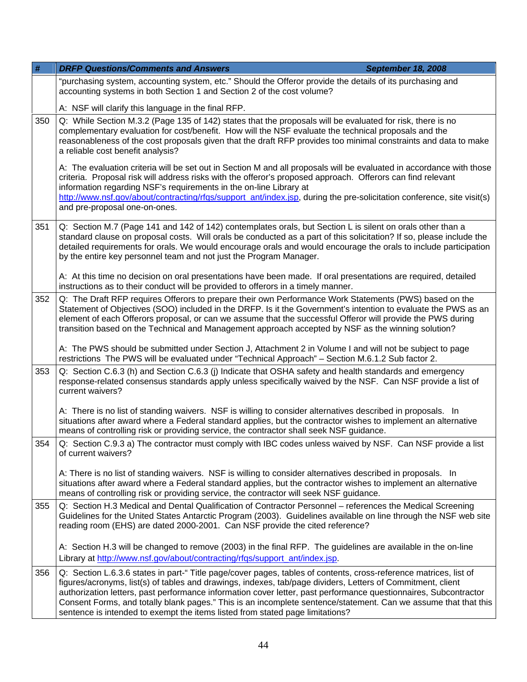| #   | <b>DRFP Questions/Comments and Answers</b><br><b>September 18, 2008</b>                                                                                                                                                                                                                                                                                                                                                                                                                                                                                  |  |
|-----|----------------------------------------------------------------------------------------------------------------------------------------------------------------------------------------------------------------------------------------------------------------------------------------------------------------------------------------------------------------------------------------------------------------------------------------------------------------------------------------------------------------------------------------------------------|--|
|     | "purchasing system, accounting system, etc." Should the Offeror provide the details of its purchasing and<br>accounting systems in both Section 1 and Section 2 of the cost volume?                                                                                                                                                                                                                                                                                                                                                                      |  |
|     | A: NSF will clarify this language in the final RFP.                                                                                                                                                                                                                                                                                                                                                                                                                                                                                                      |  |
| 350 | Q: While Section M.3.2 (Page 135 of 142) states that the proposals will be evaluated for risk, there is no<br>complementary evaluation for cost/benefit. How will the NSF evaluate the technical proposals and the<br>reasonableness of the cost proposals given that the draft RFP provides too minimal constraints and data to make<br>a reliable cost benefit analysis?                                                                                                                                                                               |  |
|     | A: The evaluation criteria will be set out in Section M and all proposals will be evaluated in accordance with those<br>criteria. Proposal risk will address risks with the offeror's proposed approach. Offerors can find relevant<br>information regarding NSF's requirements in the on-line Library at<br>http://www.nsf.gov/about/contracting/rfgs/support_ant/index.jsp, during the pre-solicitation conference, site visit(s)<br>and pre-proposal one-on-ones.                                                                                     |  |
| 351 | Q: Section M.7 (Page 141 and 142 of 142) contemplates orals, but Section L is silent on orals other than a<br>standard clause on proposal costs. Will orals be conducted as a part of this solicitation? If so, please include the<br>detailed requirements for orals. We would encourage orals and would encourage the orals to include participation<br>by the entire key personnel team and not just the Program Manager.                                                                                                                             |  |
|     | A: At this time no decision on oral presentations have been made. If oral presentations are required, detailed<br>instructions as to their conduct will be provided to offerors in a timely manner.                                                                                                                                                                                                                                                                                                                                                      |  |
| 352 | Q: The Draft RFP requires Offerors to prepare their own Performance Work Statements (PWS) based on the<br>Statement of Objectives (SOO) included in the DRFP. Is it the Government's intention to evaluate the PWS as an<br>element of each Offerors proposal, or can we assume that the successful Offeror will provide the PWS during<br>transition based on the Technical and Management approach accepted by NSF as the winning solution?                                                                                                            |  |
|     | A: The PWS should be submitted under Section J, Attachment 2 in Volume I and will not be subject to page<br>restrictions The PWS will be evaluated under "Technical Approach" - Section M.6.1.2 Sub factor 2.                                                                                                                                                                                                                                                                                                                                            |  |
| 353 | Q: Section C.6.3 (h) and Section C.6.3 (j) Indicate that OSHA safety and health standards and emergency<br>response-related consensus standards apply unless specifically waived by the NSF. Can NSF provide a list of<br>current waivers?                                                                                                                                                                                                                                                                                                               |  |
|     | A: There is no list of standing waivers. NSF is willing to consider alternatives described in proposals. In<br>situations after award where a Federal standard applies, but the contractor wishes to implement an alternative<br>means of controlling risk or providing service, the contractor shall seek NSF guidance.                                                                                                                                                                                                                                 |  |
| 354 | Q: Section C.9.3 a) The contractor must comply with IBC codes unless waived by NSF. Can NSF provide a list<br>of current waivers?                                                                                                                                                                                                                                                                                                                                                                                                                        |  |
|     | A: There is no list of standing waivers. NSF is willing to consider alternatives described in proposals. In<br>situations after award where a Federal standard applies, but the contractor wishes to implement an alternative<br>means of controlling risk or providing service, the contractor will seek NSF guidance.                                                                                                                                                                                                                                  |  |
| 355 | Q: Section H.3 Medical and Dental Qualification of Contractor Personnel – references the Medical Screening<br>Guidelines for the United States Antarctic Program (2003). Guidelines available on line through the NSF web site<br>reading room (EHS) are dated 2000-2001. Can NSF provide the cited reference?                                                                                                                                                                                                                                           |  |
|     | A: Section H.3 will be changed to remove (2003) in the final RFP. The guidelines are available in the on-line<br>Library at http://www.nsf.gov/about/contracting/rfqs/support ant/index.jsp.                                                                                                                                                                                                                                                                                                                                                             |  |
| 356 | Q: Section L.6.3.6 states in part-" Title page/cover pages, tables of contents, cross-reference matrices, list of<br>figures/acronyms, list(s) of tables and drawings, indexes, tab/page dividers, Letters of Commitment, client<br>authorization letters, past performance information cover letter, past performance questionnaires, Subcontractor<br>Consent Forms, and totally blank pages." This is an incomplete sentence/statement. Can we assume that that this<br>sentence is intended to exempt the items listed from stated page limitations? |  |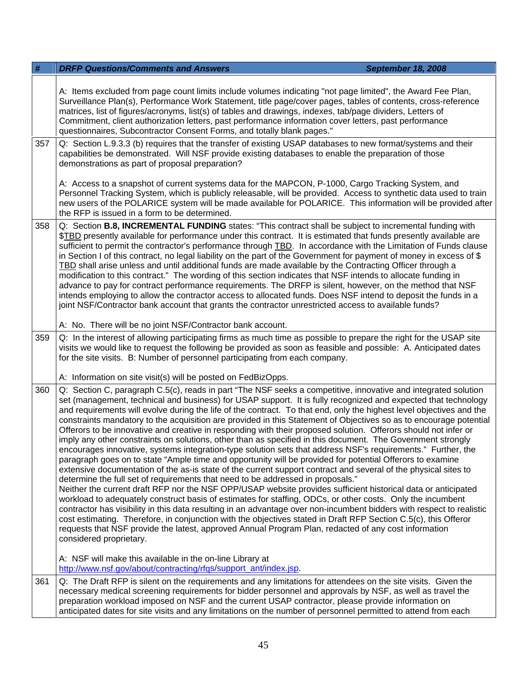| #                                                                                                                                                                                                                                                                              | <b>DRFP Questions/Comments and Answers</b><br><b>September 18, 2008</b>                                                                                                                                                                                                                                                                                                                                                                                                                                                                                                                                                                                                                                                                                                                                                                                                                                                                                                                                                                                                                                                                                                                                                                                                                                                                                                                                                                                                                                                                                                                                                                                                                                                                                           |  |
|--------------------------------------------------------------------------------------------------------------------------------------------------------------------------------------------------------------------------------------------------------------------------------|-------------------------------------------------------------------------------------------------------------------------------------------------------------------------------------------------------------------------------------------------------------------------------------------------------------------------------------------------------------------------------------------------------------------------------------------------------------------------------------------------------------------------------------------------------------------------------------------------------------------------------------------------------------------------------------------------------------------------------------------------------------------------------------------------------------------------------------------------------------------------------------------------------------------------------------------------------------------------------------------------------------------------------------------------------------------------------------------------------------------------------------------------------------------------------------------------------------------------------------------------------------------------------------------------------------------------------------------------------------------------------------------------------------------------------------------------------------------------------------------------------------------------------------------------------------------------------------------------------------------------------------------------------------------------------------------------------------------------------------------------------------------|--|
|                                                                                                                                                                                                                                                                                | A: Items excluded from page count limits include volumes indicating "not page limited", the Award Fee Plan,<br>Surveillance Plan(s), Performance Work Statement, title page/cover pages, tables of contents, cross-reference<br>matrices, list of figures/acronyms, list(s) of tables and drawings, indexes, tab/page dividers, Letters of<br>Commitment, client authorization letters, past performance information cover letters, past performance<br>questionnaires, Subcontractor Consent Forms, and totally blank pages."                                                                                                                                                                                                                                                                                                                                                                                                                                                                                                                                                                                                                                                                                                                                                                                                                                                                                                                                                                                                                                                                                                                                                                                                                                    |  |
| 357<br>Q: Section L.9.3.3 (b) requires that the transfer of existing USAP databases to new format/systems and their<br>capabilities be demonstrated. Will NSF provide existing databases to enable the preparation of those<br>demonstrations as part of proposal preparation? |                                                                                                                                                                                                                                                                                                                                                                                                                                                                                                                                                                                                                                                                                                                                                                                                                                                                                                                                                                                                                                                                                                                                                                                                                                                                                                                                                                                                                                                                                                                                                                                                                                                                                                                                                                   |  |
|                                                                                                                                                                                                                                                                                | A: Access to a snapshot of current systems data for the MAPCON, P-1000, Cargo Tracking System, and<br>Personnel Tracking System, which is publicly releasable, will be provided. Access to synthetic data used to train<br>new users of the POLARICE system will be made available for POLARICE. This information will be provided after<br>the RFP is issued in a form to be determined.                                                                                                                                                                                                                                                                                                                                                                                                                                                                                                                                                                                                                                                                                                                                                                                                                                                                                                                                                                                                                                                                                                                                                                                                                                                                                                                                                                         |  |
| 358                                                                                                                                                                                                                                                                            | Q: Section B.8, INCREMENTAL FUNDING states: "This contract shall be subject to incremental funding with<br>\$TBD presently available for performance under this contract. It is estimated that funds presently available are<br>sufficient to permit the contractor's performance through TBD. In accordance with the Limitation of Funds clause<br>in Section I of this contract, no legal liability on the part of the Government for payment of money in excess of \$<br>TBD shall arise unless and until additional funds are made available by the Contracting Officer through a<br>modification to this contract." The wording of this section indicates that NSF intends to allocate funding in<br>advance to pay for contract performance requirements. The DRFP is silent, however, on the method that NSF<br>intends employing to allow the contractor access to allocated funds. Does NSF intend to deposit the funds in a<br>joint NSF/Contractor bank account that grants the contractor unrestricted access to available funds?                                                                                                                                                                                                                                                                                                                                                                                                                                                                                                                                                                                                                                                                                                                     |  |
|                                                                                                                                                                                                                                                                                | A: No. There will be no joint NSF/Contractor bank account.                                                                                                                                                                                                                                                                                                                                                                                                                                                                                                                                                                                                                                                                                                                                                                                                                                                                                                                                                                                                                                                                                                                                                                                                                                                                                                                                                                                                                                                                                                                                                                                                                                                                                                        |  |
| 359                                                                                                                                                                                                                                                                            | Q: In the interest of allowing participating firms as much time as possible to prepare the right for the USAP site<br>visits we would like to request the following be provided as soon as feasible and possible: A. Anticipated dates<br>for the site visits. B: Number of personnel participating from each company.                                                                                                                                                                                                                                                                                                                                                                                                                                                                                                                                                                                                                                                                                                                                                                                                                                                                                                                                                                                                                                                                                                                                                                                                                                                                                                                                                                                                                                            |  |
|                                                                                                                                                                                                                                                                                | A: Information on site visit(s) will be posted on FedBizOpps.                                                                                                                                                                                                                                                                                                                                                                                                                                                                                                                                                                                                                                                                                                                                                                                                                                                                                                                                                                                                                                                                                                                                                                                                                                                                                                                                                                                                                                                                                                                                                                                                                                                                                                     |  |
| 360                                                                                                                                                                                                                                                                            | Q: Section C, paragraph C.5(c), reads in part "The NSF seeks a competitive, innovative and integrated solution<br>set (management, technical and business) for USAP support. It is fully recognized and expected that technology<br>and requirements will evolve during the life of the contract. To that end, only the highest level objectives and the<br>constraints mandatory to the acquisition are provided in this Statement of Objectives so as to encourage potential<br>Offerors to be innovative and creative in responding with their proposed solution. Offerors should not infer or<br>imply any other constraints on solutions, other than as specified in this document. The Government strongly<br>encourages innovative, systems integration-type solution sets that address NSF's requirements." Further, the<br>paragraph goes on to state "Ample time and opportunity will be provided for potential Offerors to examine<br>extensive documentation of the as-is state of the current support contract and several of the physical sites to<br>determine the full set of requirements that need to be addressed in proposals."<br>Neither the current draft RFP nor the NSF OPP/USAP website provides sufficient historical data or anticipated<br>workload to adequately construct basis of estimates for staffing, ODCs, or other costs. Only the incumbent<br>contractor has visibility in this data resulting in an advantage over non-incumbent bidders with respect to realistic<br>cost estimating. Therefore, in conjunction with the objectives stated in Draft RFP Section C.5(c), this Offeror<br>requests that NSF provide the latest, approved Annual Program Plan, redacted of any cost information<br>considered proprietary. |  |
|                                                                                                                                                                                                                                                                                | A: NSF will make this available in the on-line Library at<br>http://www.nsf.gov/about/contracting/rfqs/support_ant/index.jsp.                                                                                                                                                                                                                                                                                                                                                                                                                                                                                                                                                                                                                                                                                                                                                                                                                                                                                                                                                                                                                                                                                                                                                                                                                                                                                                                                                                                                                                                                                                                                                                                                                                     |  |
| 361                                                                                                                                                                                                                                                                            | Q: The Draft RFP is silent on the requirements and any limitations for attendees on the site visits. Given the<br>necessary medical screening requirements for bidder personnel and approvals by NSF, as well as travel the<br>preparation workload imposed on NSF and the current USAP contractor, please provide information on<br>anticipated dates for site visits and any limitations on the number of personnel permitted to attend from each                                                                                                                                                                                                                                                                                                                                                                                                                                                                                                                                                                                                                                                                                                                                                                                                                                                                                                                                                                                                                                                                                                                                                                                                                                                                                                               |  |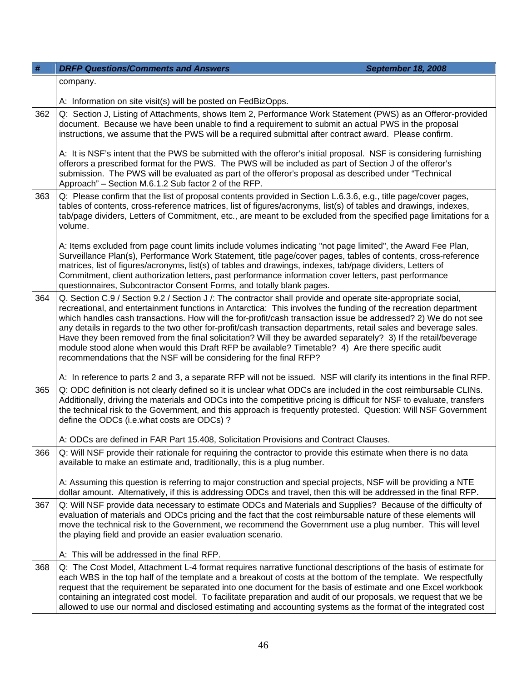| #   | <b>DRFP Questions/Comments and Answers</b><br><b>September 18, 2008</b>                                                                                                                                                                                                                                                                                                                                                                                                                                                                                                                                                                                                                                                                                               |  |
|-----|-----------------------------------------------------------------------------------------------------------------------------------------------------------------------------------------------------------------------------------------------------------------------------------------------------------------------------------------------------------------------------------------------------------------------------------------------------------------------------------------------------------------------------------------------------------------------------------------------------------------------------------------------------------------------------------------------------------------------------------------------------------------------|--|
|     | company.                                                                                                                                                                                                                                                                                                                                                                                                                                                                                                                                                                                                                                                                                                                                                              |  |
|     | A: Information on site visit(s) will be posted on FedBizOpps.                                                                                                                                                                                                                                                                                                                                                                                                                                                                                                                                                                                                                                                                                                         |  |
| 362 | Q: Section J, Listing of Attachments, shows Item 2, Performance Work Statement (PWS) as an Offeror-provided<br>document. Because we have been unable to find a requirement to submit an actual PWS in the proposal<br>instructions, we assume that the PWS will be a required submittal after contract award. Please confirm.                                                                                                                                                                                                                                                                                                                                                                                                                                         |  |
|     | A: It is NSF's intent that the PWS be submitted with the offeror's initial proposal. NSF is considering furnishing<br>offerors a prescribed format for the PWS. The PWS will be included as part of Section J of the offeror's<br>submission. The PWS will be evaluated as part of the offeror's proposal as described under "Technical<br>Approach" - Section M.6.1.2 Sub factor 2 of the RFP.                                                                                                                                                                                                                                                                                                                                                                       |  |
| 363 | Q: Please confirm that the list of proposal contents provided in Section L.6.3.6, e.g., title page/cover pages,<br>tables of contents, cross-reference matrices, list of figures/acronyms, list(s) of tables and drawings, indexes,<br>tab/page dividers, Letters of Commitment, etc., are meant to be excluded from the specified page limitations for a<br>volume.                                                                                                                                                                                                                                                                                                                                                                                                  |  |
|     | A: Items excluded from page count limits include volumes indicating "not page limited", the Award Fee Plan,<br>Surveillance Plan(s), Performance Work Statement, title page/cover pages, tables of contents, cross-reference<br>matrices, list of figures/acronyms, list(s) of tables and drawings, indexes, tab/page dividers, Letters of<br>Commitment, client authorization letters, past performance information cover letters, past performance<br>questionnaires, Subcontractor Consent Forms, and totally blank pages.                                                                                                                                                                                                                                         |  |
| 364 | Q. Section C.9 / Section 9.2 / Section J /: The contractor shall provide and operate site-appropriate social,<br>recreational, and entertainment functions in Antarctica: This involves the funding of the recreation department<br>which handles cash transactions. How will the for-profit/cash transaction issue be addressed? 2) We do not see<br>any details in regards to the two other for-profit/cash transaction departments, retail sales and beverage sales.<br>Have they been removed from the final solicitation? Will they be awarded separately? 3) If the retail/beverage<br>module stood alone when would this Draft RFP be available? Timetable? 4) Are there specific audit<br>recommendations that the NSF will be considering for the final RFP? |  |
|     | A: In reference to parts 2 and 3, a separate RFP will not be issued. NSF will clarify its intentions in the final RFP.                                                                                                                                                                                                                                                                                                                                                                                                                                                                                                                                                                                                                                                |  |
| 365 | Q: ODC definition is not clearly defined so it is unclear what ODCs are included in the cost reimbursable CLINs.<br>Additionally, driving the materials and ODCs into the competitive pricing is difficult for NSF to evaluate, transfers<br>the technical risk to the Government, and this approach is frequently protested. Question: Will NSF Government<br>define the ODCs (i.e.what costs are ODCs)?                                                                                                                                                                                                                                                                                                                                                             |  |
|     | A: ODCs are defined in FAR Part 15.408, Solicitation Provisions and Contract Clauses.                                                                                                                                                                                                                                                                                                                                                                                                                                                                                                                                                                                                                                                                                 |  |
| 366 | Q: Will NSF provide their rationale for requiring the contractor to provide this estimate when there is no data<br>available to make an estimate and, traditionally, this is a plug number.                                                                                                                                                                                                                                                                                                                                                                                                                                                                                                                                                                           |  |
|     | A: Assuming this question is referring to major construction and special projects, NSF will be providing a NTE<br>dollar amount. Alternatively, if this is addressing ODCs and travel, then this will be addressed in the final RFP.                                                                                                                                                                                                                                                                                                                                                                                                                                                                                                                                  |  |
| 367 | Q: Will NSF provide data necessary to estimate ODCs and Materials and Supplies? Because of the difficulty of<br>evaluation of materials and ODCs pricing and the fact that the cost reimbursable nature of these elements will<br>move the technical risk to the Government, we recommend the Government use a plug number. This will level<br>the playing field and provide an easier evaluation scenario.                                                                                                                                                                                                                                                                                                                                                           |  |
|     | A: This will be addressed in the final RFP.                                                                                                                                                                                                                                                                                                                                                                                                                                                                                                                                                                                                                                                                                                                           |  |
| 368 | Q: The Cost Model, Attachment L-4 format requires narrative functional descriptions of the basis of estimate for<br>each WBS in the top half of the template and a breakout of costs at the bottom of the template. We respectfully<br>request that the requirement be separated into one document for the basis of estimate and one Excel workbook<br>containing an integrated cost model. To facilitate preparation and audit of our proposals, we request that we be<br>allowed to use our normal and disclosed estimating and accounting systems as the format of the integrated cost                                                                                                                                                                             |  |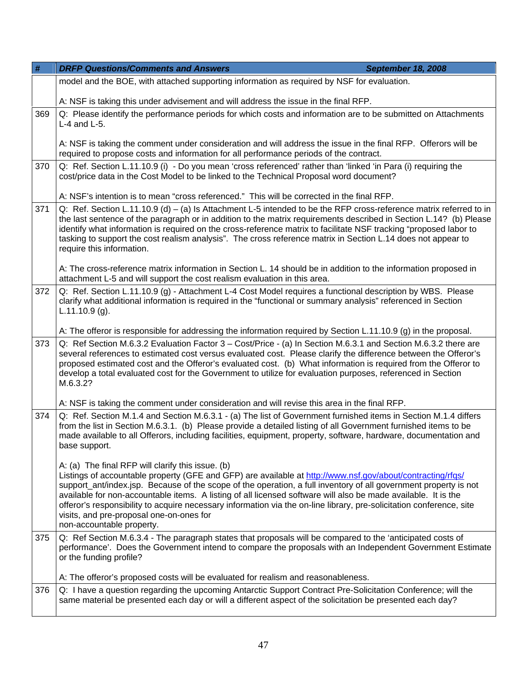| $\#$ | <b>DRFP Questions/Comments and Answers</b><br>September 18, 2008                                                                                                                                                                                                                                                                                                                                                                                                                                                                                                                                       |  |  |
|------|--------------------------------------------------------------------------------------------------------------------------------------------------------------------------------------------------------------------------------------------------------------------------------------------------------------------------------------------------------------------------------------------------------------------------------------------------------------------------------------------------------------------------------------------------------------------------------------------------------|--|--|
|      | model and the BOE, with attached supporting information as required by NSF for evaluation.                                                                                                                                                                                                                                                                                                                                                                                                                                                                                                             |  |  |
|      | A: NSF is taking this under advisement and will address the issue in the final RFP.                                                                                                                                                                                                                                                                                                                                                                                                                                                                                                                    |  |  |
| 369  | Q: Please identify the performance periods for which costs and information are to be submitted on Attachments<br>$L-4$ and $L-5$ .                                                                                                                                                                                                                                                                                                                                                                                                                                                                     |  |  |
|      | A: NSF is taking the comment under consideration and will address the issue in the final RFP. Offerors will be<br>required to propose costs and information for all performance periods of the contract.                                                                                                                                                                                                                                                                                                                                                                                               |  |  |
| 370  | Q: Ref. Section L.11.10.9 (i) - Do you mean 'cross referenced' rather than 'linked 'in Para (i) requiring the<br>cost/price data in the Cost Model to be linked to the Technical Proposal word document?                                                                                                                                                                                                                                                                                                                                                                                               |  |  |
|      | A: NSF's intention is to mean "cross referenced." This will be corrected in the final RFP.                                                                                                                                                                                                                                                                                                                                                                                                                                                                                                             |  |  |
| 371  | Q: Ref. Section L.11.10.9 (d) – (a) Is Attachment L-5 intended to be the RFP cross-reference matrix referred to in<br>the last sentence of the paragraph or in addition to the matrix requirements described in Section L.14? (b) Please<br>identify what information is required on the cross-reference matrix to facilitate NSF tracking "proposed labor to<br>tasking to support the cost realism analysis". The cross reference matrix in Section L.14 does not appear to<br>require this information.                                                                                             |  |  |
|      | A: The cross-reference matrix information in Section L. 14 should be in addition to the information proposed in<br>attachment L-5 and will support the cost realism evaluation in this area.                                                                                                                                                                                                                                                                                                                                                                                                           |  |  |
| 372  | Q: Ref. Section L.11.10.9 (g) - Attachment L-4 Cost Model requires a functional description by WBS. Please<br>clarify what additional information is required in the "functional or summary analysis" referenced in Section<br>$L.11.10.9$ (g).                                                                                                                                                                                                                                                                                                                                                        |  |  |
|      | A: The offeror is responsible for addressing the information required by Section L.11.10.9 (g) in the proposal.                                                                                                                                                                                                                                                                                                                                                                                                                                                                                        |  |  |
| 373  | Q: Ref Section M.6.3.2 Evaluation Factor 3 – Cost/Price - (a) In Section M.6.3.1 and Section M.6.3.2 there are<br>several references to estimated cost versus evaluated cost. Please clarify the difference between the Offeror's<br>proposed estimated cost and the Offeror's evaluated cost. (b) What information is required from the Offeror to<br>develop a total evaluated cost for the Government to utilize for evaluation purposes, referenced in Section<br>M.6.3.2?                                                                                                                         |  |  |
|      | A: NSF is taking the comment under consideration and will revise this area in the final RFP.                                                                                                                                                                                                                                                                                                                                                                                                                                                                                                           |  |  |
| 374  | Q: Ref. Section M.1.4 and Section M.6.3.1 - (a) The list of Government furnished items in Section M.1.4 differs<br>from the list in Section M.6.3.1. (b) Please provide a detailed listing of all Government furnished items to be<br>made available to all Offerors, including facilities, equipment, property, software, hardware, documentation and<br>base support.                                                                                                                                                                                                                                |  |  |
|      | A: (a) The final RFP will clarify this issue. (b)<br>Listings of accountable property (GFE and GFP) are available at http://www.nsf.gov/about/contracting/rfqs/<br>support_ant/index.jsp. Because of the scope of the operation, a full inventory of all government property is not<br>available for non-accountable items. A listing of all licensed software will also be made available. It is the<br>offeror's responsibility to acquire necessary information via the on-line library, pre-solicitation conference, site<br>visits, and pre-proposal one-on-ones for<br>non-accountable property. |  |  |
| 375  | Q: Ref Section M.6.3.4 - The paragraph states that proposals will be compared to the 'anticipated costs of<br>performance'. Does the Government intend to compare the proposals with an Independent Government Estimate<br>or the funding profile?                                                                                                                                                                                                                                                                                                                                                     |  |  |
|      | A: The offeror's proposed costs will be evaluated for realism and reasonableness.                                                                                                                                                                                                                                                                                                                                                                                                                                                                                                                      |  |  |
| 376  | Q: I have a question regarding the upcoming Antarctic Support Contract Pre-Solicitation Conference; will the<br>same material be presented each day or will a different aspect of the solicitation be presented each day?                                                                                                                                                                                                                                                                                                                                                                              |  |  |